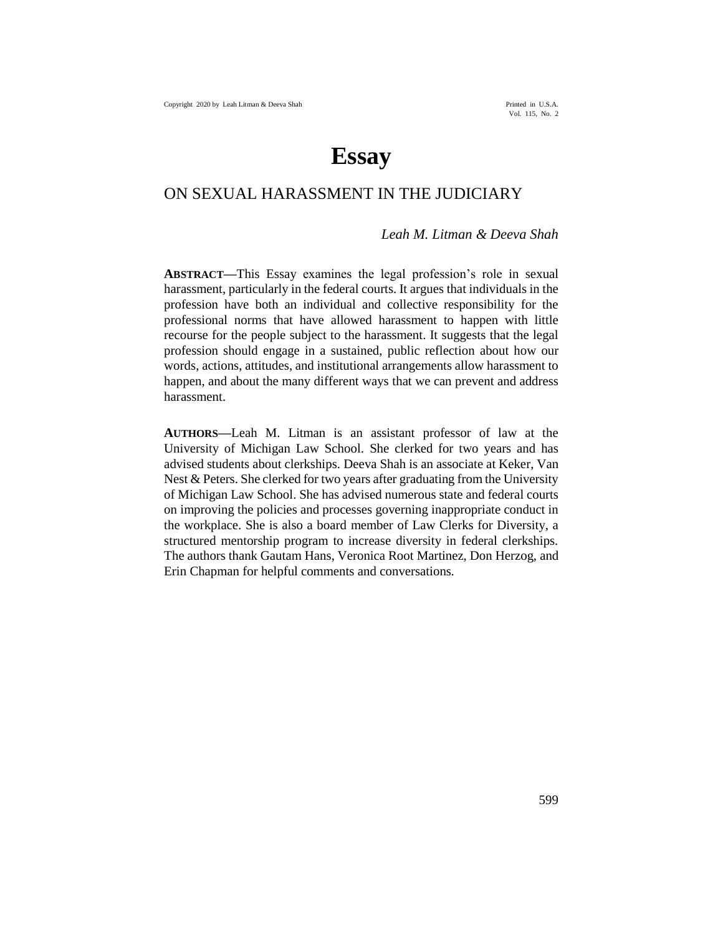# **Essay**

# ON SEXUAL HARASSMENT IN THE JUDICIARY

# *Leah M. Litman & Deeva Shah*

**ABSTRACT—**This Essay examines the legal profession's role in sexual harassment, particularly in the federal courts. It argues that individuals in the profession have both an individual and collective responsibility for the professional norms that have allowed harassment to happen with little recourse for the people subject to the harassment. It suggests that the legal profession should engage in a sustained, public reflection about how our words, actions, attitudes, and institutional arrangements allow harassment to happen, and about the many different ways that we can prevent and address harassment.

**AUTHORS—**Leah M. Litman is an assistant professor of law at the University of Michigan Law School. She clerked for two years and has advised students about clerkships. Deeva Shah is an associate at Keker, Van Nest & Peters. She clerked for two years after graduating from the University of Michigan Law School. She has advised numerous state and federal courts on improving the policies and processes governing inappropriate conduct in the workplace. She is also a board member of Law Clerks for Diversity, a structured mentorship program to increase diversity in federal clerkships. The authors thank Gautam Hans, Veronica Root Martinez, Don Herzog, and Erin Chapman for helpful comments and conversations.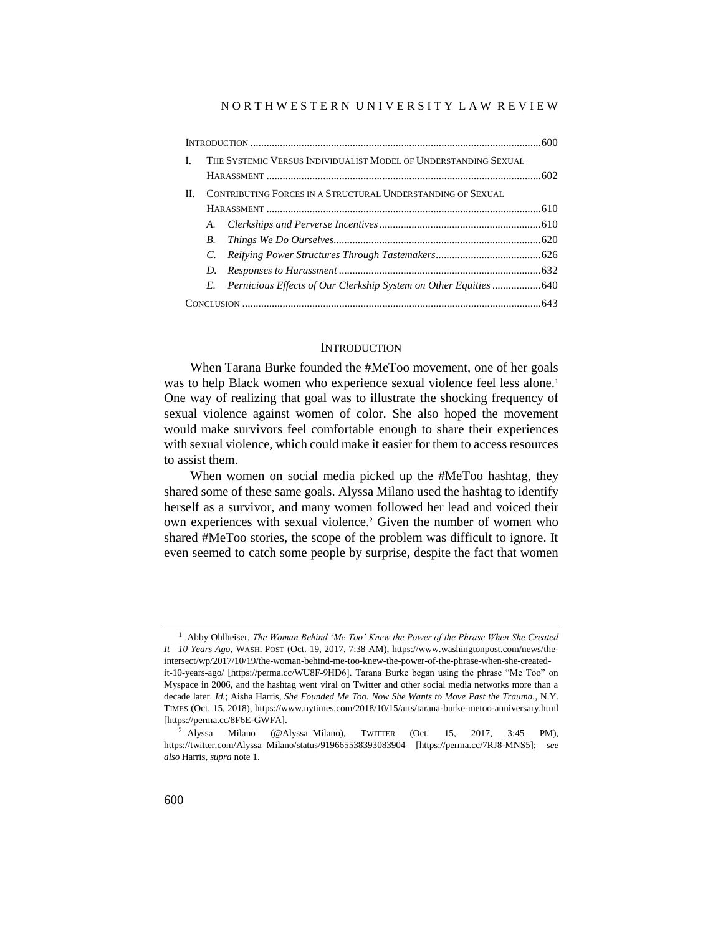|    | THE SYSTEMIC VERSUS INDIVIDUALIST MODEL OF UNDERSTANDING SEXUAL      |  |
|----|----------------------------------------------------------------------|--|
|    |                                                                      |  |
| Н. | CONTRIBUTING FORCES IN A STRUCTURAL UNDERSTANDING OF SEXUAL          |  |
|    |                                                                      |  |
|    | A.                                                                   |  |
|    | B.                                                                   |  |
|    |                                                                      |  |
|    | D.                                                                   |  |
|    | E. Pernicious Effects of Our Clerkship System on Other Equities  640 |  |
|    |                                                                      |  |
|    |                                                                      |  |

#### <span id="page-1-0"></span>**INTRODUCTION**

When Tarana Burke founded the #MeToo movement, one of her goals was to help Black women who experience sexual violence feel less alone.<sup>1</sup> One way of realizing that goal was to illustrate the shocking frequency of sexual violence against women of color. She also hoped the movement would make survivors feel comfortable enough to share their experiences with sexual violence, which could make it easier for them to access resources to assist them.

When women on social media picked up the #MeToo hashtag, they shared some of these same goals. Alyssa Milano used the hashtag to identify herself as a survivor, and many women followed her lead and voiced their own experiences with sexual violence.<sup>2</sup> Given the number of women who shared #MeToo stories, the scope of the problem was difficult to ignore. It even seemed to catch some people by surprise, despite the fact that women

<sup>1</sup> Abby Ohlheiser, *The Woman Behind 'Me Too' Knew the Power of the Phrase When She Created It—10 Years Ago*, WASH. POST (Oct. 19, 2017, 7:38 AM), https://www.washingtonpost.com/news/theintersect/wp/2017/10/19/the-woman-behind-me-too-knew-the-power-of-the-phrase-when-she-createdit-10-years-ago/ [https://perma.cc/WU8F-9HD6]. Tarana Burke began using the phrase "Me Too" on Myspace in 2006, and the hashtag went viral on Twitter and other social media networks more than a decade later. *Id.*; Aisha Harris, *She Founded Me Too. Now She Wants to Move Past the Trauma.*, N.Y. TIMES (Oct. 15, 2018), https://www.nytimes.com/2018/10/15/arts/tarana-burke-metoo-anniversary.html [https://perma.cc/8F6E-GWFA].

<sup>2</sup> Alyssa Milano (@Alyssa\_Milano), TWITTER (Oct. 15, 2017, 3:45 PM), https://twitter.com/Alyssa\_Milano/status/919665538393083904 [https://perma.cc/7RJ8-MNS5]; *see also* Harris, *supra* not[e 1.](#page-1-0)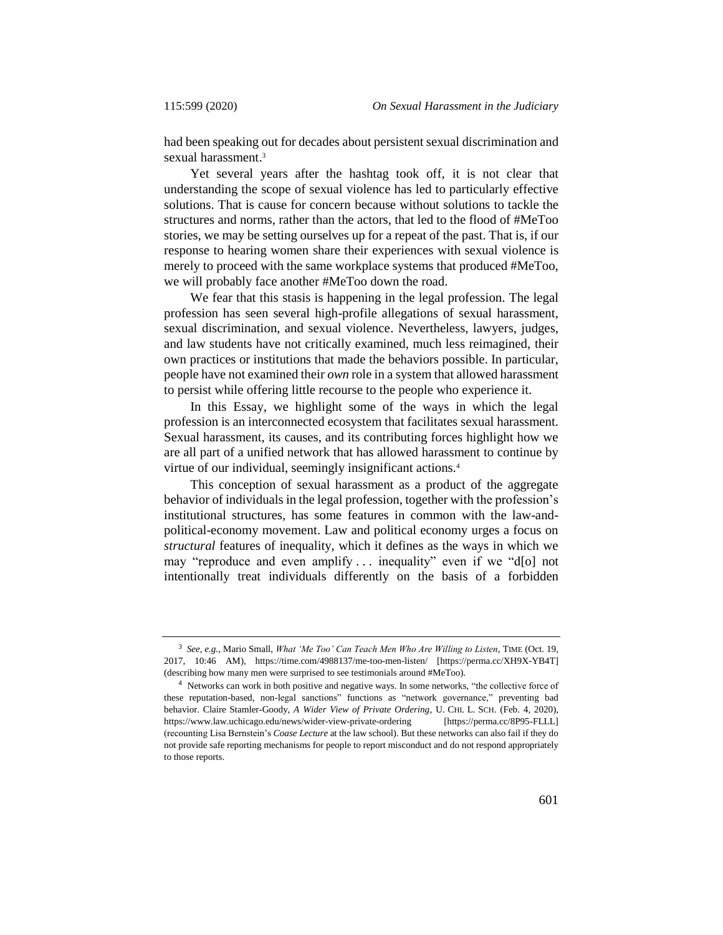had been speaking out for decades about persistent sexual discrimination and sexual harassment. 3

Yet several years after the hashtag took off, it is not clear that understanding the scope of sexual violence has led to particularly effective solutions. That is cause for concern because without solutions to tackle the structures and norms, rather than the actors, that led to the flood of #MeToo stories, we may be setting ourselves up for a repeat of the past. That is, if our response to hearing women share their experiences with sexual violence is merely to proceed with the same workplace systems that produced #MeToo, we will probably face another #MeToo down the road.

We fear that this stasis is happening in the legal profession. The legal profession has seen several high-profile allegations of sexual harassment, sexual discrimination, and sexual violence. Nevertheless, lawyers, judges, and law students have not critically examined, much less reimagined, their own practices or institutions that made the behaviors possible. In particular, people have not examined their *own* role in a system that allowed harassment to persist while offering little recourse to the people who experience it.

In this Essay, we highlight some of the ways in which the legal profession is an interconnected ecosystem that facilitates sexual harassment. Sexual harassment, its causes, and its contributing forces highlight how we are all part of a unified network that has allowed harassment to continue by virtue of our individual, seemingly insignificant actions.<sup>4</sup>

This conception of sexual harassment as a product of the aggregate behavior of individuals in the legal profession, together with the profession's institutional structures, has some features in common with the law-andpolitical-economy movement. Law and political economy urges a focus on *structural* features of inequality, which it defines as the ways in which we may "reproduce and even amplify . . . inequality" even if we "d[o] not intentionally treat individuals differently on the basis of a forbidden

<sup>3</sup> *See, e.g.*, Mario Small, *What 'Me Too' Can Teach Men Who Are Willing to Listen*, TIME (Oct. 19, 2017, 10:46 AM), https://time.com/4988137/me-too-men-listen/ [https://perma.cc/XH9X-YB4T] (describing how many men were surprised to see testimonials around #MeToo).

<sup>4</sup> Networks can work in both positive and negative ways. In some networks, "the collective force of these reputation-based, non-legal sanctions" functions as "network governance," preventing bad behavior. Claire Stamler-Goody, *A Wider View of Private Ordering*, U. CHI. L. SCH. (Feb. 4, 2020), https://www.law.uchicago.edu/news/wider-view-private-ordering [https://perma.cc/8P95-FLLL] (recounting Lisa Bernstein's *Coase Lecture* at the law school). But these networks can also fail if they do not provide safe reporting mechanisms for people to report misconduct and do not respond appropriately to those reports.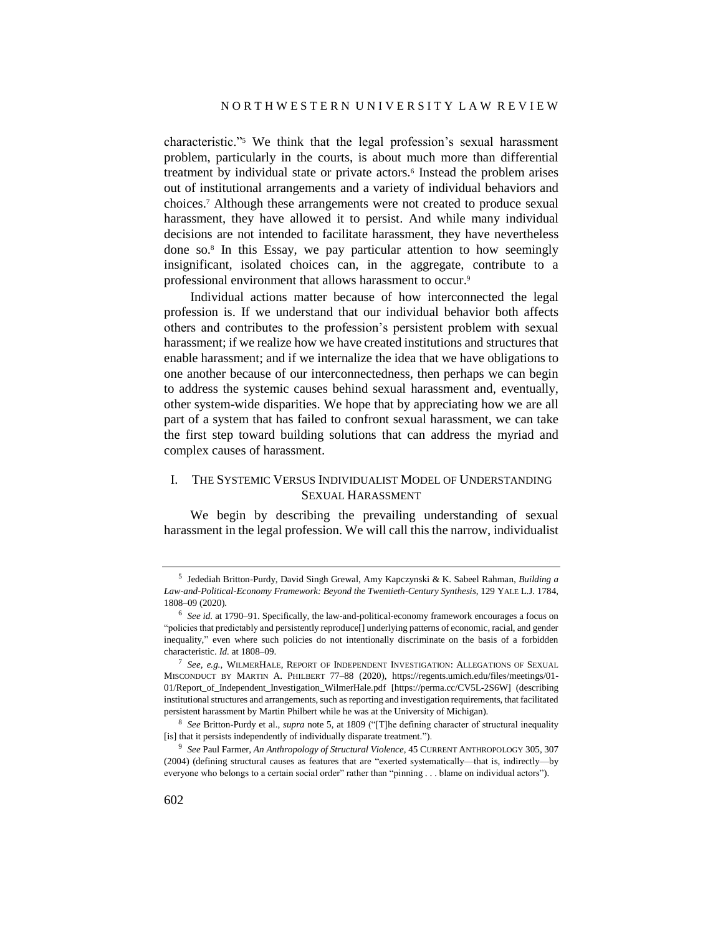<span id="page-3-1"></span><span id="page-3-0"></span>characteristic."<sup>5</sup> We think that the legal profession's sexual harassment problem, particularly in the courts, is about much more than differential treatment by individual state or private actors.<sup>6</sup> Instead the problem arises out of institutional arrangements and a variety of individual behaviors and choices.<sup>7</sup> Although these arrangements were not created to produce sexual harassment, they have allowed it to persist. And while many individual decisions are not intended to facilitate harassment, they have nevertheless done so.<sup>8</sup> In this Essay, we pay particular attention to how seemingly insignificant, isolated choices can, in the aggregate, contribute to a professional environment that allows harassment to occur.<sup>9</sup>

Individual actions matter because of how interconnected the legal profession is. If we understand that our individual behavior both affects others and contributes to the profession's persistent problem with sexual harassment; if we realize how we have created institutions and structures that enable harassment; and if we internalize the idea that we have obligations to one another because of our interconnectedness, then perhaps we can begin to address the systemic causes behind sexual harassment and, eventually, other system-wide disparities. We hope that by appreciating how we are all part of a system that has failed to confront sexual harassment, we can take the first step toward building solutions that can address the myriad and complex causes of harassment.

# I. THE SYSTEMIC VERSUS INDIVIDUALIST MODEL OF UNDERSTANDING SEXUAL HARASSMENT

We begin by describing the prevailing understanding of sexual harassment in the legal profession. We will call this the narrow, individualist

<sup>5</sup> Jedediah Britton-Purdy, David Singh Grewal, Amy Kapczynski & K. Sabeel Rahman, *Building a Law-and-Political-Economy Framework: Beyond the Twentieth-Century Synthesis*, 129 YALE L.J. 1784, 1808–09 (2020).

<sup>6</sup> *See id.* at 1790–91. Specifically, the law-and-political-economy framework encourages a focus on "policies that predictably and persistently reproduce[] underlying patterns of economic, racial, and gender inequality," even where such policies do not intentionally discriminate on the basis of a forbidden characteristic. *Id.* at 1808–09.

<sup>7</sup> *See, e.g.*, WILMERHALE, REPORT OF INDEPENDENT INVESTIGATION: ALLEGATIONS OF SEXUAL MISCONDUCT BY MARTIN A. PHILBERT 77–88 (2020), https://regents.umich.edu/files/meetings/01- 01/Report\_of\_Independent\_Investigation\_WilmerHale.pdf [https://perma.cc/CV5L-2S6W] (describing institutional structures and arrangements, such as reporting and investigation requirements, that facilitated persistent harassment by Martin Philbert while he was at the University of Michigan).

<sup>8</sup> *See* Britton-Purdy et al., *supra* not[e 5,](#page-3-0) at 1809 ("[T]he defining character of structural inequality [is] that it persists independently of individually disparate treatment.").

<sup>9</sup> *See* Paul Farmer, *An Anthropology of Structural Violence*, 45 CURRENT ANTHROPOLOGY 305, 307 (2004) (defining structural causes as features that are "exerted systematically—that is, indirectly—by everyone who belongs to a certain social order" rather than "pinning . . . blame on individual actors").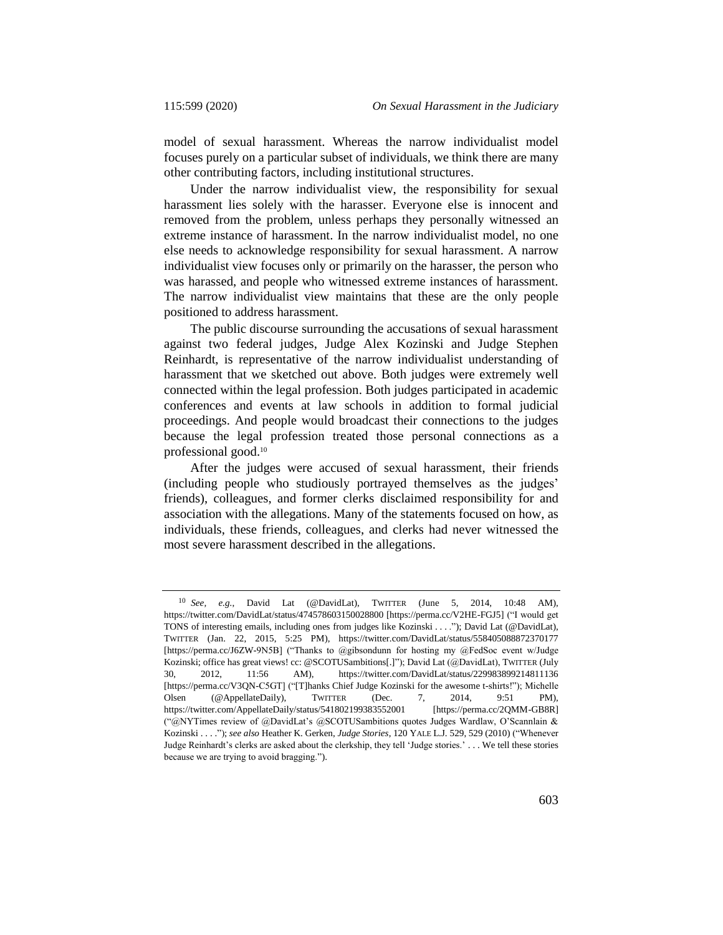model of sexual harassment. Whereas the narrow individualist model focuses purely on a particular subset of individuals, we think there are many other contributing factors, including institutional structures.

Under the narrow individualist view, the responsibility for sexual harassment lies solely with the harasser. Everyone else is innocent and removed from the problem, unless perhaps they personally witnessed an extreme instance of harassment. In the narrow individualist model, no one else needs to acknowledge responsibility for sexual harassment. A narrow individualist view focuses only or primarily on the harasser, the person who was harassed, and people who witnessed extreme instances of harassment. The narrow individualist view maintains that these are the only people positioned to address harassment.

The public discourse surrounding the accusations of sexual harassment against two federal judges, Judge Alex Kozinski and Judge Stephen Reinhardt, is representative of the narrow individualist understanding of harassment that we sketched out above. Both judges were extremely well connected within the legal profession. Both judges participated in academic conferences and events at law schools in addition to formal judicial proceedings. And people would broadcast their connections to the judges because the legal profession treated those personal connections as a professional good.<sup>10</sup>

<span id="page-4-0"></span>After the judges were accused of sexual harassment, their friends (including people who studiously portrayed themselves as the judges' friends), colleagues, and former clerks disclaimed responsibility for and association with the allegations. Many of the statements focused on how, as individuals, these friends, colleagues, and clerks had never witnessed the most severe harassment described in the allegations.

<sup>10</sup> *See, e.g.*, David Lat (@DavidLat), TWITTER (June 5, 2014, 10:48 AM), https://twitter.com/DavidLat/status/474578603150028800 [https://perma.cc/V2HE-FGJ5] ("I would get TONS of interesting emails, including ones from judges like Kozinski . . . ."); David Lat (@DavidLat), TWITTER (Jan. 22, 2015, 5:25 PM), https://twitter.com/DavidLat/status/558405088872370177 [https://perma.cc/J6ZW-9N5B] ("Thanks to @gibsondunn for hosting my @FedSoc event w/Judge Kozinski; office has great views! cc: @SCOTUSambitions[.]"); David Lat (@DavidLat), TWITTER (July 30, 2012, 11:56 AM), https://twitter.com/DavidLat/status/229983899214811136 [https://perma.cc/V3QN-C5GT] ("[T]hanks Chief Judge Kozinski for the awesome t-shirts!"); Michelle Olsen (@AppellateDaily), TWITTER (Dec. 7, 2014, 9:51 PM), https://twitter.com/AppellateDaily/status/541802199383552001 [https://perma.cc/2QMM-GB8R] ("@NYTimes review of @DavidLat's @SCOTUSambitions quotes Judges Wardlaw, O'Scannlain & Kozinski . . . ."); *see also* Heather K. Gerken, *Judge Stories*, 120 YALE L.J. 529, 529 (2010) ("Whenever Judge Reinhardt's clerks are asked about the clerkship, they tell 'Judge stories.' . . . We tell these stories because we are trying to avoid bragging.").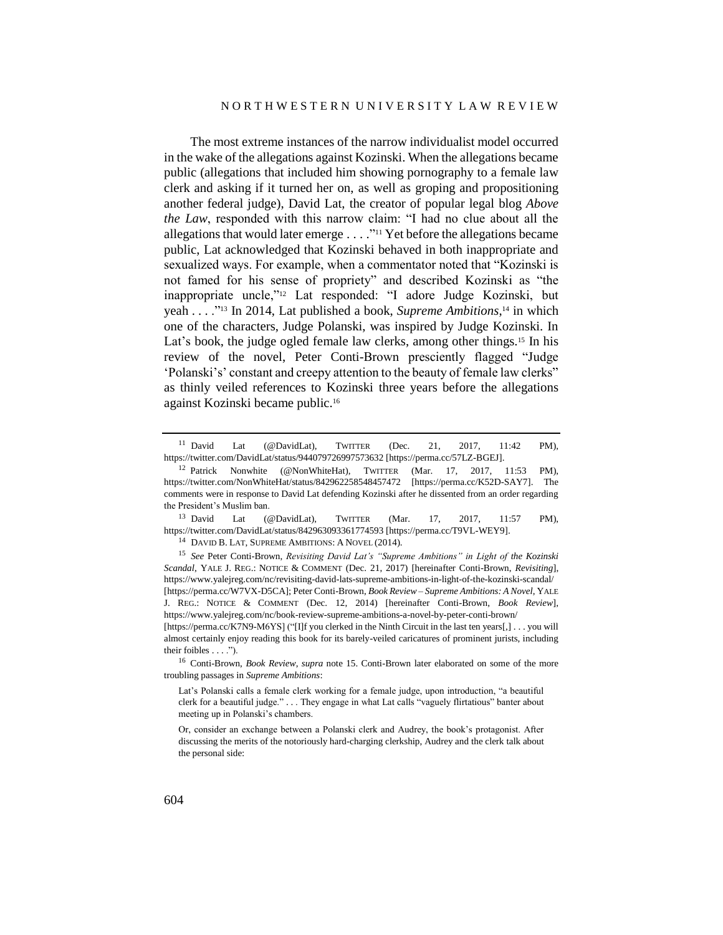The most extreme instances of the narrow individualist model occurred in the wake of the allegations against Kozinski. When the allegations became public (allegations that included him showing pornography to a female law clerk and asking if it turned her on, as well as groping and propositioning another federal judge), David Lat, the creator of popular legal blog *Above the Law*, responded with this narrow claim: "I had no clue about all the allegations that would later emerge . . . ." <sup>11</sup> Yet before the allegations became public, Lat acknowledged that Kozinski behaved in both inappropriate and sexualized ways. For example, when a commentator noted that "Kozinski is not famed for his sense of propriety" and described Kozinski as "the inappropriate uncle,"<sup>12</sup> Lat responded: "I adore Judge Kozinski, but yeah . . . ."<sup>13</sup> In 2014, Lat published a book, *Supreme Ambitions*, <sup>14</sup> in which one of the characters, Judge Polanski, was inspired by Judge Kozinski. In Lat's book, the judge ogled female law clerks, among other things.<sup>15</sup> In his review of the novel, Peter Conti-Brown presciently flagged "Judge 'Polanski's' constant and creepy attention to the beauty of female law clerks" as thinly veiled references to Kozinski three years before the allegations against Kozinski became public.<sup>16</sup>

<sup>13</sup> David Lat (@DavidLat), TWITTER (Mar. 17, 2017, 11:57 PM), https://twitter.com/DavidLat/status/842963093361774593 [https://perma.cc/T9VL-WEY9].

<sup>14</sup> DAVID B. LAT, SUPREME AMBITIONS: A NOVEL (2014).

[https://perma.cc/K7N9-M6YS] ("[I]f you clerked in the Ninth Circuit in the last ten years[,] . . . you will almost certainly enjoy reading this book for its barely-veiled caricatures of prominent jurists, including their foibles . . . .").

<sup>16</sup> Conti-Brown, *Book Review*, *supra* note [15.](#page-5-0) Conti-Brown later elaborated on some of the more troubling passages in *Supreme Ambitions*:

Lat's Polanski calls a female clerk working for a female judge, upon introduction, "a beautiful clerk for a beautiful judge." . . . They engage in what Lat calls "vaguely flirtatious" banter about meeting up in Polanski's chambers.

Or, consider an exchange between a Polanski clerk and Audrey, the book's protagonist. After discussing the merits of the notoriously hard-charging clerkship, Audrey and the clerk talk about the personal side:

<span id="page-5-0"></span><sup>&</sup>lt;sup>11</sup> David Lat (@DavidLat), TWITTER (Dec. 21, 2017, 11:42 PM), https://twitter.com/DavidLat/status/944079726997573632 [https://perma.cc/57LZ-BGEJ].

<sup>&</sup>lt;sup>12</sup> Patrick Nonwhite (@NonWhiteHat), TWITTER (Mar. 17, 2017, 11:53 PM), https://twitter.com/NonWhiteHat/status/842962258548457472 [https://perma.cc/K52D-SAY7]. The comments were in response to David Lat defending Kozinski after he dissented from an order regarding the President's Muslim ban.

<sup>15</sup> *See* Peter Conti-Brown, *Revisiting David Lat's "Supreme Ambitions" in Light of the Kozinski Scandal*, YALE J. REG.: NOTICE & COMMENT (Dec. 21, 2017) [hereinafter Conti-Brown, *Revisiting*], https://www.yalejreg.com/nc/revisiting-david-lats-supreme-ambitions-in-light-of-the-kozinski-scandal/ [https://perma.cc/W7VX-D5CA]; Peter Conti-Brown, *Book Review – Supreme Ambitions: A Novel*, YALE J. REG.: NOTICE & COMMENT (Dec. 12, 2014) [hereinafter Conti-Brown, *Book Review*], https://www.yalejreg.com/nc/book-review-supreme-ambitions-a-novel-by-peter-conti-brown/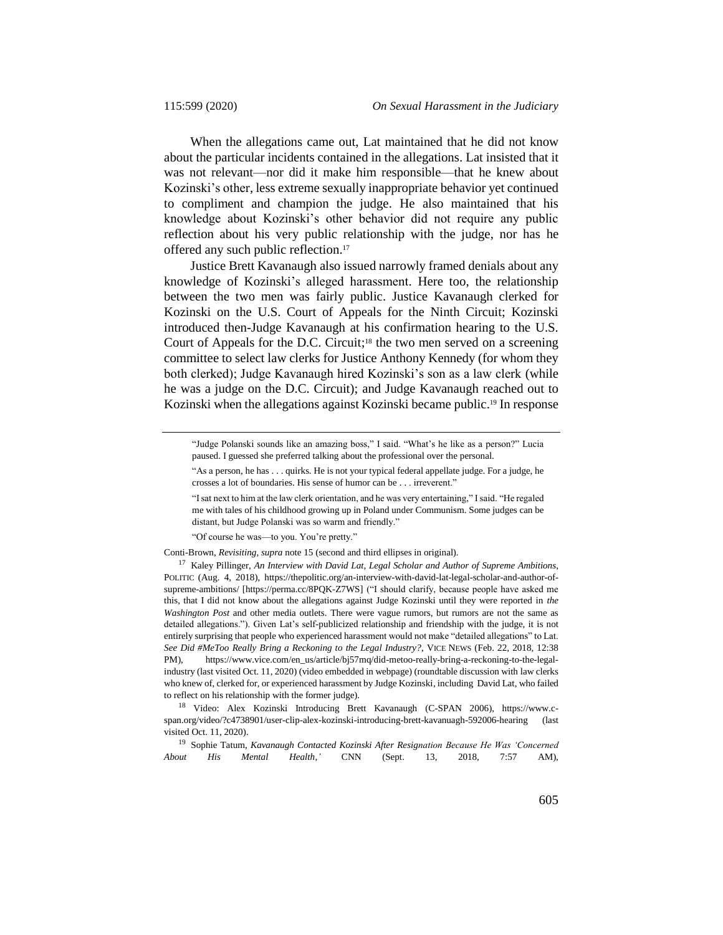When the allegations came out, Lat maintained that he did not know about the particular incidents contained in the allegations. Lat insisted that it was not relevant—nor did it make him responsible—that he knew about Kozinski's other, less extreme sexually inappropriate behavior yet continued to compliment and champion the judge. He also maintained that his knowledge about Kozinski's other behavior did not require any public reflection about his very public relationship with the judge, nor has he offered any such public reflection. 17

Justice Brett Kavanaugh also issued narrowly framed denials about any knowledge of Kozinski's alleged harassment. Here too, the relationship between the two men was fairly public. Justice Kavanaugh clerked for Kozinski on the U.S. Court of Appeals for the Ninth Circuit; Kozinski introduced then-Judge Kavanaugh at his confirmation hearing to the U.S. Court of Appeals for the D.C. Circuit; <sup>18</sup> the two men served on a screening committee to select law clerks for Justice Anthony Kennedy (for whom they both clerked); Judge Kavanaugh hired Kozinski's son as a law clerk (while he was a judge on the D.C. Circuit); and Judge Kavanaugh reached out to Kozinski when the allegations against Kozinski became public.<sup>19</sup> In response

"Of course he was—to you. You're pretty."

Conti-Brown, *Revisiting*, *supra* not[e 15](#page-5-0) (second and third ellipses in original).

<sup>17</sup> Kaley Pillinger, *An Interview with David Lat, Legal Scholar and Author of Supreme Ambitions*, POLITIC (Aug. 4, 2018), https://thepolitic.org/an-interview-with-david-lat-legal-scholar-and-author-ofsupreme-ambitions/ [https://perma.cc/8PQK-Z7WS] ("I should clarify, because people have asked me this, that I did not know about the allegations against Judge Kozinski until they were reported in *the Washington Post* and other media outlets. There were vague rumors, but rumors are not the same as detailed allegations."). Given Lat's self-publicized relationship and friendship with the judge, it is not entirely surprising that people who experienced harassment would not make "detailed allegations" to Lat. *See Did #MeToo Really Bring a Reckoning to the Legal Industry?*, VICE NEWS (Feb. 22, 2018, 12:38 PM), https://www.vice.com/en\_us/article/bj57mq/did-metoo-really-bring-a-reckoning-to-the-legalindustry (last visited Oct. 11, 2020) (video embedded in webpage) (roundtable discussion with law clerks who knew of, clerked for, or experienced harassment by Judge Kozinski, including David Lat, who failed to reflect on his relationship with the former judge).

<sup>18</sup> Video: Alex Kozinski Introducing Brett Kavanaugh (C-SPAN 2006), https://www.cspan.org/video/?c4738901/user-clip-alex-kozinski-introducing-brett-kavanuagh-592006-hearing (last visited Oct. 11, 2020).

<sup>19</sup> Sophie Tatum, *Kavanaugh Contacted Kozinski After Resignation Because He Was 'Concerned About His Mental Health*,*'* CNN (Sept. 13, 2018, 7:57 AM),

<span id="page-6-0"></span><sup>&</sup>quot;Judge Polanski sounds like an amazing boss," I said. "What's he like as a person?" Lucia paused. I guessed she preferred talking about the professional over the personal.

<sup>&</sup>quot;As a person, he has . . . quirks. He is not your typical federal appellate judge. For a judge, he crosses a lot of boundaries. His sense of humor can be . . . irreverent."

<sup>&</sup>quot;I sat next to him at the law clerk orientation, and he was very entertaining," I said. "He regaled me with tales of his childhood growing up in Poland under Communism. Some judges can be distant, but Judge Polanski was so warm and friendly."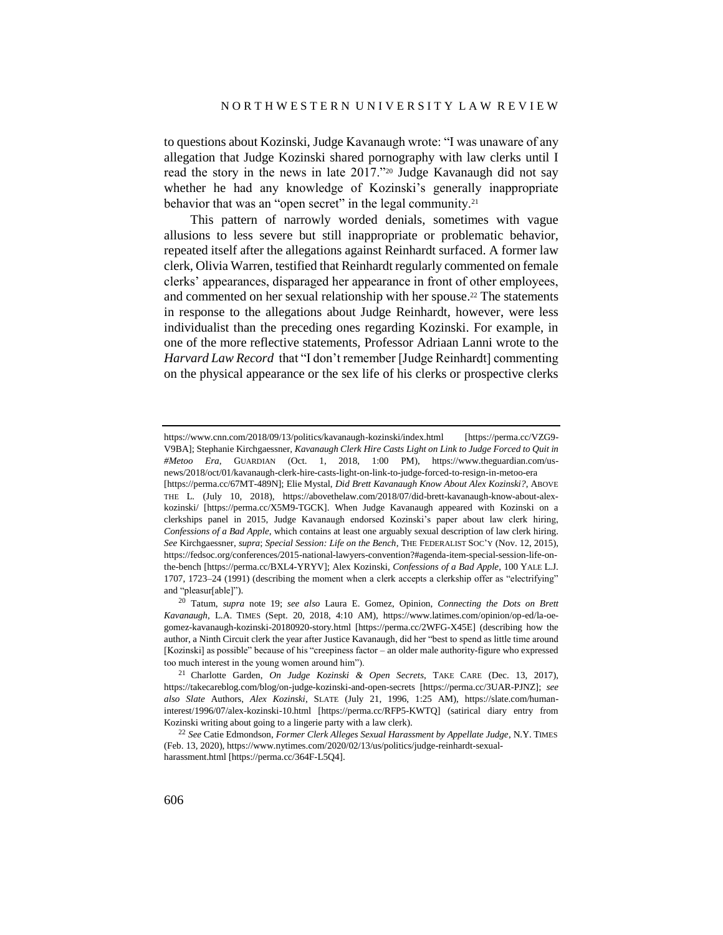to questions about Kozinski, Judge Kavanaugh wrote: "I was unaware of any allegation that Judge Kozinski shared pornography with law clerks until I read the story in the news in late 2017."<sup>20</sup> Judge Kavanaugh did not say whether he had any knowledge of Kozinski's generally inappropriate behavior that was an "open secret" in the legal community.<sup>21</sup>

<span id="page-7-0"></span>This pattern of narrowly worded denials, sometimes with vague allusions to less severe but still inappropriate or problematic behavior, repeated itself after the allegations against Reinhardt surfaced. A former law clerk, Olivia Warren, testified that Reinhardt regularly commented on female clerks' appearances, disparaged her appearance in front of other employees, and commented on her sexual relationship with her spouse.<sup>22</sup> The statements in response to the allegations about Judge Reinhardt, however, were less individualist than the preceding ones regarding Kozinski. For example, in one of the more reflective statements, Professor Adriaan Lanni wrote to the *Harvard Law Record* that "I don't remember [Judge Reinhardt] commenting on the physical appearance or the sex life of his clerks or prospective clerks

https://www.cnn.com/2018/09/13/politics/kavanaugh-kozinski/index.html [https://perma.cc/VZG9- V9BA]; Stephanie Kirchgaessner, *Kavanaugh Clerk Hire Casts Light on Link to Judge Forced to Quit in #Metoo Era*, GUARDIAN (Oct. 1, 2018, 1:00 PM), https://www.theguardian.com/usnews/2018/oct/01/kavanaugh-clerk-hire-casts-light-on-link-to-judge-forced-to-resign-in-metoo-era [https://perma.cc/67MT-489N]; Elie Mystal, *Did Brett Kavanaugh Know About Alex Kozinski?*, ABOVE THE L. (July 10, 2018), https://abovethelaw.com/2018/07/did-brett-kavanaugh-know-about-alexkozinski/ [https://perma.cc/X5M9-TGCK]. When Judge Kavanaugh appeared with Kozinski on a clerkships panel in 2015, Judge Kavanaugh endorsed Kozinski's paper about law clerk hiring, *Confessions of a Bad Apple*, which contains at least one arguably sexual description of law clerk hiring. *See* Kirchgaessner, *supra*; *Special Session: Life on the Bench*, THE FEDERALIST SOC'Y (Nov. 12, 2015), https://fedsoc.org/conferences/2015-national-lawyers-convention?#agenda-item-special-session-life-onthe-bench [https://perma.cc/BXL4-YRYV]; Alex Kozinski, *Confessions of a Bad Apple*, 100 YALE L.J. 1707, 1723–24 (1991) (describing the moment when a clerk accepts a clerkship offer as "electrifying" and "pleasur[able]").

<sup>20</sup> Tatum, *supra* note [19;](#page-6-0) *see also* Laura E. Gomez, Opinion, *Connecting the Dots on Brett Kavanaugh*, L.A. TIMES (Sept. 20, 2018, 4:10 AM), https://www.latimes.com/opinion/op-ed/la-oegomez-kavanaugh-kozinski-20180920-story.html [https://perma.cc/2WFG-X45E] (describing how the author, a Ninth Circuit clerk the year after Justice Kavanaugh, did her "best to spend as little time around [Kozinski] as possible" because of his "creepiness factor – an older male authority-figure who expressed too much interest in the young women around him").

<sup>21</sup> Charlotte Garden, *On Judge Kozinski & Open Secrets*, TAKE CARE (Dec. 13, 2017), https://takecareblog.com/blog/on-judge-kozinski-and-open-secrets [https://perma.cc/3UAR-PJNZ]; *see also Slate* Authors, *Alex Kozinski*, SLATE (July 21, 1996, 1:25 AM), https://slate.com/humaninterest/1996/07/alex-kozinski-10.html [https://perma.cc/RFP5-KWTQ] (satirical diary entry from Kozinski writing about going to a lingerie party with a law clerk).

<sup>22</sup> *See* Catie Edmondson, *Former Clerk Alleges Sexual Harassment by Appellate Judge*, N.Y. TIMES (Feb. 13, 2020), https://www.nytimes.com/2020/02/13/us/politics/judge-reinhardt-sexualharassment.html [https://perma.cc/364F-L5Q4].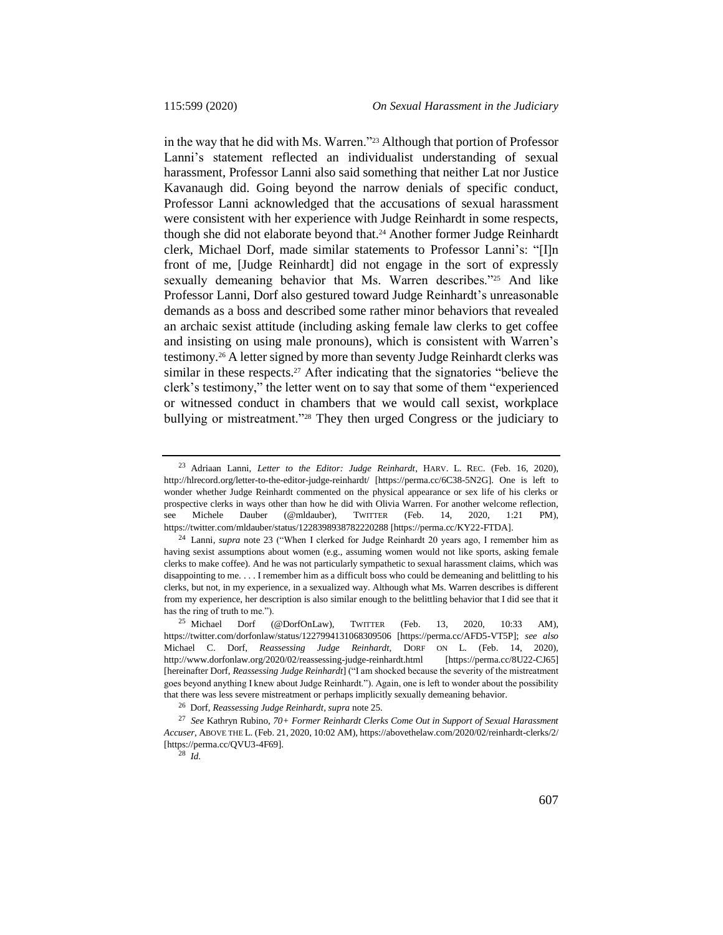<span id="page-8-1"></span><span id="page-8-0"></span>in the way that he did with Ms. Warren."<sup>23</sup> Although that portion of Professor Lanni's statement reflected an individualist understanding of sexual harassment, Professor Lanni also said something that neither Lat nor Justice Kavanaugh did. Going beyond the narrow denials of specific conduct, Professor Lanni acknowledged that the accusations of sexual harassment were consistent with her experience with Judge Reinhardt in some respects, though she did not elaborate beyond that. <sup>24</sup> Another former Judge Reinhardt clerk, Michael Dorf, made similar statements to Professor Lanni's: "[I]n front of me, [Judge Reinhardt] did not engage in the sort of expressly sexually demeaning behavior that Ms. Warren describes."<sup>25</sup> And like Professor Lanni, Dorf also gestured toward Judge Reinhardt's unreasonable demands as a boss and described some rather minor behaviors that revealed an archaic sexist attitude (including asking female law clerks to get coffee and insisting on using male pronouns), which is consistent with Warren's testimony.<sup>26</sup> A letter signed by more than seventy Judge Reinhardt clerks was similar in these respects.<sup>27</sup> After indicating that the signatories "believe the clerk's testimony," the letter went on to say that some of them "experienced or witnessed conduct in chambers that we would call sexist, workplace bullying or mistreatment."<sup>28</sup> They then urged Congress or the judiciary to

<span id="page-8-2"></span><sup>23</sup> Adriaan Lanni, *Letter to the Editor: Judge Reinhardt*, HARV. L. REC. (Feb. 16, 2020), http://hlrecord.org/letter-to-the-editor-judge-reinhardt/ [https://perma.cc/6C38-5N2G]. One is left to wonder whether Judge Reinhardt commented on the physical appearance or sex life of his clerks or prospective clerks in ways other than how he did with Olivia Warren. For another welcome reflection, see Michele Dauber (@mldauber), TWITTER (Feb. 14, 2020, 1:21 PM), https://twitter.com/mldauber/status/1228398938782220288 [https://perma.cc/KY22-FTDA].

<sup>24</sup> Lanni*, supra* note [23](#page-8-0) ("When I clerked for Judge Reinhardt 20 years ago, I remember him as having sexist assumptions about women (e.g., assuming women would not like sports, asking female clerks to make coffee). And he was not particularly sympathetic to sexual harassment claims, which was disappointing to me. . . . I remember him as a difficult boss who could be demeaning and belittling to his clerks, but not, in my experience, in a sexualized way. Although what Ms. Warren describes is different from my experience, her description is also similar enough to the belittling behavior that I did see that it has the ring of truth to me.").

<sup>&</sup>lt;sup>25</sup> Michael Dorf (@DorfOnLaw), TWITTER (Feb. 13, 2020, 10:33 AM), https://twitter.com/dorfonlaw/status/1227994131068309506 [https://perma.cc/AFD5-VT5P]; *see also* Michael C. Dorf, *Reassessing Judge Reinhardt*, DORF ON L. (Feb. 14, 2020), http://www.dorfonlaw.org/2020/02/reassessing-judge-reinhardt.html [https://perma.cc/8U22-CJ65] [hereinafter Dorf, *Reassessing Judge Reinhardt*] ("I am shocked because the severity of the mistreatment goes beyond anything I knew about Judge Reinhardt."). Again, one is left to wonder about the possibility that there was less severe mistreatment or perhaps implicitly sexually demeaning behavior.

<sup>26</sup> Dorf, *Reassessing Judge Reinhardt*, *supra* not[e 25.](#page-8-1)

<sup>27</sup> *See* Kathryn Rubino, *70+ Former Reinhardt Clerks Come Out in Support of Sexual Harassment Accuser*, ABOVE THE L. (Feb. 21, 2020, 10:02 AM), https://abovethelaw.com/2020/02/reinhardt-clerks/2/ [https://perma.cc/QVU3-4F69].

<sup>28</sup> *Id.*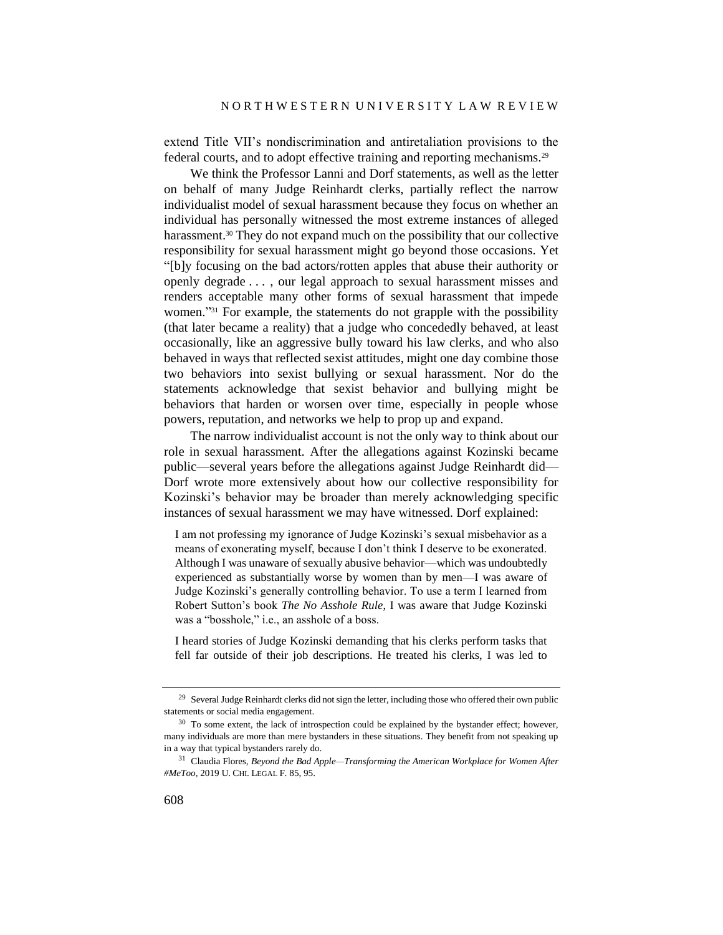extend Title VII's nondiscrimination and antiretaliation provisions to the federal courts, and to adopt effective training and reporting mechanisms.<sup>29</sup>

We think the Professor Lanni and Dorf statements, as well as the letter on behalf of many Judge Reinhardt clerks, partially reflect the narrow individualist model of sexual harassment because they focus on whether an individual has personally witnessed the most extreme instances of alleged harassment.<sup>30</sup> They do not expand much on the possibility that our collective responsibility for sexual harassment might go beyond those occasions. Yet "[b]y focusing on the bad actors/rotten apples that abuse their authority or openly degrade . . . , our legal approach to sexual harassment misses and renders acceptable many other forms of sexual harassment that impede women." <sup>31</sup> For example, the statements do not grapple with the possibility (that later became a reality) that a judge who concededly behaved, at least occasionally, like an aggressive bully toward his law clerks, and who also behaved in ways that reflected sexist attitudes, might one day combine those two behaviors into sexist bullying or sexual harassment. Nor do the statements acknowledge that sexist behavior and bullying might be behaviors that harden or worsen over time, especially in people whose powers, reputation, and networks we help to prop up and expand.

<span id="page-9-0"></span>The narrow individualist account is not the only way to think about our role in sexual harassment. After the allegations against Kozinski became public—several years before the allegations against Judge Reinhardt did— Dorf wrote more extensively about how our collective responsibility for Kozinski's behavior may be broader than merely acknowledging specific instances of sexual harassment we may have witnessed. Dorf explained:

I am not professing my ignorance of Judge Kozinski's sexual misbehavior as a means of exonerating myself, because I don't think I deserve to be exonerated. Although I was unaware of sexually abusive behavior—which was undoubtedly experienced as substantially worse by women than by men—I was aware of Judge Kozinski's generally controlling behavior. To use a term I learned from Robert Sutton's book *The No Asshole Rule*, I was aware that Judge Kozinski was a "bosshole," i.e., an asshole of a boss.

I heard stories of Judge Kozinski demanding that his clerks perform tasks that fell far outside of their job descriptions. He treated his clerks, I was led to

<sup>&</sup>lt;sup>29</sup> Several Judge Reinhardt clerks did not sign the letter, including those who offered their own public statements or social media engagement.

<sup>&</sup>lt;sup>30</sup> To some extent, the lack of introspection could be explained by the bystander effect; however, many individuals are more than mere bystanders in these situations. They benefit from not speaking up in a way that typical bystanders rarely do.

<sup>31</sup> Claudia Flores, *Beyond the Bad Apple—Transforming the American Workplace for Women After #MeToo*, 2019 U. CHI. LEGAL F. 85, 95.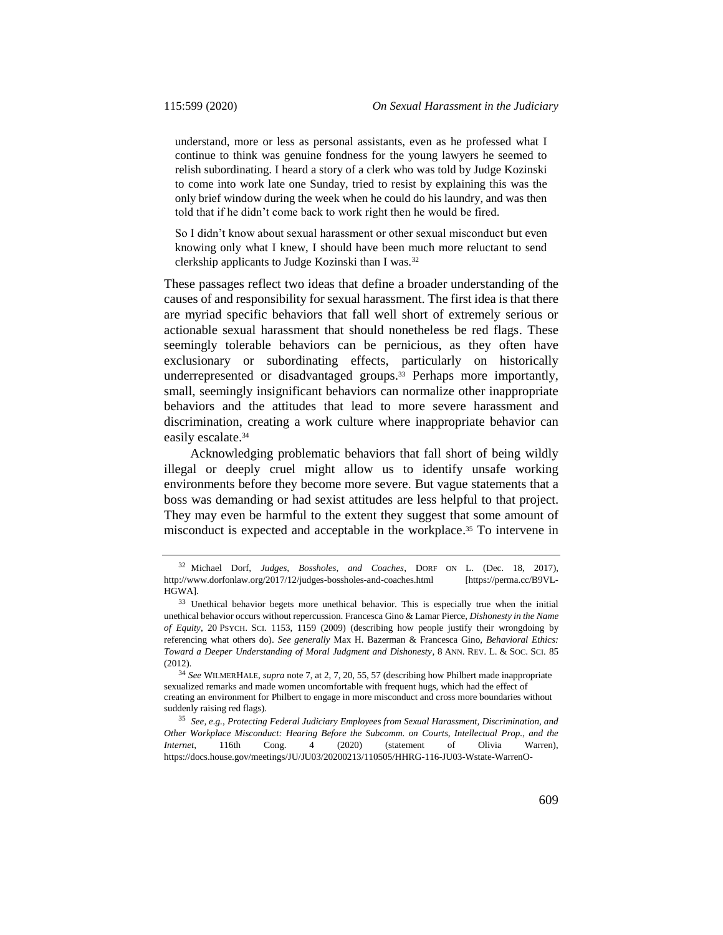understand, more or less as personal assistants, even as he professed what I continue to think was genuine fondness for the young lawyers he seemed to relish subordinating. I heard a story of a clerk who was told by Judge Kozinski to come into work late one Sunday, tried to resist by explaining this was the only brief window during the week when he could do his laundry, and was then told that if he didn't come back to work right then he would be fired.

So I didn't know about sexual harassment or other sexual misconduct but even knowing only what I knew, I should have been much more reluctant to send clerkship applicants to Judge Kozinski than I was.<sup>32</sup>

These passages reflect two ideas that define a broader understanding of the causes of and responsibility for sexual harassment. The first idea is that there are myriad specific behaviors that fall well short of extremely serious or actionable sexual harassment that should nonetheless be red flags. These seemingly tolerable behaviors can be pernicious, as they often have exclusionary or subordinating effects, particularly on historically underrepresented or disadvantaged groups.<sup>33</sup> Perhaps more importantly, small, seemingly insignificant behaviors can normalize other inappropriate behaviors and the attitudes that lead to more severe harassment and discrimination, creating a work culture where inappropriate behavior can easily escalate.<sup>34</sup>

Acknowledging problematic behaviors that fall short of being wildly illegal or deeply cruel might allow us to identify unsafe working environments before they become more severe. But vague statements that a boss was demanding or had sexist attitudes are less helpful to that project. They may even be harmful to the extent they suggest that some amount of misconduct is expected and acceptable in the workplace. <sup>35</sup> To intervene in

<span id="page-10-0"></span><sup>32</sup> Michael Dorf, *Judges, Bossholes, and Coaches*, DORF ON L. (Dec. 18, 2017), http://www.dorfonlaw.org/2017/12/judges-bossholes-and-coaches.html [https://perma.cc/B9VL-HGWA].

<sup>&</sup>lt;sup>33</sup> Unethical behavior begets more unethical behavior. This is especially true when the initial unethical behavior occurs without repercussion. Francesca Gino & Lamar Pierce, *Dishonesty in the Name of Equity*, 20 PSYCH. SCI. 1153, 1159 (2009) (describing how people justify their wrongdoing by referencing what others do). *See generally* Max H. Bazerman & Francesca Gino, *Behavioral Ethics: Toward a Deeper Understanding of Moral Judgment and Dishonesty*, 8 ANN. REV. L. & SOC. SCI. 85 (2012).

<sup>34</sup> *See* WILMERHALE, *supra* not[e 7,](#page-3-1) at 2, 7, 20, 55, 57 (describing how Philbert made inappropriate sexualized remarks and made women uncomfortable with frequent hugs, which had the effect of creating an environment for Philbert to engage in more misconduct and cross more boundaries without suddenly raising red flags).

<sup>35</sup> *See, e.g.*, *Protecting Federal Judiciary Employees from Sexual Harassment, Discrimination, and Other Workplace Misconduct: Hearing Before the Subcomm. on Courts, Intellectual Prop., and the Internet*, 116th Cong. 4 (2020) (statement of Olivia Warren), https://docs.house.gov/meetings/JU/JU03/20200213/110505/HHRG-116-JU03-Wstate-WarrenO-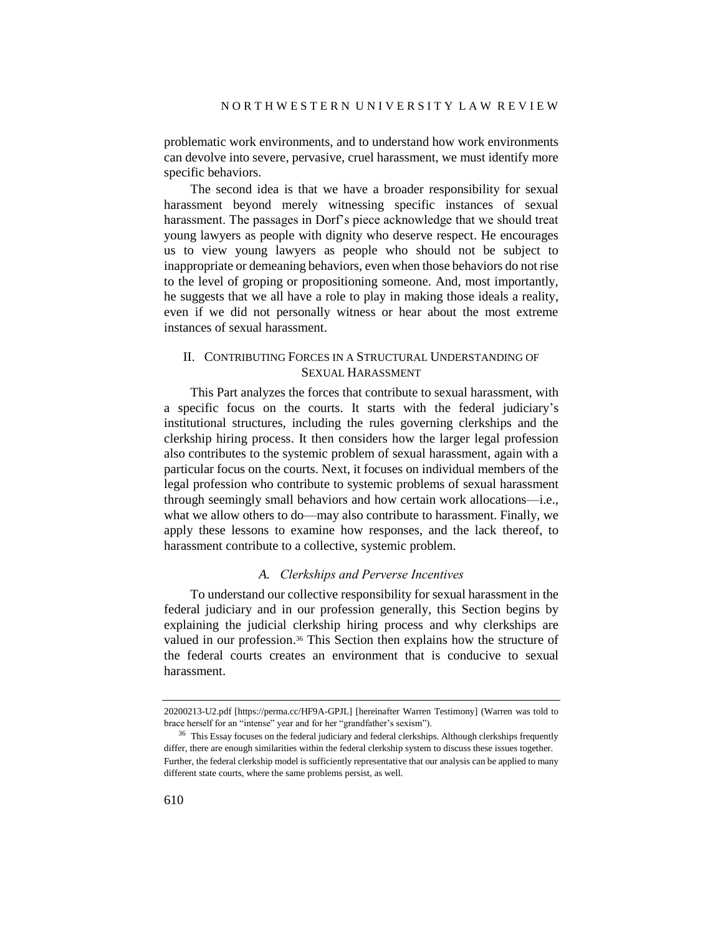problematic work environments, and to understand how work environments can devolve into severe, pervasive, cruel harassment, we must identify more specific behaviors.

The second idea is that we have a broader responsibility for sexual harassment beyond merely witnessing specific instances of sexual harassment. The passages in Dorf's piece acknowledge that we should treat young lawyers as people with dignity who deserve respect. He encourages us to view young lawyers as people who should not be subject to inappropriate or demeaning behaviors, even when those behaviors do not rise to the level of groping or propositioning someone. And, most importantly, he suggests that we all have a role to play in making those ideals a reality, even if we did not personally witness or hear about the most extreme instances of sexual harassment.

# II. CONTRIBUTING FORCES IN A STRUCTURAL UNDERSTANDING OF SEXUAL HARASSMENT

This Part analyzes the forces that contribute to sexual harassment, with a specific focus on the courts. It starts with the federal judiciary's institutional structures, including the rules governing clerkships and the clerkship hiring process. It then considers how the larger legal profession also contributes to the systemic problem of sexual harassment, again with a particular focus on the courts. Next, it focuses on individual members of the legal profession who contribute to systemic problems of sexual harassment through seemingly small behaviors and how certain work allocations—i.e., what we allow others to do—may also contribute to harassment. Finally, we apply these lessons to examine how responses, and the lack thereof, to harassment contribute to a collective, systemic problem.

### *A. Clerkships and Perverse Incentives*

To understand our collective responsibility for sexual harassment in the federal judiciary and in our profession generally, this Section begins by explaining the judicial clerkship hiring process and why clerkships are valued in our profession. <sup>36</sup> This Section then explains how the structure of the federal courts creates an environment that is conducive to sexual harassment.

<sup>20200213-</sup>U2.pdf [https://perma.cc/HF9A-GPJL] [hereinafter Warren Testimony] (Warren was told to brace herself for an "intense" year and for her "grandfather's sexism").

<sup>&</sup>lt;sup>36</sup> This Essay focuses on the federal judiciary and federal clerkships. Although clerkships frequently differ, there are enough similarities within the federal clerkship system to discuss these issues together. Further, the federal clerkship model is sufficiently representative that our analysis can be applied to many different state courts, where the same problems persist, as well.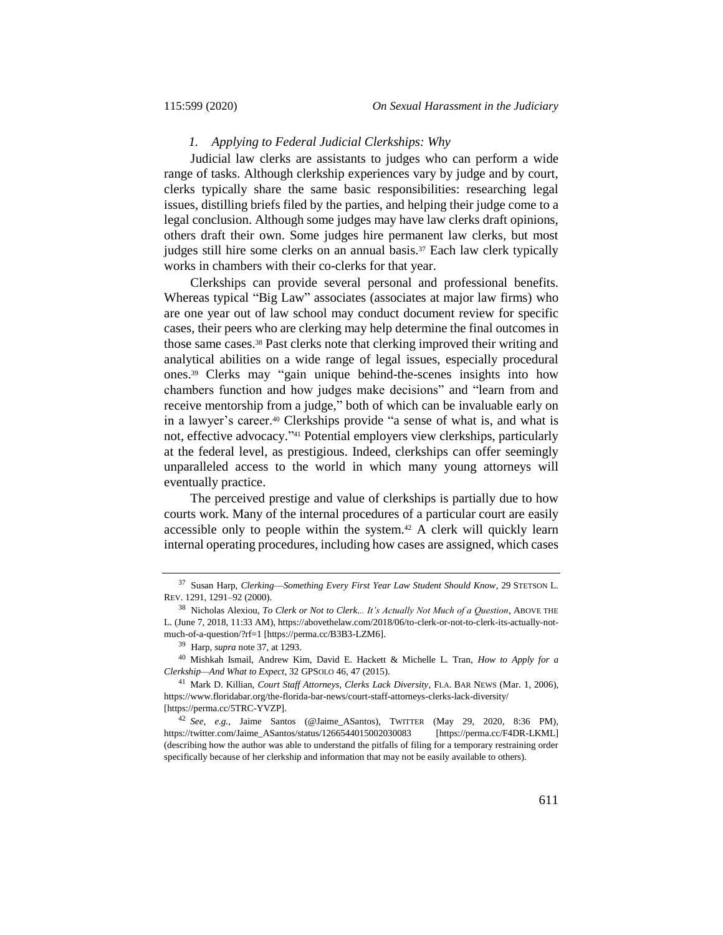#### <span id="page-12-0"></span>*1. Applying to Federal Judicial Clerkships: Why*

Judicial law clerks are assistants to judges who can perform a wide range of tasks. Although clerkship experiences vary by judge and by court, clerks typically share the same basic responsibilities: researching legal issues, distilling briefs filed by the parties, and helping their judge come to a legal conclusion. Although some judges may have law clerks draft opinions, others draft their own. Some judges hire permanent law clerks, but most judges still hire some clerks on an annual basis.<sup>37</sup> Each law clerk typically works in chambers with their co-clerks for that year.

Clerkships can provide several personal and professional benefits. Whereas typical "Big Law" associates (associates at major law firms) who are one year out of law school may conduct document review for specific cases, their peers who are clerking may help determine the final outcomes in those same cases. <sup>38</sup> Past clerks note that clerking improved their writing and analytical abilities on a wide range of legal issues, especially procedural ones. <sup>39</sup> Clerks may "gain unique behind-the-scenes insights into how chambers function and how judges make decisions" and "learn from and receive mentorship from a judge," both of which can be invaluable early on in a lawyer's career.<sup>40</sup> Clerkships provide "a sense of what is, and what is not, effective advocacy." <sup>41</sup> Potential employers view clerkships, particularly at the federal level, as prestigious. Indeed, clerkships can offer seemingly unparalleled access to the world in which many young attorneys will eventually practice.

<span id="page-12-1"></span>The perceived prestige and value of clerkships is partially due to how courts work. Many of the internal procedures of a particular court are easily accessible only to people within the system.<sup>42</sup> A clerk will quickly learn internal operating procedures, including how cases are assigned, which cases

<sup>37</sup> Susan Harp, *Clerking*—*Something Every First Year Law Student Should Know*, 29 STETSON L. REV. 1291, 1291–92 (2000).

<sup>38</sup> Nicholas Alexiou, *To Clerk or Not to Clerk... It's Actually Not Much of a Question*, ABOVE THE L. (June 7, 2018, 11:33 AM), https://abovethelaw.com/2018/06/to-clerk-or-not-to-clerk-its-actually-notmuch-of-a-question/?rf=1 [https://perma.cc/B3B3-LZM6].

<sup>39</sup> Harp, *supra* not[e 37,](#page-12-0) at 1293.

<sup>40</sup> Mishkah Ismail, Andrew Kim, David E. Hackett & Michelle L. Tran, *How to Apply for a Clerkship—And What to Expect*, 32 GPSOLO 46, 47 (2015).

<sup>41</sup> Mark D. Killian, *Court Staff Attorneys, Clerks Lack Diversity*, FLA. BAR NEWS (Mar. 1, 2006), https://www.floridabar.org/the-florida-bar-news/court-staff-attorneys-clerks-lack-diversity/

<sup>[</sup>https://perma.cc/5TRC-YVZP].

<sup>42</sup> *See, e.g.*, Jaime Santos (@Jaime\_ASantos), TWITTER (May 29, 2020, 8:36 PM), https://twitter.com/Jaime\_ASantos/status/1266544015002030083 [https://perma.cc/F4DR-LKML] (describing how the author was able to understand the pitfalls of filing for a temporary restraining order specifically because of her clerkship and information that may not be easily available to others).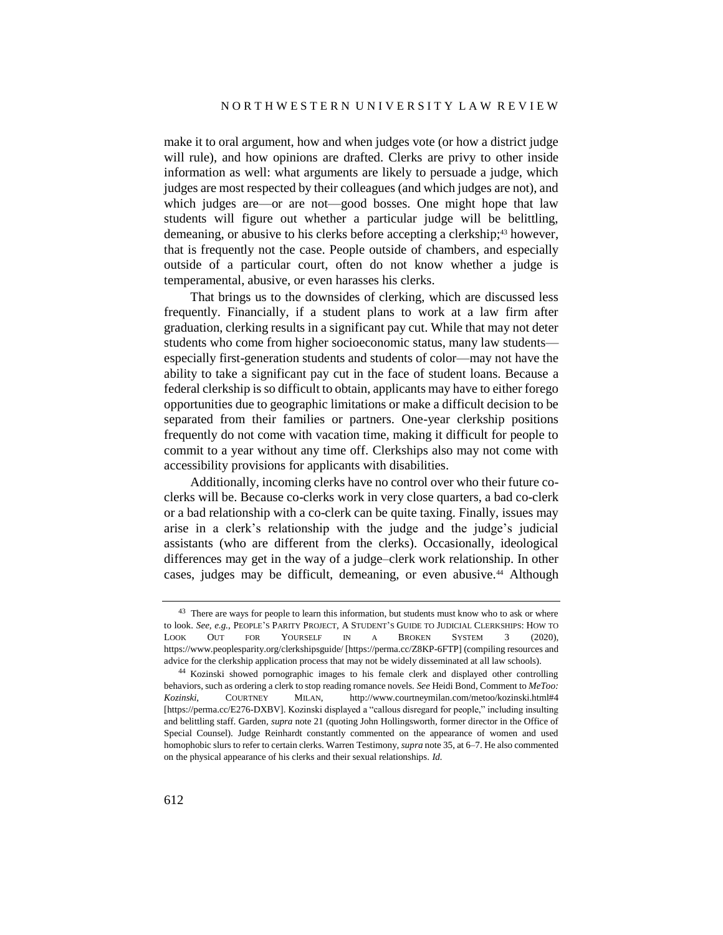make it to oral argument, how and when judges vote (or how a district judge will rule), and how opinions are drafted. Clerks are privy to other inside information as well: what arguments are likely to persuade a judge, which judges are most respected by their colleagues (and which judges are not), and which judges are—or are not—good bosses. One might hope that law students will figure out whether a particular judge will be belittling, demeaning, or abusive to his clerks before accepting a clerkship;<sup>43</sup> however, that is frequently not the case. People outside of chambers, and especially outside of a particular court, often do not know whether a judge is temperamental, abusive, or even harasses his clerks.

That brings us to the downsides of clerking, which are discussed less frequently. Financially, if a student plans to work at a law firm after graduation, clerking results in a significant pay cut. While that may not deter students who come from higher socioeconomic status, many law students especially first-generation students and students of color—may not have the ability to take a significant pay cut in the face of student loans. Because a federal clerkship isso difficult to obtain, applicants may have to either forego opportunities due to geographic limitations or make a difficult decision to be separated from their families or partners. One-year clerkship positions frequently do not come with vacation time, making it difficult for people to commit to a year without any time off. Clerkships also may not come with accessibility provisions for applicants with disabilities.

Additionally, incoming clerks have no control over who their future coclerks will be. Because co-clerks work in very close quarters, a bad co-clerk or a bad relationship with a co-clerk can be quite taxing. Finally, issues may arise in a clerk's relationship with the judge and the judge's judicial assistants (who are different from the clerks). Occasionally, ideological differences may get in the way of a judge–clerk work relationship. In other cases, judges may be difficult, demeaning, or even abusive.<sup>44</sup> Although

<span id="page-13-0"></span><sup>&</sup>lt;sup>43</sup> There are ways for people to learn this information, but students must know who to ask or where to look. *See, e.g.*, PEOPLE'S PARITY PROJECT, A STUDENT'S GUIDE TO JUDICIAL CLERKSHIPS: HOW TO LOOK OUT FOR YOURSELF IN A BROKEN SYSTEM 3 (2020), https://www.peoplesparity.org/clerkshipsguide/ [https://perma.cc/Z8KP-6FTP] (compiling resources and advice for the clerkship application process that may not be widely disseminated at all law schools).

<sup>44</sup> Kozinski showed pornographic images to his female clerk and displayed other controlling behaviors, such as ordering a clerk to stop reading romance novels. *See* Heidi Bond, Comment to *MeToo: Kozinski*, COURTNEY MILAN, http://www.courtneymilan.com/metoo/kozinski.html#4 [https://perma.cc/E276-DXBV]. Kozinski displayed a "callous disregard for people," including insulting and belittling staff. Garden, *supra* note [21](#page-7-0) (quoting John Hollingsworth, former director in the Office of Special Counsel). Judge Reinhardt constantly commented on the appearance of women and used homophobic slurs to refer to certain clerks. Warren Testimony, *supra* not[e 35,](#page-10-0) at 6–7. He also commented on the physical appearance of his clerks and their sexual relationships. *Id.*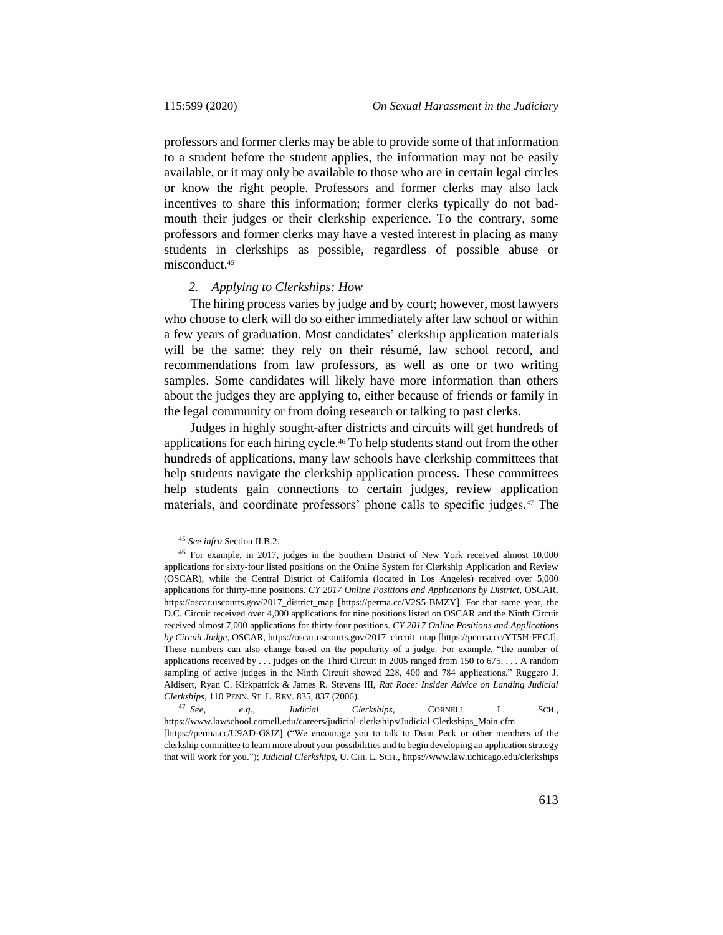professors and former clerks may be able to provide some of that information to a student before the student applies, the information may not be easily available, or it may only be available to those who are in certain legal circles or know the right people. Professors and former clerks may also lack incentives to share this information; former clerks typically do not badmouth their judges or their clerkship experience. To the contrary, some professors and former clerks may have a vested interest in placing as many students in clerkships as possible, regardless of possible abuse or misconduct.<sup>45</sup>

#### *2. Applying to Clerkships: How*

The hiring process varies by judge and by court; however, most lawyers who choose to clerk will do so either immediately after law school or within a few years of graduation. Most candidates' clerkship application materials will be the same: they rely on their résumé, law school record, and recommendations from law professors, as well as one or two writing samples. Some candidates will likely have more information than others about the judges they are applying to, either because of friends or family in the legal community or from doing research or talking to past clerks.

<span id="page-14-0"></span>Judges in highly sought-after districts and circuits will get hundreds of applications for each hiring cycle.<sup>46</sup> To help students stand out from the other hundreds of applications, many law schools have clerkship committees that help students navigate the clerkship application process. These committees help students gain connections to certain judges, review application materials, and coordinate professors' phone calls to specific judges.<sup>47</sup> The

<sup>45</sup> *See infra* Section II.B.2.

<sup>46</sup> For example, in 2017, judges in the Southern District of New York received almost 10,000 applications for sixty-four listed positions on the Online System for Clerkship Application and Review (OSCAR), while the Central District of California (located in Los Angeles) received over 5,000 applications for thirty-nine positions. *CY 2017 Online Positions and Applications by District*, OSCAR, https://oscar.uscourts.gov/2017\_district\_map [https://perma.cc/V2S5-BMZY]. For that same year, the D.C. Circuit received over 4,000 applications for nine positions listed on OSCAR and the Ninth Circuit received almost 7,000 applications for thirty-four positions. *CY 2017 Online Positions and Applications by Circuit Judge*, OSCAR, https://oscar.uscourts.gov/2017\_circuit\_map [https://perma.cc/YT5H-FECJ]. These numbers can also change based on the popularity of a judge. For example, "the number of applications received by . . . judges on the Third Circuit in 2005 ranged from 150 to 675. . . . A random sampling of active judges in the Ninth Circuit showed 228, 400 and 784 applications." Ruggero J. Aldisert, Ryan C. Kirkpatrick & James R. Stevens III, *Rat Race: Insider Advice on Landing Judicial Clerkships*, 110 PENN. ST. L. REV. 835, 837 (2006).

<sup>47</sup> *See, e.g.*, *Judicial Clerkships*, CORNELL L. SCH., https://www.lawschool.cornell.edu/careers/judicial-clerkships/Judicial-Clerkships\_Main.cfm [https://perma.cc/U9AD-G8JZ] ("We encourage you to talk to Dean Peck or other members of the clerkship committee to learn more about your possibilities and to begin developing an application strategy that will work for you."); *Judicial Clerkships*, U. CHI. L. SCH., https://www.law.uchicago.edu/clerkships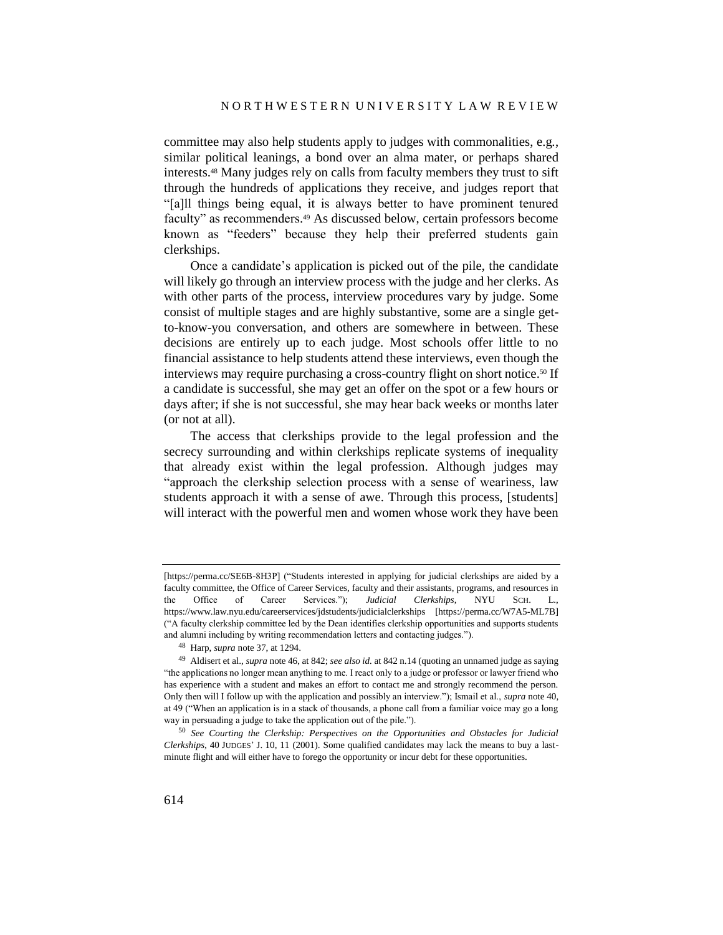committee may also help students apply to judges with commonalities, e.g*.*, similar political leanings, a bond over an alma mater, or perhaps shared interests. <sup>48</sup> Many judges rely on calls from faculty members they trust to sift through the hundreds of applications they receive, and judges report that "[a]ll things being equal, it is always better to have prominent tenured faculty" as recommenders. <sup>49</sup> As discussed below, certain professors become known as "feeders" because they help their preferred students gain clerkships.

Once a candidate's application is picked out of the pile, the candidate will likely go through an interview process with the judge and her clerks. As with other parts of the process, interview procedures vary by judge. Some consist of multiple stages and are highly substantive, some are a single getto-know-you conversation, and others are somewhere in between. These decisions are entirely up to each judge. Most schools offer little to no financial assistance to help students attend these interviews, even though the interviews may require purchasing a cross-country flight on short notice.<sup>50</sup> If a candidate is successful, she may get an offer on the spot or a few hours or days after; if she is not successful, she may hear back weeks or months later (or not at all).

The access that clerkships provide to the legal profession and the secrecy surrounding and within clerkships replicate systems of inequality that already exist within the legal profession. Although judges may "approach the clerkship selection process with a sense of weariness, law students approach it with a sense of awe. Through this process, [students] will interact with the powerful men and women whose work they have been

<sup>[</sup>https://perma.cc/SE6B-8H3P] ("Students interested in applying for judicial clerkships are aided by a faculty committee, the Office of Career Services, faculty and their assistants, programs, and resources in the Office of Career Services."); *Judicial Clerkships*, NYU SCH. L., https://www.law.nyu.edu/careerservices/jdstudents/judicialclerkships [https://perma.cc/W7A5-ML7B] ("A faculty clerkship committee led by the Dean identifies clerkship opportunities and supports students and alumni including by writing recommendation letters and contacting judges.").

<sup>48</sup> Harp, *supra* note 37, at 1294.

<sup>49</sup> Aldisert et al., *supra* not[e 46,](#page-14-0) at 842; *see also id.* at 842 n.14 (quoting an unnamed judge as saying "the applications no longer mean anything to me. I react only to a judge or professor or lawyer friend who has experience with a student and makes an effort to contact me and strongly recommend the person. Only then will I follow up with the application and possibly an interview."); Ismail et al., *supra* not[e 40,](#page-12-1) at 49 ("When an application is in a stack of thousands, a phone call from a familiar voice may go a long way in persuading a judge to take the application out of the pile.").

<sup>50</sup> *See Courting the Clerkship: Perspectives on the Opportunities and Obstacles for Judicial Clerkships*, 40 JUDGES' J. 10, 11 (2001). Some qualified candidates may lack the means to buy a lastminute flight and will either have to forego the opportunity or incur debt for these opportunities.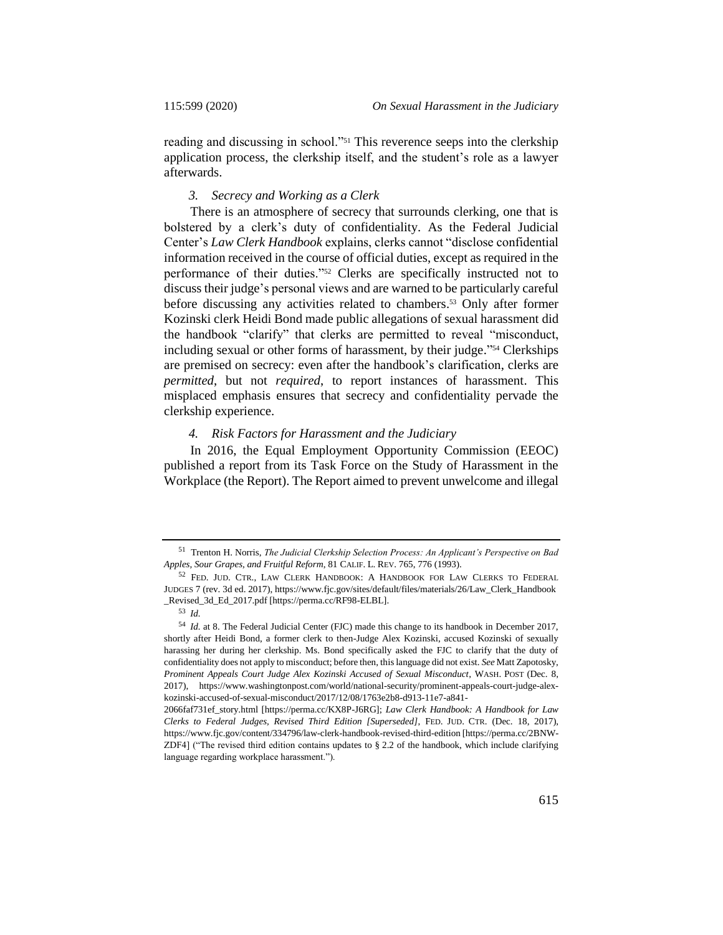reading and discussing in school."<sup>51</sup> This reverence seeps into the clerkship application process, the clerkship itself, and the student's role as a lawyer afterwards.

# <span id="page-16-0"></span>*3. Secrecy and Working as a Clerk*

There is an atmosphere of secrecy that surrounds clerking, one that is bolstered by a clerk's duty of confidentiality. As the Federal Judicial Center's *Law Clerk Handbook* explains, clerks cannot "disclose confidential information received in the course of official duties, except as required in the performance of their duties."<sup>52</sup> Clerks are specifically instructed not to discuss their judge's personal views and are warned to be particularly careful before discussing any activities related to chambers. <sup>53</sup> Only after former Kozinski clerk Heidi Bond made public allegations of sexual harassment did the handbook "clarify" that clerks are permitted to reveal "misconduct, including sexual or other forms of harassment, by their judge." <sup>54</sup> Clerkships are premised on secrecy: even after the handbook's clarification, clerks are *permitted*, but not *required*, to report instances of harassment. This misplaced emphasis ensures that secrecy and confidentiality pervade the clerkship experience.

#### *4. Risk Factors for Harassment and the Judiciary*

In 2016, the Equal Employment Opportunity Commission (EEOC) published a report from its Task Force on the Study of Harassment in the Workplace (the Report). The Report aimed to prevent unwelcome and illegal

<sup>51</sup> Trenton H. Norris, *The Judicial Clerkship Selection Process: An Applicant's Perspective on Bad Apples, Sour Grapes, and Fruitful Reform*, 81 CALIF. L. REV. 765, 776 (1993).

<sup>52</sup> FED. JUD. CTR., LAW CLERK HANDBOOK: A HANDBOOK FOR LAW CLERKS TO FEDERAL JUDGES 7 (rev. 3d ed. 2017), https://www.fjc.gov/sites/default/files/materials/26/Law\_Clerk\_Handbook \_Revised\_3d\_Ed\_2017.pdf [https://perma.cc/RF98-ELBL].

<sup>53</sup> *Id.*

<sup>54</sup> *Id.* at 8. The Federal Judicial Center (FJC) made this change to its handbook in December 2017, shortly after Heidi Bond, a former clerk to then-Judge Alex Kozinski, accused Kozinski of sexually harassing her during her clerkship. Ms. Bond specifically asked the FJC to clarify that the duty of confidentiality does not apply to misconduct; before then, this language did not exist. *See* Matt Zapotosky, *Prominent Appeals Court Judge Alex Kozinski Accused of Sexual Misconduct*, WASH. POST (Dec. 8, 2017), https://www.washingtonpost.com/world/national-security/prominent-appeals-court-judge-alexkozinski-accused-of-sexual-misconduct/2017/12/08/1763e2b8-d913-11e7-a841-

<sup>2066</sup>faf731ef\_story.html [https://perma.cc/KX8P-J6RG]; *Law Clerk Handbook: A Handbook for Law Clerks to Federal Judges, Revised Third Edition [Superseded]*, FED. JUD. CTR. (Dec. 18, 2017), https://www.fjc.gov/content/334796/law-clerk-handbook-revised-third-edition [https://perma.cc/2BNW-ZDF4] ("The revised third edition contains updates to § 2.2 of the handbook, which include clarifying language regarding workplace harassment.").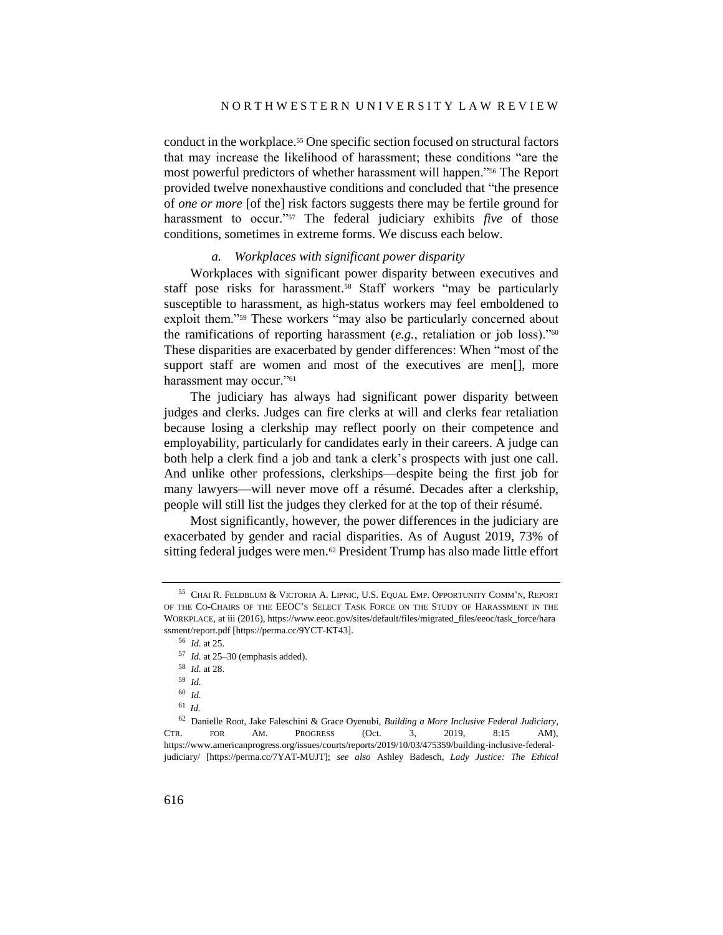<span id="page-17-0"></span>conduct in the workplace.<sup>55</sup> One specific section focused on structural factors that may increase the likelihood of harassment; these conditions "are the most powerful predictors of whether harassment will happen."<sup>56</sup> The Report provided twelve nonexhaustive conditions and concluded that "the presence of *one or more* [of the] risk factors suggests there may be fertile ground for harassment to occur."<sup>57</sup> The federal judiciary exhibits *five* of those conditions, sometimes in extreme forms. We discuss each below.

# *a. Workplaces with significant power disparity*

Workplaces with significant power disparity between executives and staff pose risks for harassment.<sup>58</sup> Staff workers "may be particularly susceptible to harassment, as high-status workers may feel emboldened to exploit them."<sup>59</sup> These workers "may also be particularly concerned about the ramifications of reporting harassment (*e.g.*, retaliation or job loss)."<sup>60</sup> These disparities are exacerbated by gender differences: When "most of the support staff are women and most of the executives are men[], more harassment may occur."<sup>61</sup>

The judiciary has always had significant power disparity between judges and clerks. Judges can fire clerks at will and clerks fear retaliation because losing a clerkship may reflect poorly on their competence and employability, particularly for candidates early in their careers. A judge can both help a clerk find a job and tank a clerk's prospects with just one call. And unlike other professions, clerkships—despite being the first job for many lawyers—will never move off a résumé. Decades after a clerkship, people will still list the judges they clerked for at the top of their résumé.

<span id="page-17-1"></span>Most significantly, however, the power differences in the judiciary are exacerbated by gender and racial disparities. As of August 2019, 73% of sitting federal judges were men.<sup>62</sup> President Trump has also made little effort

<sup>56</sup> *Id.* at 25.

<sup>55</sup> CHAI R. FELDBLUM & VICTORIA A. LIPNIC, U.S. EQUAL EMP. OPPORTUNITY COMM'N, REPORT OF THE CO-CHAIRS OF THE EEOC'S SELECT TASK FORCE ON THE STUDY OF HARASSMENT IN THE WORKPLACE, at iii (2016), https://www.eeoc.gov/sites/default/files/migrated\_files/eeoc/task\_force/hara ssment/report.pdf [https://perma.cc/9YCT-KT43].

<sup>57</sup> *Id.* at 25–30 (emphasis added).

<sup>58</sup> *Id.* at 28.

<sup>59</sup> *Id.*

<sup>60</sup> *Id.*

<sup>61</sup> *Id.*

<sup>62</sup> Danielle Root, Jake Faleschini & Grace Oyenubi, *Building a More Inclusive Federal Judiciary*, CTR. FOR AM. PROGRESS (Oct. 3, 2019, 8:15 AM), https://www.americanprogress.org/issues/courts/reports/2019/10/03/475359/building-inclusive-federaljudiciary/ [https://perma.cc/7YAT-MUJT]; *see also* Ashley Badesch, *Lady Justice: The Ethical*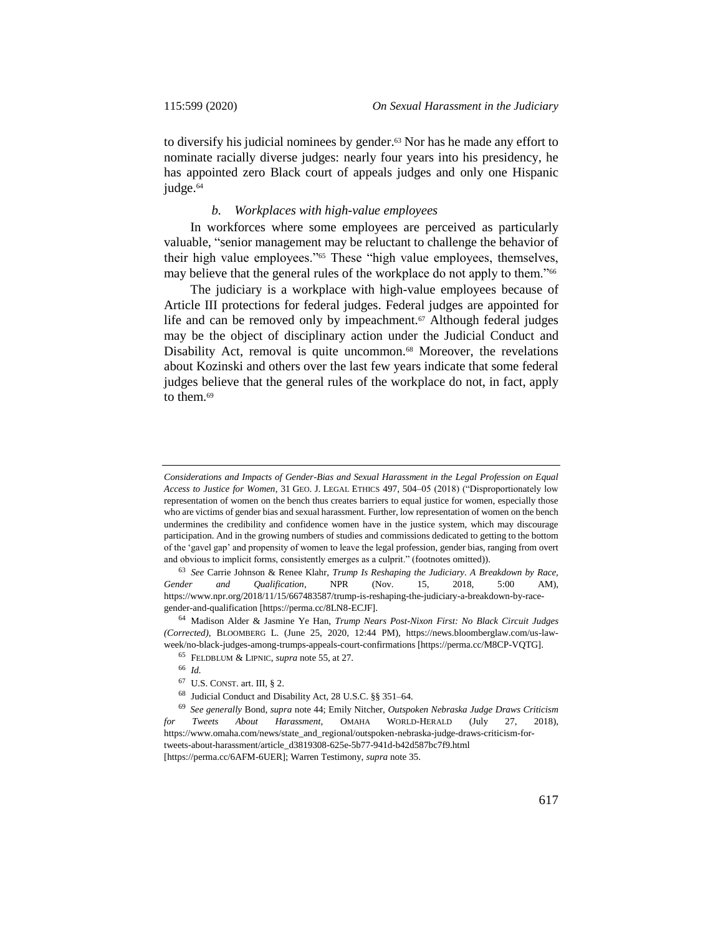to diversify his judicial nominees by gender.<sup>63</sup> Nor has he made any effort to nominate racially diverse judges: nearly four years into his presidency, he has appointed zero Black court of appeals judges and only one Hispanic judge.<sup>64</sup>

## *b. Workplaces with high-value employees*

In workforces where some employees are perceived as particularly valuable, "senior management may be reluctant to challenge the behavior of their high value employees."<sup>65</sup> These "high value employees, themselves, may believe that the general rules of the workplace do not apply to them."<sup>66</sup>

The judiciary is a workplace with high-value employees because of Article III protections for federal judges. Federal judges are appointed for life and can be removed only by impeachment. $67$  Although federal judges may be the object of disciplinary action under the Judicial Conduct and Disability Act, removal is quite uncommon.<sup>68</sup> Moreover, the revelations about Kozinski and others over the last few years indicate that some federal judges believe that the general rules of the workplace do not, in fact, apply to them.<sup>69</sup>

*Considerations and Impacts of Gender-Bias and Sexual Harassment in the Legal Profession on Equal Access to Justice for Women*, 31 GEO. J. LEGAL ETHICS 497, 504–05 (2018) ("Disproportionately low representation of women on the bench thus creates barriers to equal justice for women, especially those who are victims of gender bias and sexual harassment. Further, low representation of women on the bench undermines the credibility and confidence women have in the justice system, which may discourage participation. And in the growing numbers of studies and commissions dedicated to getting to the bottom of the 'gavel gap' and propensity of women to leave the legal profession, gender bias, ranging from overt and obvious to implicit forms, consistently emerges as a culprit." (footnotes omitted)).

<sup>63</sup> *See* Carrie Johnson & Renee Klahr, *Trump Is Reshaping the Judiciary. A Breakdown by Race, Gender and Qualification*, NPR (Nov. 15, 2018, 5:00 AM), https://www.npr.org/2018/11/15/667483587/trump-is-reshaping-the-judiciary-a-breakdown-by-racegender-and-qualification [https://perma.cc/8LN8-ECJF].

<sup>64</sup> Madison Alder & Jasmine Ye Han, *Trump Nears Post-Nixon First: No Black Circuit Judges (Corrected)*, BLOOMBERG L. (June 25, 2020, 12:44 PM), https://news.bloomberglaw.com/us-lawweek/no-black-judges-among-trumps-appeals-court-confirmations [https://perma.cc/M8CP-VQTG].

<sup>65</sup> FELDBLUM & LIPNIC, *supra* not[e 55,](#page-17-0) at 27.

<sup>66</sup> *Id.*

<sup>67</sup> U.S. CONST. art. III, § 2.

<sup>68</sup> Judicial Conduct and Disability Act, 28 U.S.C. §§ 351–64.

<sup>69</sup> *See generally* Bond*, supra* not[e 44;](#page-13-0) Emily Nitcher, *Outspoken Nebraska Judge Draws Criticism for Tweets About Harassment*, OMAHA WORLD-HERALD (July 27, 2018), https://www.omaha.com/news/state\_and\_regional/outspoken-nebraska-judge-draws-criticism-fortweets-about-harassment/article\_d3819308-625e-5b77-941d-b42d587bc7f9.html [https://perma.cc/6AFM-6UER]; Warren Testimony, *supra* not[e 35.](#page-10-0)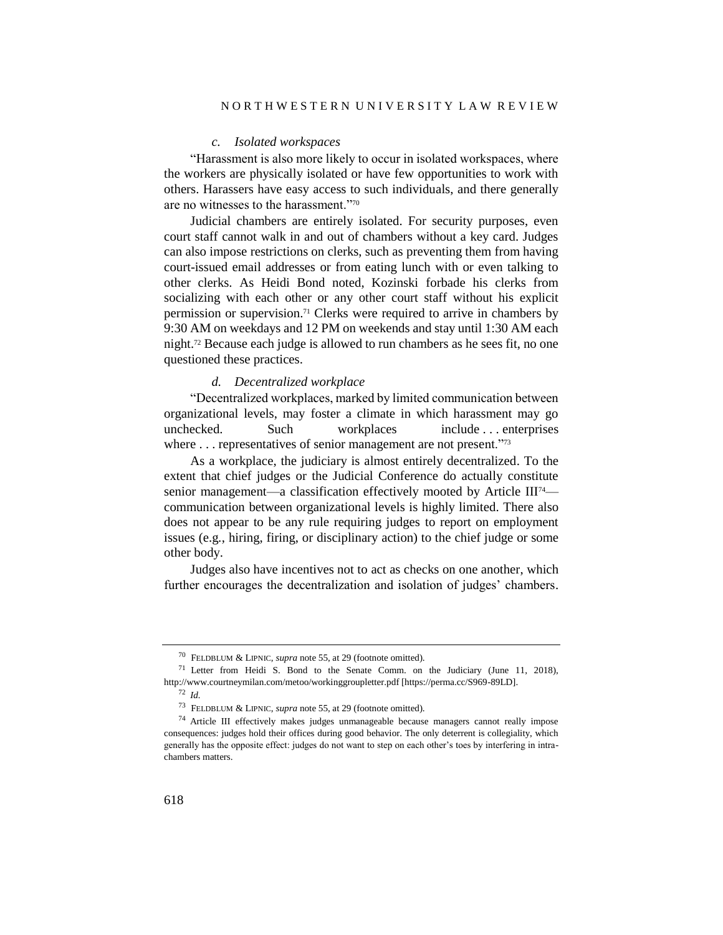#### *c. Isolated workspaces*

"Harassment is also more likely to occur in isolated workspaces, where the workers are physically isolated or have few opportunities to work with others. Harassers have easy access to such individuals, and there generally are no witnesses to the harassment."<sup>70</sup>

Judicial chambers are entirely isolated. For security purposes, even court staff cannot walk in and out of chambers without a key card. Judges can also impose restrictions on clerks, such as preventing them from having court-issued email addresses or from eating lunch with or even talking to other clerks. As Heidi Bond noted, Kozinski forbade his clerks from socializing with each other or any other court staff without his explicit permission or supervision.<sup>71</sup> Clerks were required to arrive in chambers by 9:30 AM on weekdays and 12 PM on weekends and stay until 1:30 AM each night.<sup>72</sup> Because each judge is allowed to run chambers as he sees fit, no one questioned these practices.

#### *d. Decentralized workplace*

"Decentralized workplaces, marked by limited communication between organizational levels, may foster a climate in which harassment may go unchecked. Such workplaces include ... enterprises where ... representatives of senior management are not present."73

As a workplace, the judiciary is almost entirely decentralized. To the extent that chief judges or the Judicial Conference do actually constitute senior management—a classification effectively mooted by Article III<sup>74</sup> communication between organizational levels is highly limited. There also does not appear to be any rule requiring judges to report on employment issues (e.g*.*, hiring, firing, or disciplinary action) to the chief judge or some other body.

Judges also have incentives not to act as checks on one another, which further encourages the decentralization and isolation of judges' chambers.

<sup>70</sup> FELDBLUM & LIPNIC, *supra* not[e 55,](#page-17-0) at 29 (footnote omitted).

<sup>71</sup> Letter from Heidi S. Bond to the Senate Comm. on the Judiciary (June 11, 2018), http://www.courtneymilan.com/metoo/workinggroupletter.pdf [https://perma.cc/S969-89LD].

<sup>72</sup> *Id.*

<sup>73</sup> FELDBLUM & LIPNIC, *supra* not[e 55,](#page-17-0) at 29 (footnote omitted).

<sup>74</sup> Article III effectively makes judges unmanageable because managers cannot really impose consequences: judges hold their offices during good behavior. The only deterrent is collegiality, which generally has the opposite effect: judges do not want to step on each other's toes by interfering in intrachambers matters.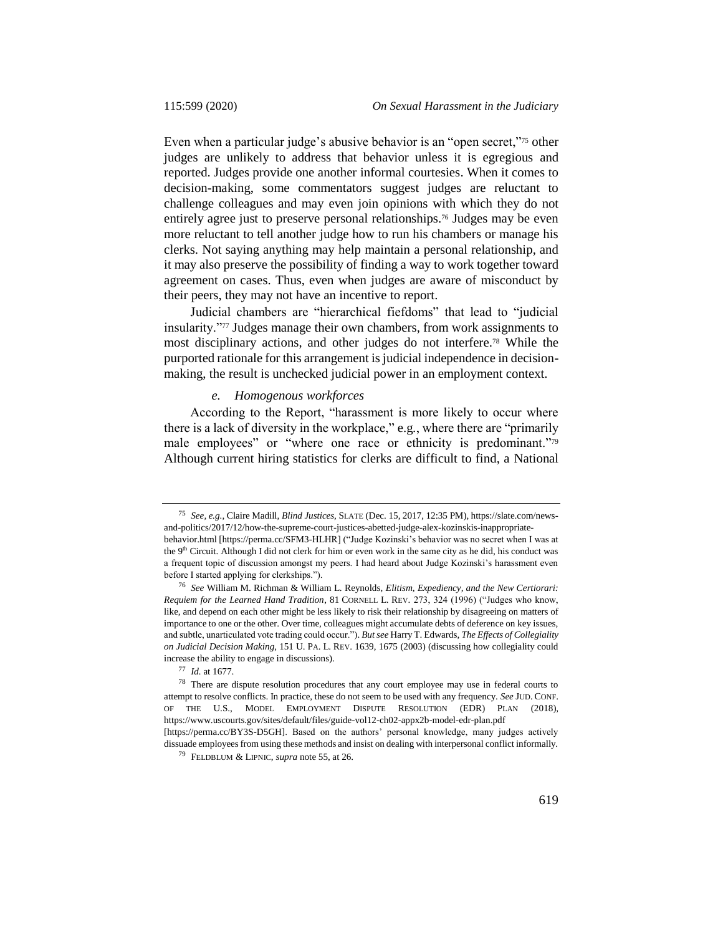<span id="page-20-0"></span>Even when a particular judge's abusive behavior is an "open secret,"<sup>75</sup> other judges are unlikely to address that behavior unless it is egregious and reported. Judges provide one another informal courtesies. When it comes to decision-making, some commentators suggest judges are reluctant to challenge colleagues and may even join opinions with which they do not entirely agree just to preserve personal relationships.<sup>76</sup> Judges may be even more reluctant to tell another judge how to run his chambers or manage his clerks. Not saying anything may help maintain a personal relationship, and it may also preserve the possibility of finding a way to work together toward agreement on cases. Thus, even when judges are aware of misconduct by their peers, they may not have an incentive to report.

Judicial chambers are "hierarchical fiefdoms" that lead to "judicial insularity."<sup>77</sup> Judges manage their own chambers, from work assignments to most disciplinary actions, and other judges do not interfere.<sup>78</sup> While the purported rationale for this arrangement is judicial independence in decisionmaking, the result is unchecked judicial power in an employment context.

# *e. Homogenous workforces*

According to the Report, "harassment is more likely to occur where there is a lack of diversity in the workplace," e.g*.*, where there are "primarily male employees" or "where one race or ethnicity is predominant."<sup>79</sup> Although current hiring statistics for clerks are difficult to find, a National

<sup>75</sup> *See, e.g.*, Claire Madill, *Blind Justices*, SLATE (Dec. 15, 2017, 12:35 PM), https://slate.com/newsand-politics/2017/12/how-the-supreme-court-justices-abetted-judge-alex-kozinskis-inappropriate-

behavior.html [https://perma.cc/SFM3-HLHR] ("Judge Kozinski's behavior was no secret when I was at the 9<sup>th</sup> Circuit. Although I did not clerk for him or even work in the same city as he did, his conduct was a frequent topic of discussion amongst my peers. I had heard about Judge Kozinski's harassment even before I started applying for clerkships.").

<sup>76</sup> *See* William M. Richman & William L. Reynolds, *Elitism, Expediency, and the New Certiorari: Requiem for the Learned Hand Tradition*, 81 CORNELL L. REV. 273, 324 (1996) ("Judges who know, like, and depend on each other might be less likely to risk their relationship by disagreeing on matters of importance to one or the other. Over time, colleagues might accumulate debts of deference on key issues, and subtle, unarticulated vote trading could occur."). *But see* Harry T. Edwards, *The Effects of Collegiality on Judicial Decision Making*, 151 U. PA. L. REV. 1639, 1675 (2003) (discussing how collegiality could increase the ability to engage in discussions).

<sup>77</sup> *Id.* at 1677.

<sup>78</sup> There are dispute resolution procedures that any court employee may use in federal courts to attempt to resolve conflicts. In practice, these do not seem to be used with any frequency. *See* JUD. CONF. OF THE U.S., MODEL EMPLOYMENT DISPUTE RESOLUTION (EDR) PLAN (2018), https://www.uscourts.gov/sites/default/files/guide-vol12-ch02-appx2b-model-edr-plan.pdf [https://perma.cc/BY3S-D5GH]. Based on the authors' personal knowledge, many judges actively

dissuade employees from using these methods and insist on dealing with interpersonal conflict informally.

<sup>79</sup> FELDBLUM & LIPNIC, *supra* not[e 55,](#page-17-0) at 26.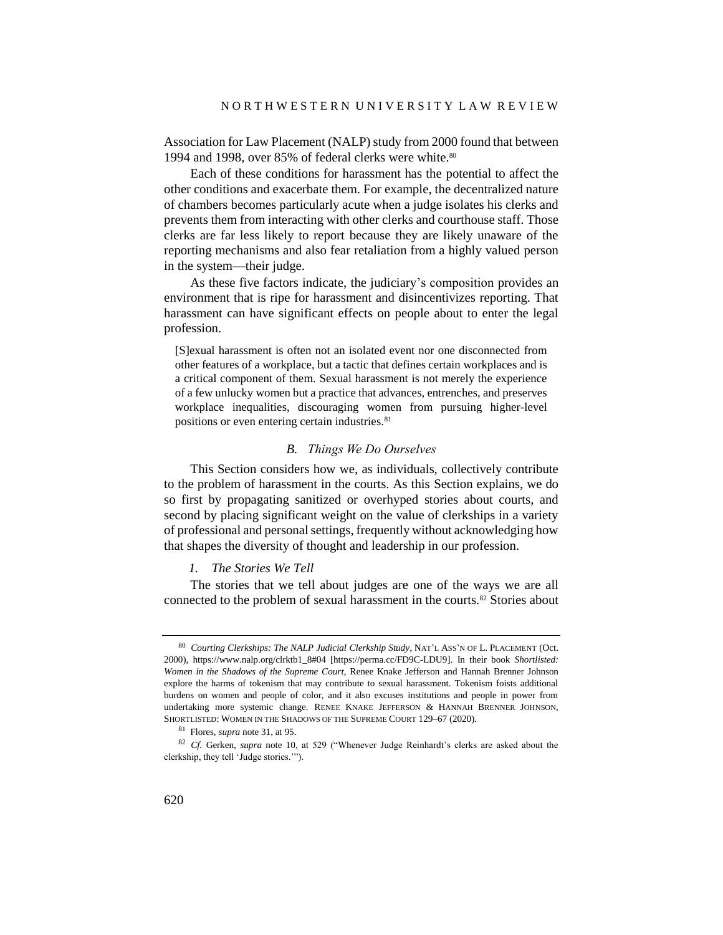<span id="page-21-0"></span>Association for Law Placement (NALP) study from 2000 found that between 1994 and 1998, over 85% of federal clerks were white.<sup>80</sup>

Each of these conditions for harassment has the potential to affect the other conditions and exacerbate them. For example, the decentralized nature of chambers becomes particularly acute when a judge isolates his clerks and prevents them from interacting with other clerks and courthouse staff. Those clerks are far less likely to report because they are likely unaware of the reporting mechanisms and also fear retaliation from a highly valued person in the system—their judge.

As these five factors indicate, the judiciary's composition provides an environment that is ripe for harassment and disincentivizes reporting. That harassment can have significant effects on people about to enter the legal profession.

[S]exual harassment is often not an isolated event nor one disconnected from other features of a workplace, but a tactic that defines certain workplaces and is a critical component of them. Sexual harassment is not merely the experience of a few unlucky women but a practice that advances, entrenches, and preserves workplace inequalities, discouraging women from pursuing higher-level positions or even entering certain industries.<sup>81</sup>

# *B. Things We Do Ourselves*

This Section considers how we, as individuals, collectively contribute to the problem of harassment in the courts. As this Section explains, we do so first by propagating sanitized or overhyped stories about courts, and second by placing significant weight on the value of clerkships in a variety of professional and personal settings, frequently without acknowledging how that shapes the diversity of thought and leadership in our profession.

# *1. The Stories We Tell*

The stories that we tell about judges are one of the ways we are all connected to the problem of sexual harassment in the courts.<sup>82</sup> Stories about

<sup>80</sup> *Courting Clerkships: The NALP Judicial Clerkship Study*, NAT'L ASS'N OF L. PLACEMENT (Oct. 2000), https://www.nalp.org/clrktb1\_8#04 [https://perma.cc/FD9C-LDU9]. In their book *Shortlisted: Women in the Shadows of the Supreme Court*, Renee Knake Jefferson and Hannah Brenner Johnson explore the harms of tokenism that may contribute to sexual harassment. Tokenism foists additional burdens on women and people of color, and it also excuses institutions and people in power from undertaking more systemic change. RENEE KNAKE JEFFERSON & HANNAH BRENNER JOHNSON, SHORTLISTED: WOMEN IN THE SHADOWS OF THE SUPREME COURT 129–67 (2020).

<sup>81</sup> Flores, *supra* not[e 31,](#page-9-0) at 95.

<sup>82</sup> *Cf.* Gerken, *supra* note [10,](#page-4-0) at 529 ("Whenever Judge Reinhardt's clerks are asked about the clerkship, they tell 'Judge stories.'").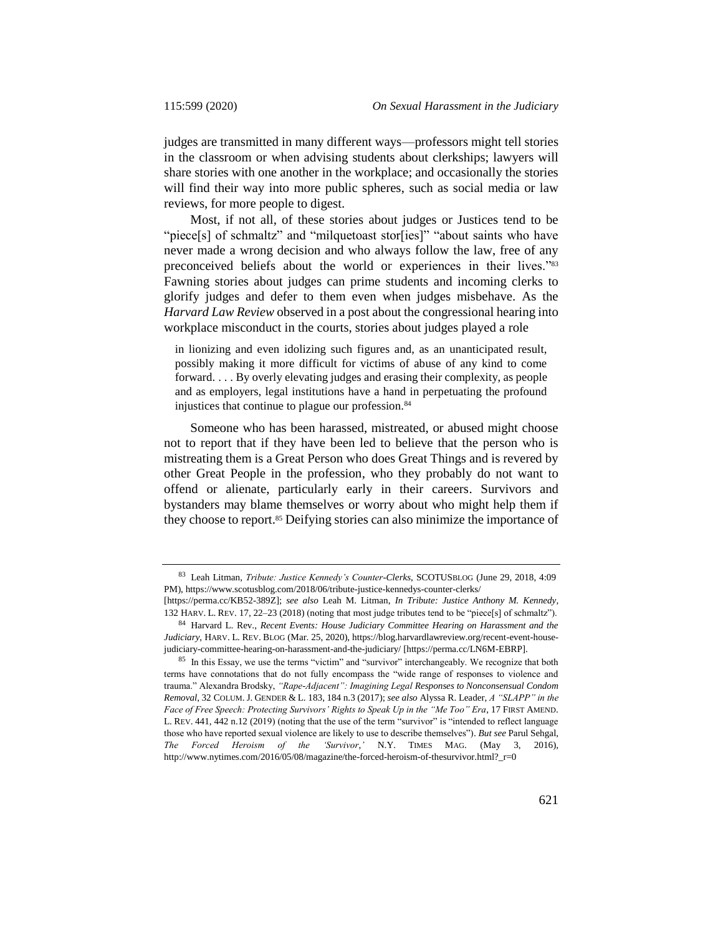judges are transmitted in many different ways—professors might tell stories in the classroom or when advising students about clerkships; lawyers will share stories with one another in the workplace; and occasionally the stories will find their way into more public spheres, such as social media or law reviews, for more people to digest.

Most, if not all, of these stories about judges or Justices tend to be "piece[s] of schmaltz" and "milquetoast stor[ies]" "about saints who have never made a wrong decision and who always follow the law, free of any preconceived beliefs about the world or experiences in their lives."83 Fawning stories about judges can prime students and incoming clerks to glorify judges and defer to them even when judges misbehave. As the *Harvard Law Review* observed in a post about the congressional hearing into workplace misconduct in the courts, stories about judges played a role

in lionizing and even idolizing such figures and, as an unanticipated result, possibly making it more difficult for victims of abuse of any kind to come forward. . . . By overly elevating judges and erasing their complexity, as people and as employers, legal institutions have a hand in perpetuating the profound injustices that continue to plague our profession.<sup>84</sup>

Someone who has been harassed, mistreated, or abused might choose not to report that if they have been led to believe that the person who is mistreating them is a Great Person who does Great Things and is revered by other Great People in the profession, who they probably do not want to offend or alienate, particularly early in their careers. Survivors and bystanders may blame themselves or worry about who might help them if they choose to report.<sup>85</sup> Deifying stories can also minimize the importance of

<sup>83</sup> Leah Litman, *Tribute: Justice Kennedy's Counter-Clerks*, SCOTUSBLOG (June 29, 2018, 4:09 PM), https://www.scotusblog.com/2018/06/tribute-justice-kennedys-counter-clerks/

<sup>[</sup>https://perma.cc/KB52-389Z]; *see also* Leah M. Litman, *In Tribute: Justice Anthony M. Kennedy*, 132 HARV. L. REV. 17, 22–23 (2018) (noting that most judge tributes tend to be "piece[s] of schmaltz").

<sup>84</sup> Harvard L. Rev., *Recent Events: House Judiciary Committee Hearing on Harassment and the Judiciary*, HARV. L. REV. BLOG (Mar. 25, 2020), https://blog.harvardlawreview.org/recent-event-housejudiciary-committee-hearing-on-harassment-and-the-judiciary/ [https://perma.cc/LN6M-EBRP].

<sup>&</sup>lt;sup>85</sup> In this Essay, we use the terms "victim" and "survivor" interchangeably. We recognize that both terms have connotations that do not fully encompass the "wide range of responses to violence and trauma." Alexandra Brodsky, *"Rape-Adjacent": Imagining Legal Responses to Nonconsensual Condom Removal*, 32 COLUM. J. GENDER & L. 183, 184 n.3 (2017); *see also* Alyssa R. Leader, *A "SLAPP" in the Face of Free Speech: Protecting Survivors' Rights to Speak Up in the "Me Too" Era*, 17 FIRST AMEND. L. REV. 441, 442 n.12 (2019) (noting that the use of the term "survivor" is "intended to reflect language those who have reported sexual violence are likely to use to describe themselves"). *But see* Parul Sehgal, *The Forced Heroism of the 'Survivor*,*'* N.Y. TIMES MAG. (May 3, 2016), http://www.nytimes.com/2016/05/08/magazine/the-forced-heroism-of-thesurvivor.html?\_r=0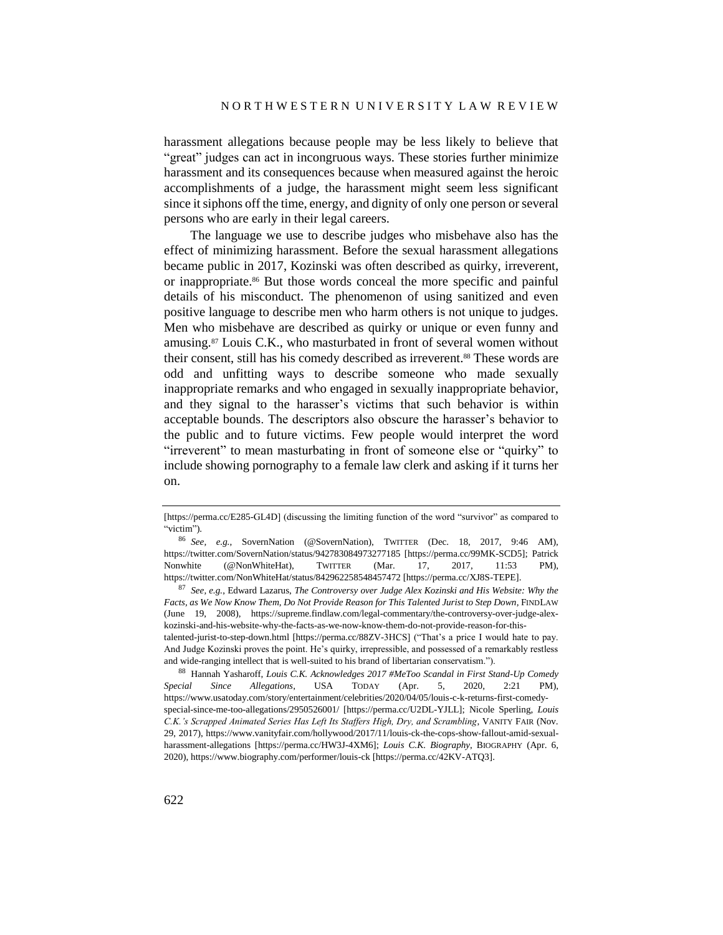harassment allegations because people may be less likely to believe that "great" judges can act in incongruous ways. These stories further minimize harassment and its consequences because when measured against the heroic accomplishments of a judge, the harassment might seem less significant since it siphons off the time, energy, and dignity of only one person or several persons who are early in their legal careers.

<span id="page-23-0"></span>The language we use to describe judges who misbehave also has the effect of minimizing harassment. Before the sexual harassment allegations became public in 2017, Kozinski was often described as quirky, irreverent, or inappropriate.<sup>86</sup> But those words conceal the more specific and painful details of his misconduct. The phenomenon of using sanitized and even positive language to describe men who harm others is not unique to judges. Men who misbehave are described as quirky or unique or even funny and amusing.<sup>87</sup> Louis C.K., who masturbated in front of several women without their consent, still has his comedy described as irreverent.<sup>88</sup> These words are odd and unfitting ways to describe someone who made sexually inappropriate remarks and who engaged in sexually inappropriate behavior, and they signal to the harasser's victims that such behavior is within acceptable bounds. The descriptors also obscure the harasser's behavior to the public and to future victims. Few people would interpret the word "irreverent" to mean masturbating in front of someone else or "quirky" to include showing pornography to a female law clerk and asking if it turns her on.

<sup>[</sup>https://perma.cc/E285-GL4D] (discussing the limiting function of the word "survivor" as compared to "victim").

<sup>86</sup> *See, e.g.*, SovernNation (@SovernNation), TWITTER (Dec. 18, 2017, 9:46 AM), https://twitter.com/SovernNation/status/942783084973277185 [https://perma.cc/99MK-SCD5]; Patrick Nonwhite (@NonWhiteHat), TWITTER (Mar. 17, 2017, 11:53 PM), https://twitter.com/NonWhiteHat/status/842962258548457472 [https://perma.cc/XJ8S-TEPE].

<sup>87</sup> *See, e.g.*, Edward Lazarus, *The Controversy over Judge Alex Kozinski and His Website: Why the Facts, as We Now Know Them, Do Not Provide Reason for This Talented Jurist to Step Down*, FINDLAW (June 19, 2008), https://supreme.findlaw.com/legal-commentary/the-controversy-over-judge-alexkozinski-and-his-website-why-the-facts-as-we-now-know-them-do-not-provide-reason-for-thistalented-jurist-to-step-down.html [https://perma.cc/88ZV-3HCS] ("That's a price I would hate to pay. And Judge Kozinski proves the point. He's quirky, irrepressible, and possessed of a remarkably restless and wide-ranging intellect that is well-suited to his brand of libertarian conservatism.").

<sup>88</sup> Hannah Yasharoff, *Louis C.K. Acknowledges 2017 #MeToo Scandal in First Stand-Up Comedy Special Since Allegations*, USA TODAY (Apr. 5, 2020, 2:21 https://www.usatoday.com/story/entertainment/celebrities/2020/04/05/louis-c-k-returns-first-comedyspecial-since-me-too-allegations/2950526001/ [https://perma.cc/U2DL-YJLL]; Nicole Sperling, *Louis C.K.'s Scrapped Animated Series Has Left Its Staffers High, Dry, and Scrambling*, VANITY FAIR (Nov. 29, 2017), https://www.vanityfair.com/hollywood/2017/11/louis-ck-the-cops-show-fallout-amid-sexualharassment-allegations [https://perma.cc/HW3J-4XM6]; *Louis C.K. Biography*, BIOGRAPHY (Apr. 6, 2020), https://www.biography.com/performer/louis-ck [https://perma.cc/42KV-ATQ3].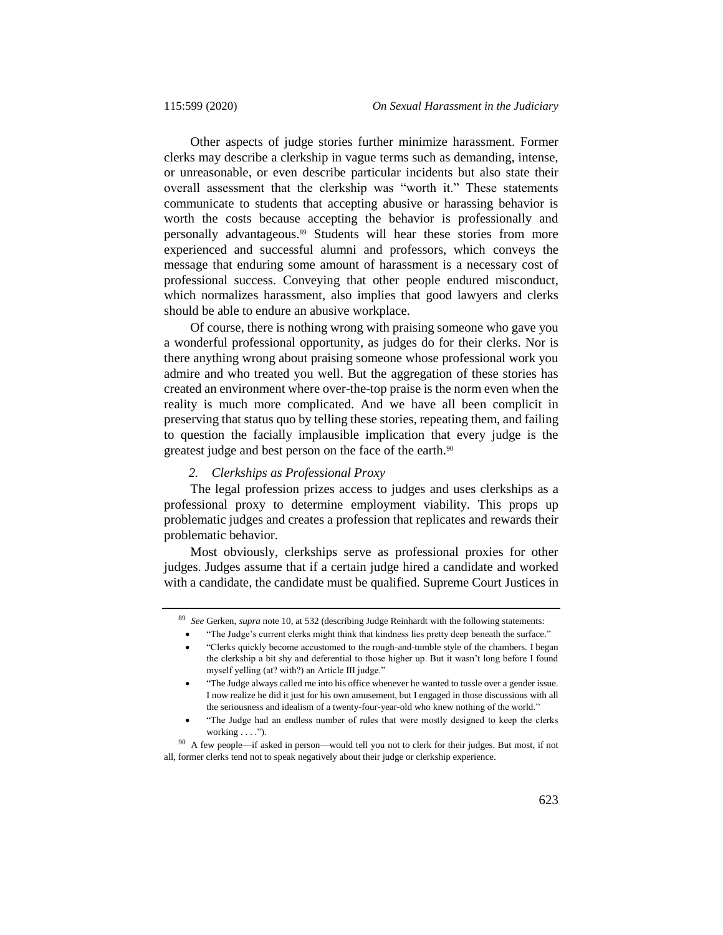Other aspects of judge stories further minimize harassment. Former clerks may describe a clerkship in vague terms such as demanding, intense, or unreasonable, or even describe particular incidents but also state their overall assessment that the clerkship was "worth it." These statements communicate to students that accepting abusive or harassing behavior is worth the costs because accepting the behavior is professionally and personally advantageous.<sup>89</sup> Students will hear these stories from more experienced and successful alumni and professors, which conveys the message that enduring some amount of harassment is a necessary cost of professional success. Conveying that other people endured misconduct, which normalizes harassment, also implies that good lawyers and clerks should be able to endure an abusive workplace.

Of course, there is nothing wrong with praising someone who gave you a wonderful professional opportunity, as judges do for their clerks. Nor is there anything wrong about praising someone whose professional work you admire and who treated you well. But the aggregation of these stories has created an environment where over-the-top praise is the norm even when the reality is much more complicated. And we have all been complicit in preserving that status quo by telling these stories, repeating them, and failing to question the facially implausible implication that every judge is the greatest judge and best person on the face of the earth.<sup>90</sup>

#### *2. Clerkships as Professional Proxy*

The legal profession prizes access to judges and uses clerkships as a professional proxy to determine employment viability. This props up problematic judges and creates a profession that replicates and rewards their problematic behavior.

Most obviously, clerkships serve as professional proxies for other judges. Judges assume that if a certain judge hired a candidate and worked with a candidate, the candidate must be qualified. Supreme Court Justices in

<sup>89</sup> *See* Gerken, *supra* not[e 10,](#page-4-0) at 532 (describing Judge Reinhardt with the following statements:

"The Judge's current clerks might think that kindness lies pretty deep beneath the surface."

"Clerks quickly become accustomed to the rough-and-tumble style of the chambers. I began the clerkship a bit shy and deferential to those higher up. But it wasn't long before I found myself yelling (at? with?) an Article III judge."

"The Judge always called me into his office whenever he wanted to tussle over a gender issue. I now realize he did it just for his own amusement, but I engaged in those discussions with all the seriousness and idealism of a twenty-four-year-old who knew nothing of the world."

"The Judge had an endless number of rules that were mostly designed to keep the clerks working  $\dots$ .").

<sup>90</sup> A few people—if asked in person—would tell you not to clerk for their judges. But most, if not all, former clerks tend not to speak negatively about their judge or clerkship experience.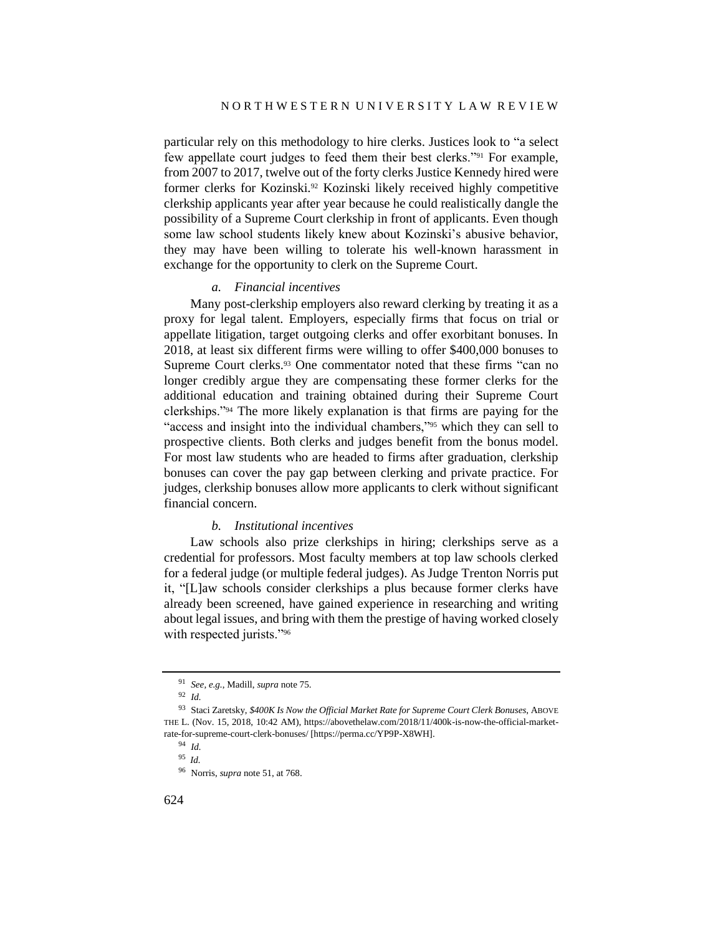particular rely on this methodology to hire clerks. Justices look to "a select few appellate court judges to feed them their best clerks."<sup>91</sup> For example, from 2007 to 2017, twelve out of the forty clerks Justice Kennedy hired were former clerks for Kozinski.<sup>92</sup> Kozinski likely received highly competitive clerkship applicants year after year because he could realistically dangle the possibility of a Supreme Court clerkship in front of applicants. Even though some law school students likely knew about Kozinski's abusive behavior, they may have been willing to tolerate his well-known harassment in exchange for the opportunity to clerk on the Supreme Court.

## *a. Financial incentives*

Many post-clerkship employers also reward clerking by treating it as a proxy for legal talent. Employers, especially firms that focus on trial or appellate litigation, target outgoing clerks and offer exorbitant bonuses. In 2018, at least six different firms were willing to offer \$400,000 bonuses to Supreme Court clerks.<sup>93</sup> One commentator noted that these firms "can no longer credibly argue they are compensating these former clerks for the additional education and training obtained during their Supreme Court clerkships."<sup>94</sup> The more likely explanation is that firms are paying for the "access and insight into the individual chambers,"<sup>95</sup> which they can sell to prospective clients. Both clerks and judges benefit from the bonus model. For most law students who are headed to firms after graduation, clerkship bonuses can cover the pay gap between clerking and private practice. For judges, clerkship bonuses allow more applicants to clerk without significant financial concern.

# *b. Institutional incentives*

Law schools also prize clerkships in hiring; clerkships serve as a credential for professors. Most faculty members at top law schools clerked for a federal judge (or multiple federal judges). As Judge Trenton Norris put it, "[L]aw schools consider clerkships a plus because former clerks have already been screened, have gained experience in researching and writing about legal issues, and bring with them the prestige of having worked closely with respected jurists."<sup>96</sup>

<sup>91</sup> *See, e.g.*, Madill, *supra* not[e 75.](#page-20-0)

<sup>92</sup> *Id.*

<sup>93</sup> Staci Zaretsky, *\$400K Is Now the Official Market Rate for Supreme Court Clerk Bonuses*, ABOVE THE L. (Nov. 15, 2018, 10:42 AM), https://abovethelaw.com/2018/11/400k-is-now-the-official-marketrate-for-supreme-court-clerk-bonuses/ [https://perma.cc/YP9P-X8WH].

<sup>94</sup> *Id.*

<sup>95</sup> *Id.*

<sup>96</sup> Norris, *supra* not[e 51,](#page-16-0) at 768.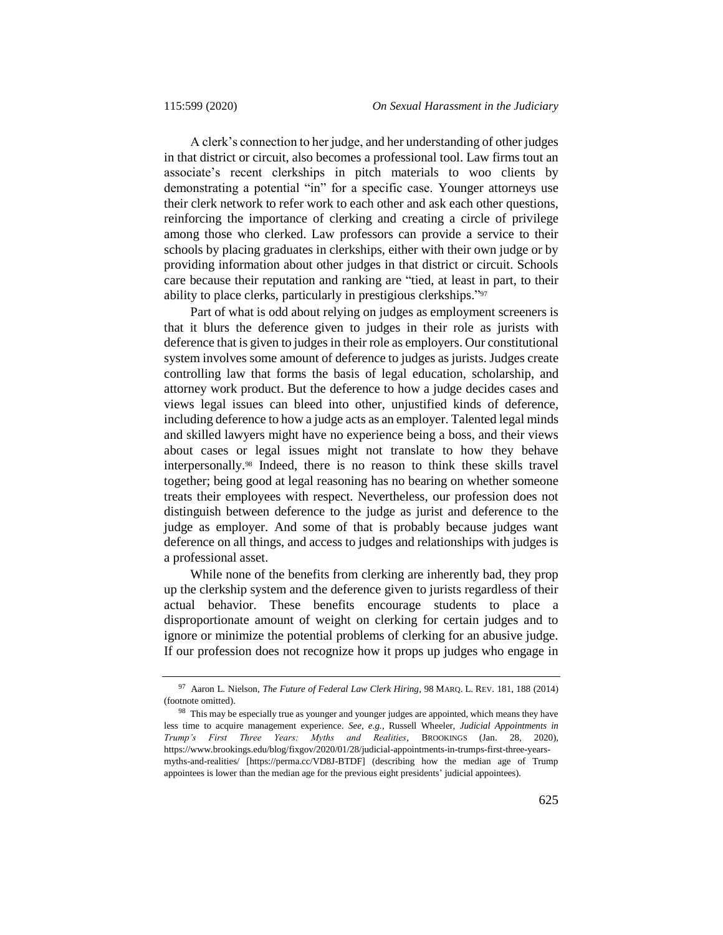A clerk's connection to her judge, and her understanding of other judges in that district or circuit, also becomes a professional tool. Law firms tout an associate's recent clerkships in pitch materials to woo clients by demonstrating a potential "in" for a specific case. Younger attorneys use their clerk network to refer work to each other and ask each other questions, reinforcing the importance of clerking and creating a circle of privilege among those who clerked. Law professors can provide a service to their schools by placing graduates in clerkships, either with their own judge or by providing information about other judges in that district or circuit. Schools care because their reputation and ranking are "tied, at least in part, to their ability to place clerks, particularly in prestigious clerkships."<sup>97</sup>

<span id="page-26-0"></span>Part of what is odd about relying on judges as employment screeners is that it blurs the deference given to judges in their role as jurists with deference that is given to judges in their role as employers. Our constitutional system involves some amount of deference to judges as jurists. Judges create controlling law that forms the basis of legal education, scholarship, and attorney work product. But the deference to how a judge decides cases and views legal issues can bleed into other, unjustified kinds of deference, including deference to how a judge acts as an employer. Talented legal minds and skilled lawyers might have no experience being a boss, and their views about cases or legal issues might not translate to how they behave interpersonally.<sup>98</sup> Indeed, there is no reason to think these skills travel together; being good at legal reasoning has no bearing on whether someone treats their employees with respect. Nevertheless, our profession does not distinguish between deference to the judge as jurist and deference to the judge as employer. And some of that is probably because judges want deference on all things, and access to judges and relationships with judges is a professional asset.

<span id="page-26-1"></span>While none of the benefits from clerking are inherently bad, they prop up the clerkship system and the deference given to jurists regardless of their actual behavior. These benefits encourage students to place a disproportionate amount of weight on clerking for certain judges and to ignore or minimize the potential problems of clerking for an abusive judge. If our profession does not recognize how it props up judges who engage in

<sup>97</sup> Aaron L. Nielson, *The Future of Federal Law Clerk Hiring*, 98 MARQ. L. REV. 181, 188 (2014) (footnote omitted).

<sup>98</sup> This may be especially true as younger and younger judges are appointed, which means they have less time to acquire management experience. *See, e.g.*, Russell Wheeler, *Judicial Appointments in Trump's First Three Years: Myths and Realities*, BROOKINGS (Jan. 28, 2020), https://www.brookings.edu/blog/fixgov/2020/01/28/judicial-appointments-in-trumps-first-three-yearsmyths-and-realities/ [https://perma.cc/VD8J-BTDF] (describing how the median age of Trump appointees is lower than the median age for the previous eight presidents' judicial appointees).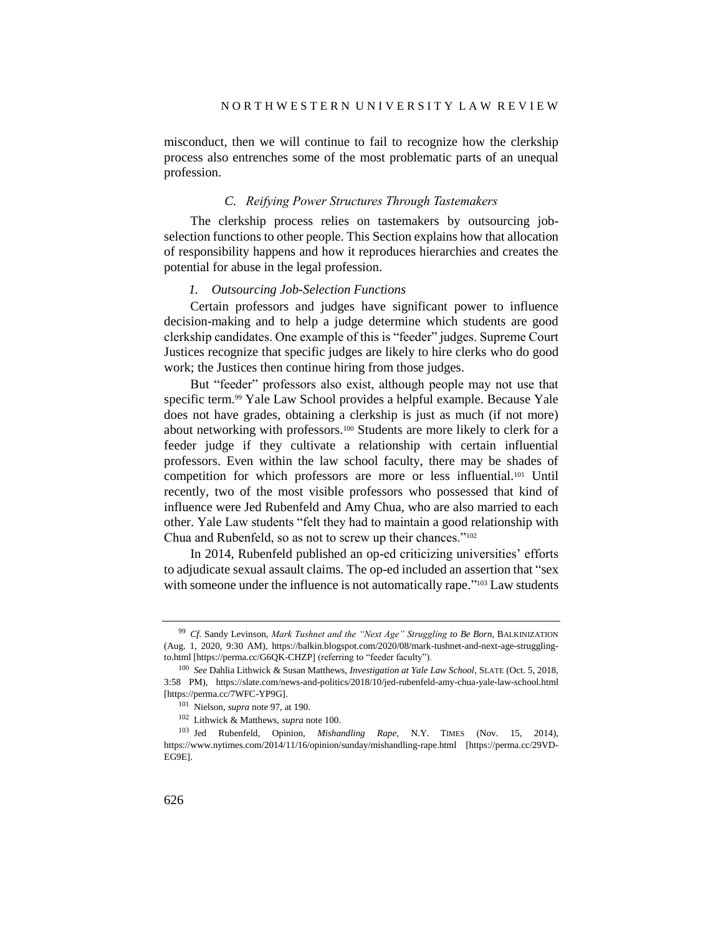misconduct, then we will continue to fail to recognize how the clerkship process also entrenches some of the most problematic parts of an unequal profession.

# *C. Reifying Power Structures Through Tastemakers*

The clerkship process relies on tastemakers by outsourcing jobselection functions to other people. This Section explains how that allocation of responsibility happens and how it reproduces hierarchies and creates the potential for abuse in the legal profession.

#### *1. Outsourcing Job-Selection Functions*

Certain professors and judges have significant power to influence decision-making and to help a judge determine which students are good clerkship candidates. One example of this is "feeder" judges. Supreme Court Justices recognize that specific judges are likely to hire clerks who do good work; the Justices then continue hiring from those judges.

<span id="page-27-0"></span>But "feeder" professors also exist, although people may not use that specific term.<sup>99</sup> Yale Law School provides a helpful example. Because Yale does not have grades, obtaining a clerkship is just as much (if not more) about networking with professors.<sup>100</sup> Students are more likely to clerk for a feeder judge if they cultivate a relationship with certain influential professors. Even within the law school faculty, there may be shades of competition for which professors are more or less influential.<sup>101</sup> Until recently, two of the most visible professors who possessed that kind of influence were Jed Rubenfeld and Amy Chua, who are also married to each other. Yale Law students "felt they had to maintain a good relationship with Chua and Rubenfeld, so as not to screw up their chances."<sup>102</sup>

In 2014, Rubenfeld published an op-ed criticizing universities' efforts to adjudicate sexual assault claims. The op-ed included an assertion that "sex with someone under the influence is not automatically rape."<sup>103</sup> Law students

<sup>99</sup> *Cf.* Sandy Levinson, *Mark Tushnet and the "Next Age" Struggling to Be Born*, BALKINIZATION (Aug. 1, 2020, 9:30 AM), https://balkin.blogspot.com/2020/08/mark-tushnet-and-next-age-strugglingto.html [https://perma.cc/G6QK-CHZP] (referring to "feeder faculty").

<sup>100</sup> *See* Dahlia Lithwick & Susan Matthews, *Investigation at Yale Law School*, SLATE (Oct. 5, 2018, 3:58 PM), https://slate.com/news-and-politics/2018/10/jed-rubenfeld-amy-chua-yale-law-school.html [https://perma.cc/7WFC-YP9G].

<sup>101</sup> Nielson, *supra* not[e 97,](#page-26-0) at 190.

<sup>102</sup> Lithwick & Matthews, *supra* not[e 100.](#page-27-0)

<sup>103</sup> Jed Rubenfeld, Opinion, *Mishandling Rape*, N.Y. TIMES (Nov. 15, 2014), https://www.nytimes.com/2014/11/16/opinion/sunday/mishandling-rape.html [https://perma.cc/29VD-EG9E].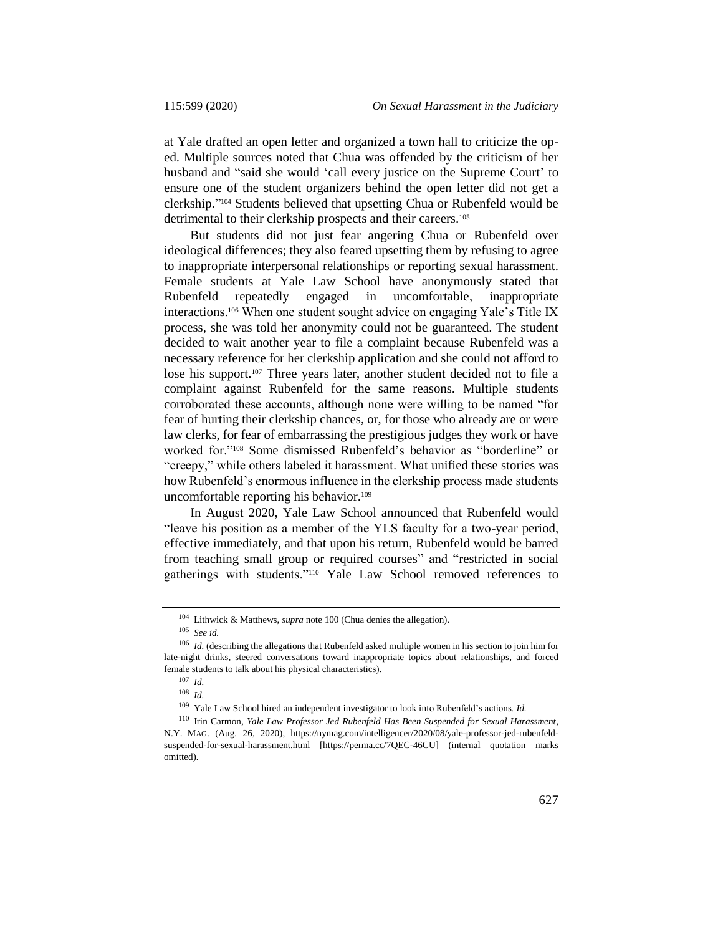at Yale drafted an open letter and organized a town hall to criticize the oped. Multiple sources noted that Chua was offended by the criticism of her husband and "said she would 'call every justice on the Supreme Court' to ensure one of the student organizers behind the open letter did not get a clerkship." <sup>104</sup> Students believed that upsetting Chua or Rubenfeld would be detrimental to their clerkship prospects and their careers.<sup>105</sup>

But students did not just fear angering Chua or Rubenfeld over ideological differences; they also feared upsetting them by refusing to agree to inappropriate interpersonal relationships or reporting sexual harassment. Female students at Yale Law School have anonymously stated that Rubenfeld repeatedly engaged in uncomfortable, inappropriate interactions.<sup>106</sup> When one student sought advice on engaging Yale's Title IX process, she was told her anonymity could not be guaranteed. The student decided to wait another year to file a complaint because Rubenfeld was a necessary reference for her clerkship application and she could not afford to lose his support.<sup>107</sup> Three years later, another student decided not to file a complaint against Rubenfeld for the same reasons. Multiple students corroborated these accounts, although none were willing to be named "for fear of hurting their clerkship chances, or, for those who already are or were law clerks, for fear of embarrassing the prestigious judges they work or have worked for."<sup>108</sup> Some dismissed Rubenfeld's behavior as "borderline" or "creepy," while others labeled it harassment. What unified these stories was how Rubenfeld's enormous influence in the clerkship process made students uncomfortable reporting his behavior.<sup>109</sup>

In August 2020, Yale Law School announced that Rubenfeld would "leave his position as a member of the YLS faculty for a two-year period, effective immediately, and that upon his return, Rubenfeld would be barred from teaching small group or required courses" and "restricted in social gatherings with students."<sup>110</sup> Yale Law School removed references to

<sup>104</sup> Lithwick & Matthews, *supra* not[e 100](#page-27-0) (Chua denies the allegation).

<sup>105</sup> *See id.*

<sup>106</sup> *Id.* (describing the allegations that Rubenfeld asked multiple women in his section to join him for late-night drinks, steered conversations toward inappropriate topics about relationships, and forced female students to talk about his physical characteristics).

<sup>107</sup> *Id.*

<sup>108</sup> *Id.*

<sup>109</sup> Yale Law School hired an independent investigator to look into Rubenfeld's actions. *Id.*

<sup>110</sup> Irin Carmon, *Yale Law Professor Jed Rubenfeld Has Been Suspended for Sexual Harassment*, N.Y. MAG. (Aug. 26, 2020), https://nymag.com/intelligencer/2020/08/yale-professor-jed-rubenfeldsuspended-for-sexual-harassment.html [https://perma.cc/7QEC-46CU] (internal quotation marks omitted).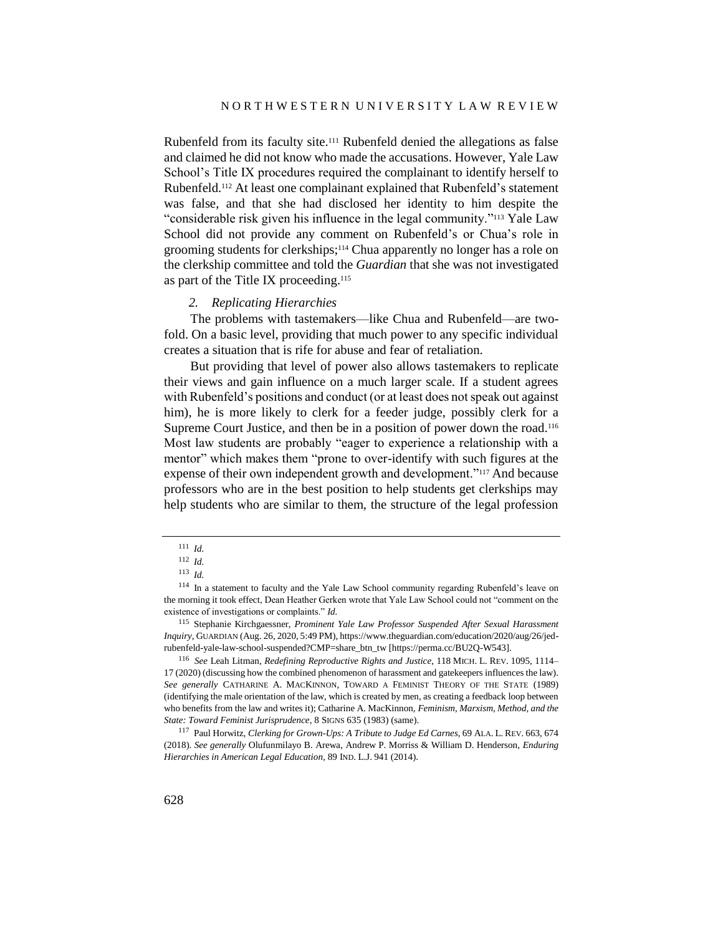Rubenfeld from its faculty site.<sup>111</sup> Rubenfeld denied the allegations as false and claimed he did not know who made the accusations. However, Yale Law School's Title IX procedures required the complainant to identify herself to Rubenfeld.<sup>112</sup> At least one complainant explained that Rubenfeld's statement was false, and that she had disclosed her identity to him despite the "considerable risk given his influence in the legal community." <sup>113</sup> Yale Law School did not provide any comment on Rubenfeld's or Chua's role in grooming students for clerkships; <sup>114</sup> Chua apparently no longer has a role on the clerkship committee and told the *Guardian* that she was not investigated as part of the Title IX proceeding. 115

# *2. Replicating Hierarchies*

The problems with tastemakers—like Chua and Rubenfeld—are twofold. On a basic level, providing that much power to any specific individual creates a situation that is rife for abuse and fear of retaliation.

But providing that level of power also allows tastemakers to replicate their views and gain influence on a much larger scale. If a student agrees with Rubenfeld's positions and conduct (or at least does not speak out against him), he is more likely to clerk for a feeder judge, possibly clerk for a Supreme Court Justice, and then be in a position of power down the road.<sup>116</sup> Most law students are probably "eager to experience a relationship with a mentor" which makes them "prone to over-identify with such figures at the expense of their own independent growth and development."<sup>117</sup> And because professors who are in the best position to help students get clerkships may help students who are similar to them, the structure of the legal profession

<span id="page-29-0"></span><sup>111</sup> *Id.*

<sup>112</sup> *Id.*

<sup>113</sup> *Id.*

<sup>114</sup> In a statement to faculty and the Yale Law School community regarding Rubenfeld's leave on the morning it took effect, Dean Heather Gerken wrote that Yale Law School could not "comment on the existence of investigations or complaints." *Id.*

<sup>115</sup> Stephanie Kirchgaessner, *Prominent Yale Law Professor Suspended After Sexual Harassment Inquiry*, GUARDIAN (Aug. 26, 2020, 5:49 PM), https://www.theguardian.com/education/2020/aug/26/jedrubenfeld-yale-law-school-suspended?CMP=share\_btn\_tw [https://perma.cc/BU2Q-W543].

<sup>116</sup> *See* Leah Litman, *Redefining Reproductive Rights and Justice*, 118 MICH. L. REV. 1095, 1114– 17 (2020) (discussing how the combined phenomenon of harassment and gatekeepers influences the law). *See generally* CATHARINE A. MACKINNON, TOWARD A FEMINIST THEORY OF THE STATE (1989) (identifying the male orientation of the law, which is created by men, as creating a feedback loop between who benefits from the law and writes it); Catharine A. MacKinnon, *Feminism, Marxism, Method, and the State: Toward Feminist Jurisprudence*, 8 SIGNS 635 (1983) (same).

<sup>117</sup> Paul Horwitz, *Clerking for Grown-Ups: A Tribute to Judge Ed Carnes*, 69 ALA. L. REV. 663, 674 (2018). *See generally* Olufunmilayo B. Arewa, Andrew P. Morriss & William D. Henderson, *Enduring Hierarchies in American Legal Education*, 89 IND. L.J. 941 (2014).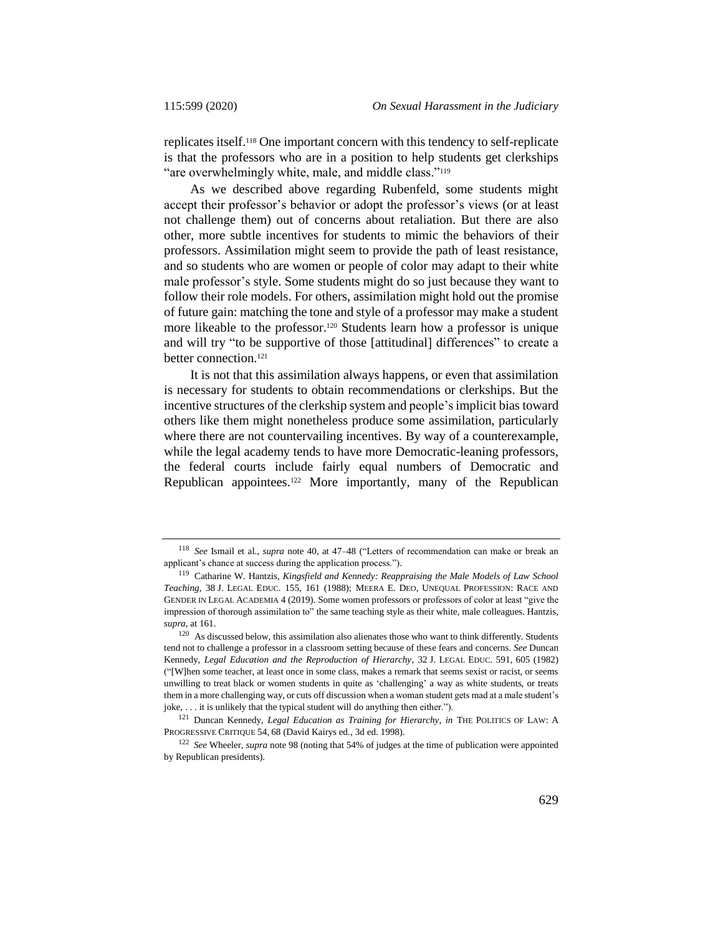replicates itself.<sup>118</sup> One important concern with this tendency to self-replicate is that the professors who are in a position to help students get clerkships "are overwhelmingly white, male, and middle class."<sup>119</sup>

As we described above regarding Rubenfeld, some students might accept their professor's behavior or adopt the professor's views (or at least not challenge them) out of concerns about retaliation. But there are also other, more subtle incentives for students to mimic the behaviors of their professors. Assimilation might seem to provide the path of least resistance, and so students who are women or people of color may adapt to their white male professor's style. Some students might do so just because they want to follow their role models. For others, assimilation might hold out the promise of future gain: matching the tone and style of a professor may make a student more likeable to the professor. <sup>120</sup> Students learn how a professor is unique and will try "to be supportive of those [attitudinal] differences" to create a better connection.<sup>121</sup>

<span id="page-30-0"></span>It is not that this assimilation always happens, or even that assimilation is necessary for students to obtain recommendations or clerkships. But the incentive structures of the clerkship system and people's implicit bias toward others like them might nonetheless produce some assimilation, particularly where there are not countervailing incentives. By way of a counterexample, while the legal academy tends to have more Democratic-leaning professors, the federal courts include fairly equal numbers of Democratic and Republican appointees.<sup>122</sup> More importantly, many of the Republican

<sup>118</sup> *See* Ismail et al., *supra* note [40,](#page-12-1) at 47–48 ("Letters of recommendation can make or break an applicant's chance at success during the application process.").

<sup>119</sup> Catharine W. Hantzis, *Kingsfield and Kennedy: Reappraising the Male Models of Law School Teaching*, 38 J. LEGAL EDUC. 155, 161 (1988); MEERA E. DEO, UNEQUAL PROFESSION: RACE AND GENDER IN LEGAL ACADEMIA 4 (2019). Some women professors or professors of color at least "give the impression of thorough assimilation to" the same teaching style as their white, male colleagues. Hantzis, *supra*, at 161.

<sup>120</sup> As discussed below, this assimilation also alienates those who want to think differently. Students tend not to challenge a professor in a classroom setting because of these fears and concerns. *See* Duncan Kennedy, *Legal Education and the Reproduction of Hierarchy*, 32 J. LEGAL EDUC. 591, 605 (1982) ("[W]hen some teacher, at least once in some class, makes a remark that seems sexist or racist, or seems unwilling to treat black or women students in quite as 'challenging' a way as white students, or treats them in a more challenging way, or cuts off discussion when a woman student gets mad at a male student's joke, . . . it is unlikely that the typical student will do anything then either.").

<sup>121</sup> Duncan Kennedy, *Legal Education as Training for Hierarchy*, *in* THE POLITICS OF LAW: A PROGRESSIVE CRITIQUE 54, 68 (David Kairys ed., 3d ed. 1998).

<sup>122</sup> *See* Wheeler, *supra* not[e 98](#page-26-1) (noting that 54% of judges at the time of publication were appointed by Republican presidents).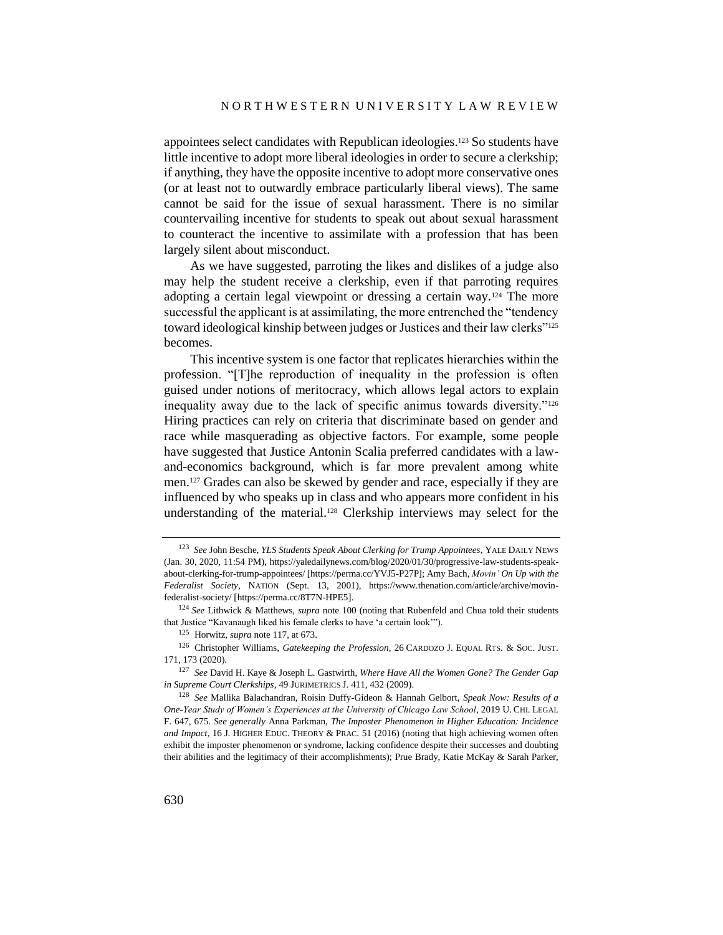appointees select candidates with Republican ideologies.<sup>123</sup> So students have little incentive to adopt more liberal ideologies in order to secure a clerkship; if anything, they have the opposite incentive to adopt more conservative ones (or at least not to outwardly embrace particularly liberal views). The same cannot be said for the issue of sexual harassment. There is no similar countervailing incentive for students to speak out about sexual harassment to counteract the incentive to assimilate with a profession that has been largely silent about misconduct.

As we have suggested, parroting the likes and dislikes of a judge also may help the student receive a clerkship, even if that parroting requires adopting a certain legal viewpoint or dressing a certain way.<sup>124</sup> The more successful the applicant is at assimilating, the more entrenched the "tendency toward ideological kinship between judges or Justices and their law clerks"<sup>125</sup> becomes.

This incentive system is one factor that replicates hierarchies within the profession. "[T]he reproduction of inequality in the profession is often guised under notions of meritocracy, which allows legal actors to explain inequality away due to the lack of specific animus towards diversity."<sup>126</sup> Hiring practices can rely on criteria that discriminate based on gender and race while masquerading as objective factors. For example, some people have suggested that Justice Antonin Scalia preferred candidates with a lawand-economics background, which is far more prevalent among white men.<sup>127</sup> Grades can also be skewed by gender and race, especially if they are influenced by who speaks up in class and who appears more confident in his understanding of the material.<sup>128</sup> Clerkship interviews may select for the

<sup>123</sup> *See* John Besche, *YLS Students Speak About Clerking for Trump Appointees*, YALE DAILY NEWS (Jan. 30, 2020, 11:54 PM), https://yaledailynews.com/blog/2020/01/30/progressive-law-students-speakabout-clerking-for-trump-appointees/ [https://perma.cc/YVJ5-P27P]; Amy Bach, *Movin' On Up with the Federalist Society*, NATION (Sept. 13, 2001), https://www.thenation.com/article/archive/movinfederalist-society/ [https://perma.cc/8T7N-HPE5].

<sup>124</sup> *See* Lithwick & Matthews, *supra* note [100](#page-27-0) (noting that Rubenfeld and Chua told their students that Justice "Kavanaugh liked his female clerks to have 'a certain look'").

<sup>125</sup> Horwitz, *supra* not[e 117,](#page-29-0) at 673.

<sup>126</sup> Christopher Williams, *Gatekeeping the Profession*, 26 CARDOZO J. EQUAL RTS. & SOC. JUST. 171, 173 (2020).

<sup>127</sup> *See* David H. Kaye & Joseph L. Gastwirth, *Where Have All the Women Gone? The Gender Gap in Supreme Court Clerkships*, 49 JURIMETRICS J. 411, 432 (2009).

<sup>128</sup> *See* Mallika Balachandran, Roisin Duffy-Gideon & Hannah Gelbort, *Speak Now: Results of a One-Year Study of Women's Experiences at the University of Chicago Law School*, 2019 U. CHI. LEGAL F. 647, 675. *See generally* Anna Parkman, *The Imposter Phenomenon in Higher Education: Incidence and Impact*, 16 J. HIGHER EDUC. THEORY & PRAC. 51 (2016) (noting that high achieving women often exhibit the imposter phenomenon or syndrome, lacking confidence despite their successes and doubting their abilities and the legitimacy of their accomplishments); Prue Brady, Katie McKay & Sarah Parker,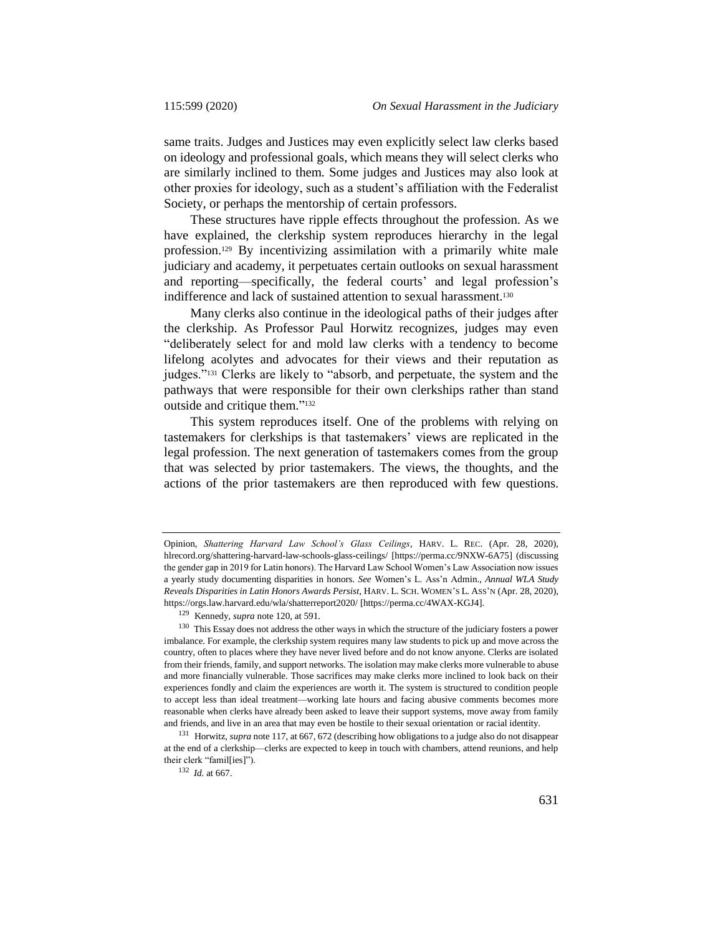same traits. Judges and Justices may even explicitly select law clerks based on ideology and professional goals, which means they will select clerks who are similarly inclined to them. Some judges and Justices may also look at other proxies for ideology, such as a student's affiliation with the Federalist Society, or perhaps the mentorship of certain professors.

These structures have ripple effects throughout the profession. As we have explained, the clerkship system reproduces hierarchy in the legal profession.<sup>129</sup> By incentivizing assimilation with a primarily white male judiciary and academy, it perpetuates certain outlooks on sexual harassment and reporting—specifically, the federal courts' and legal profession's indifference and lack of sustained attention to sexual harassment.<sup>130</sup>

Many clerks also continue in the ideological paths of their judges after the clerkship. As Professor Paul Horwitz recognizes, judges may even "deliberately select for and mold law clerks with a tendency to become lifelong acolytes and advocates for their views and their reputation as judges."<sup>131</sup> Clerks are likely to "absorb, and perpetuate, the system and the pathways that were responsible for their own clerkships rather than stand outside and critique them." 132

This system reproduces itself. One of the problems with relying on tastemakers for clerkships is that tastemakers' views are replicated in the legal profession. The next generation of tastemakers comes from the group that was selected by prior tastemakers. The views, the thoughts, and the actions of the prior tastemakers are then reproduced with few questions.

Opinion, *Shattering Harvard Law School's Glass Ceilings*, HARV. L. REC. (Apr. 28, 2020), hlrecord.org/shattering-harvard-law-schools-glass-ceilings/ [https://perma.cc/9NXW-6A75] (discussing the gender gap in 2019 for Latin honors). The Harvard Law School Women's Law Association now issues a yearly study documenting disparities in honors. *See* Women's L. Ass'n Admin., *Annual WLA Study Reveals Disparities in Latin Honors Awards Persist*, HARV. L. SCH. WOMEN'S L. ASS'N (Apr. 28, 2020), https://orgs.law.harvard.edu/wla/shatterreport2020/ [https://perma.cc/4WAX-KGJ4].

<sup>129</sup> Kennedy, *supra* not[e 120,](#page-30-0) at 591.

<sup>130</sup> This Essay does not address the other ways in which the structure of the judiciary fosters a power imbalance. For example, the clerkship system requires many law students to pick up and move across the country, often to places where they have never lived before and do not know anyone. Clerks are isolated from their friends, family, and support networks. The isolation may make clerks more vulnerable to abuse and more financially vulnerable. Those sacrifices may make clerks more inclined to look back on their experiences fondly and claim the experiences are worth it. The system is structured to condition people to accept less than ideal treatment—working late hours and facing abusive comments becomes more reasonable when clerks have already been asked to leave their support systems, move away from family and friends, and live in an area that may even be hostile to their sexual orientation or racial identity.

<sup>131</sup> Horwitz, *supra* not[e 117,](#page-29-0) at 667, 672 (describing how obligations to a judge also do not disappear at the end of a clerkship—clerks are expected to keep in touch with chambers, attend reunions, and help their clerk "famil[ies]").

<sup>132</sup> *Id.* at 667.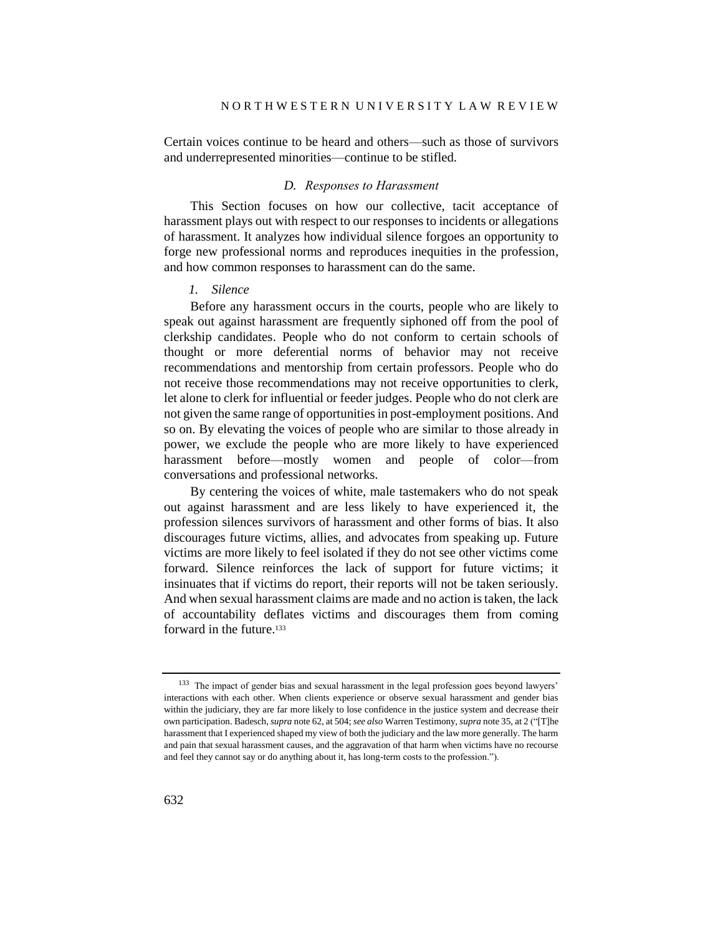Certain voices continue to be heard and others—such as those of survivors and underrepresented minorities—continue to be stifled.

## *D. Responses to Harassment*

This Section focuses on how our collective, tacit acceptance of harassment plays out with respect to our responses to incidents or allegations of harassment. It analyzes how individual silence forgoes an opportunity to forge new professional norms and reproduces inequities in the profession, and how common responses to harassment can do the same.

#### *1. Silence*

Before any harassment occurs in the courts, people who are likely to speak out against harassment are frequently siphoned off from the pool of clerkship candidates. People who do not conform to certain schools of thought or more deferential norms of behavior may not receive recommendations and mentorship from certain professors. People who do not receive those recommendations may not receive opportunities to clerk, let alone to clerk for influential or feeder judges. People who do not clerk are not given the same range of opportunities in post-employment positions. And so on. By elevating the voices of people who are similar to those already in power, we exclude the people who are more likely to have experienced harassment before—mostly women and people of color—from conversations and professional networks.

By centering the voices of white, male tastemakers who do not speak out against harassment and are less likely to have experienced it, the profession silences survivors of harassment and other forms of bias. It also discourages future victims, allies, and advocates from speaking up. Future victims are more likely to feel isolated if they do not see other victims come forward. Silence reinforces the lack of support for future victims; it insinuates that if victims do report, their reports will not be taken seriously. And when sexual harassment claims are made and no action is taken, the lack of accountability deflates victims and discourages them from coming forward in the future. 133

<sup>133</sup> The impact of gender bias and sexual harassment in the legal profession goes beyond lawyers' interactions with each other. When clients experience or observe sexual harassment and gender bias within the judiciary, they are far more likely to lose confidence in the justice system and decrease their own participation. Badesch, *supra* not[e 62,](#page-17-1) at 504; *see also* Warren Testimony, *supra* not[e 35,](#page-10-0) at 2 ("[T]he harassment that I experienced shaped my view of both the judiciary and the law more generally. The harm and pain that sexual harassment causes, and the aggravation of that harm when victims have no recourse and feel they cannot say or do anything about it, has long-term costs to the profession.").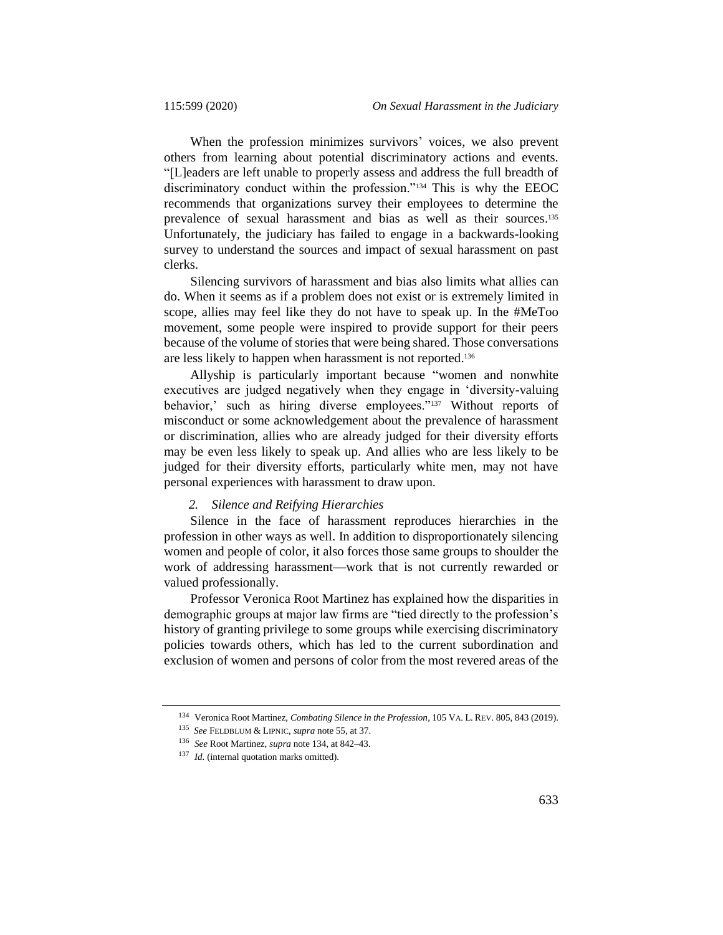<span id="page-34-0"></span>When the profession minimizes survivors' voices, we also prevent others from learning about potential discriminatory actions and events. "[L]eaders are left unable to properly assess and address the full breadth of discriminatory conduct within the profession."<sup>134</sup> This is why the EEOC recommends that organizations survey their employees to determine the prevalence of sexual harassment and bias as well as their sources.<sup>135</sup> Unfortunately, the judiciary has failed to engage in a backwards-looking survey to understand the sources and impact of sexual harassment on past clerks.

Silencing survivors of harassment and bias also limits what allies can do. When it seems as if a problem does not exist or is extremely limited in scope, allies may feel like they do not have to speak up. In the #MeToo movement, some people were inspired to provide support for their peers because of the volume of stories that were being shared. Those conversations are less likely to happen when harassment is not reported. 136

Allyship is particularly important because "women and nonwhite executives are judged negatively when they engage in 'diversity-valuing behavior,' such as hiring diverse employees."<sup>137</sup> Without reports of misconduct or some acknowledgement about the prevalence of harassment or discrimination, allies who are already judged for their diversity efforts may be even less likely to speak up. And allies who are less likely to be judged for their diversity efforts, particularly white men, may not have personal experiences with harassment to draw upon.

## *2. Silence and Reifying Hierarchies*

Silence in the face of harassment reproduces hierarchies in the profession in other ways as well. In addition to disproportionately silencing women and people of color, it also forces those same groups to shoulder the work of addressing harassment—work that is not currently rewarded or valued professionally.

Professor Veronica Root Martinez has explained how the disparities in demographic groups at major law firms are "tied directly to the profession's history of granting privilege to some groups while exercising discriminatory policies towards others, which has led to the current subordination and exclusion of women and persons of color from the most revered areas of the

<sup>134</sup> Veronica Root Martinez, *Combating Silence in the Profession*, 105 VA. L. REV. 805, 843 (2019).

<sup>135</sup> *See* FELDBLUM & LIPNIC, *supra* not[e 55,](#page-17-0) at 37.

<sup>136</sup> *See* Root Martinez, *supra* note [134,](#page-34-0) at 842–43.

<sup>&</sup>lt;sup>137</sup> *Id.* (internal quotation marks omitted).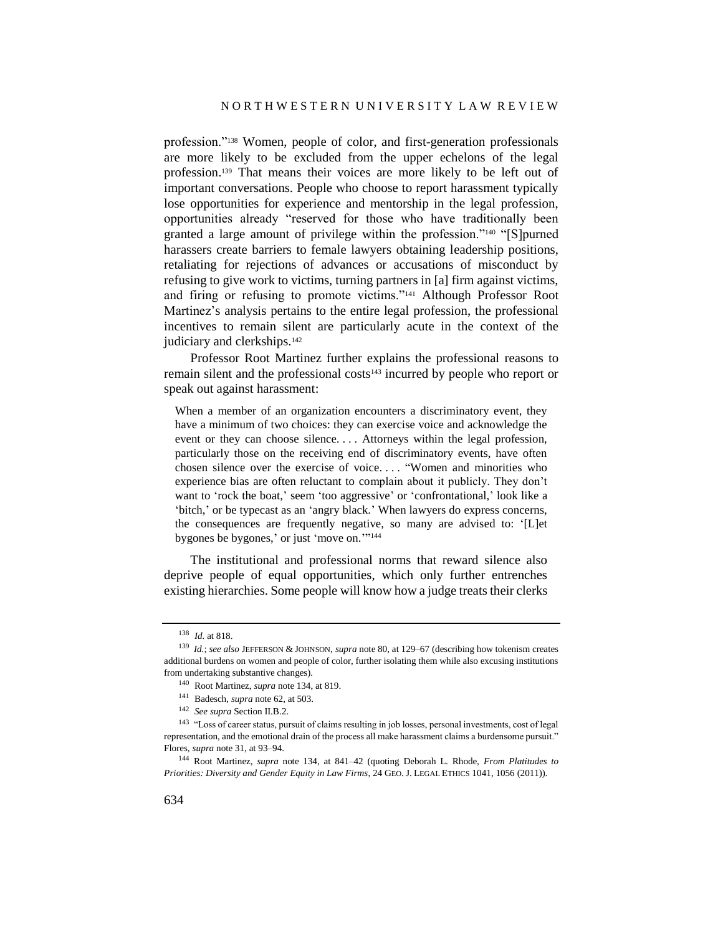profession."<sup>138</sup> Women, people of color, and first-generation professionals are more likely to be excluded from the upper echelons of the legal profession. <sup>139</sup> That means their voices are more likely to be left out of important conversations. People who choose to report harassment typically lose opportunities for experience and mentorship in the legal profession, opportunities already "reserved for those who have traditionally been granted a large amount of privilege within the profession."<sup>140</sup> "[S]purned harassers create barriers to female lawyers obtaining leadership positions, retaliating for rejections of advances or accusations of misconduct by refusing to give work to victims, turning partners in [a] firm against victims, and firing or refusing to promote victims."<sup>141</sup> Although Professor Root Martinez's analysis pertains to the entire legal profession, the professional incentives to remain silent are particularly acute in the context of the judiciary and clerkships.<sup>142</sup>

Professor Root Martinez further explains the professional reasons to remain silent and the professional costs<sup>143</sup> incurred by people who report or speak out against harassment:

When a member of an organization encounters a discriminatory event, they have a minimum of two choices: they can exercise voice and acknowledge the event or they can choose silence. . . . Attorneys within the legal profession, particularly those on the receiving end of discriminatory events, have often chosen silence over the exercise of voice. . . . "Women and minorities who experience bias are often reluctant to complain about it publicly. They don't want to 'rock the boat,' seem 'too aggressive' or 'confrontational,' look like a 'bitch,' or be typecast as an 'angry black.' When lawyers do express concerns, the consequences are frequently negative, so many are advised to: '[L]et bygones be bygones,' or just 'move on."<sup>144</sup>

The institutional and professional norms that reward silence also deprive people of equal opportunities, which only further entrenches existing hierarchies. Some people will know how a judge treats their clerks

<sup>138</sup> *Id.* at 818.

<sup>139</sup> *Id.*; *see also* JEFFERSON & JOHNSON, *supra* not[e 80,](#page-21-0) at 129–67 (describing how tokenism creates additional burdens on women and people of color, further isolating them while also excusing institutions from undertaking substantive changes).

<sup>140</sup> Root Martinez, *supra* not[e 134,](#page-34-0) at 819.

<sup>141</sup> Badesch, *supra* note [62,](#page-17-1) at 503.

<sup>142</sup> *See supra* Section II.B.2.

<sup>143</sup> "Loss of career status, pursuit of claims resulting in job losses, personal investments, cost of legal representation, and the emotional drain of the process all make harassment claims a burdensome pursuit." Flores, *supra* not[e 31,](#page-9-0) at 93–94.

<sup>144</sup> Root Martinez, *supra* note [134,](#page-34-0) at 841–42 (quoting Deborah L. Rhode, *From Platitudes to Priorities: Diversity and Gender Equity in Law Firms*, 24 GEO. J. LEGAL ETHICS 1041, 1056 (2011)).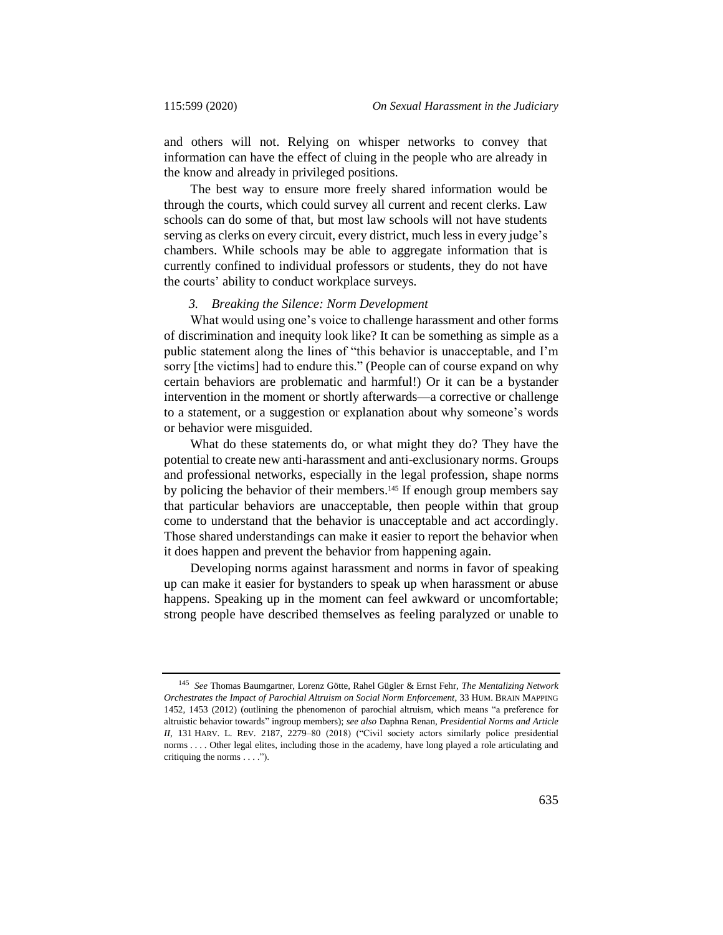and others will not. Relying on whisper networks to convey that information can have the effect of cluing in the people who are already in the know and already in privileged positions.

The best way to ensure more freely shared information would be through the courts, which could survey all current and recent clerks. Law schools can do some of that, but most law schools will not have students serving as clerks on every circuit, every district, much less in every judge's chambers. While schools may be able to aggregate information that is currently confined to individual professors or students, they do not have the courts' ability to conduct workplace surveys.

#### *3. Breaking the Silence: Norm Development*

What would using one's voice to challenge harassment and other forms of discrimination and inequity look like? It can be something as simple as a public statement along the lines of "this behavior is unacceptable, and I'm sorry [the victims] had to endure this." (People can of course expand on why certain behaviors are problematic and harmful!) Or it can be a bystander intervention in the moment or shortly afterwards—a corrective or challenge to a statement, or a suggestion or explanation about why someone's words or behavior were misguided.

What do these statements do, or what might they do? They have the potential to create new anti-harassment and anti-exclusionary norms. Groups and professional networks, especially in the legal profession, shape norms by policing the behavior of their members.<sup>145</sup> If enough group members say that particular behaviors are unacceptable, then people within that group come to understand that the behavior is unacceptable and act accordingly. Those shared understandings can make it easier to report the behavior when it does happen and prevent the behavior from happening again.

Developing norms against harassment and norms in favor of speaking up can make it easier for bystanders to speak up when harassment or abuse happens. Speaking up in the moment can feel awkward or uncomfortable; strong people have described themselves as feeling paralyzed or unable to

<sup>145</sup> *See* Thomas Baumgartner, Lorenz Götte, Rahel Gügler & Ernst Fehr, *The Mentalizing Network Orchestrates the Impact of Parochial Altruism on Social Norm Enforcement*, 33 HUM. BRAIN MAPPING 1452, 1453 (2012) (outlining the phenomenon of parochial altruism, which means "a preference for altruistic behavior towards" ingroup members); *see also* Daphna Renan, *Presidential Norms and Article II*, 131 HARV. L. REV. 2187, 2279–80 (2018) ("Civil society actors similarly police presidential norms . . . . Other legal elites, including those in the academy, have long played a role articulating and critiquing the norms . . . .").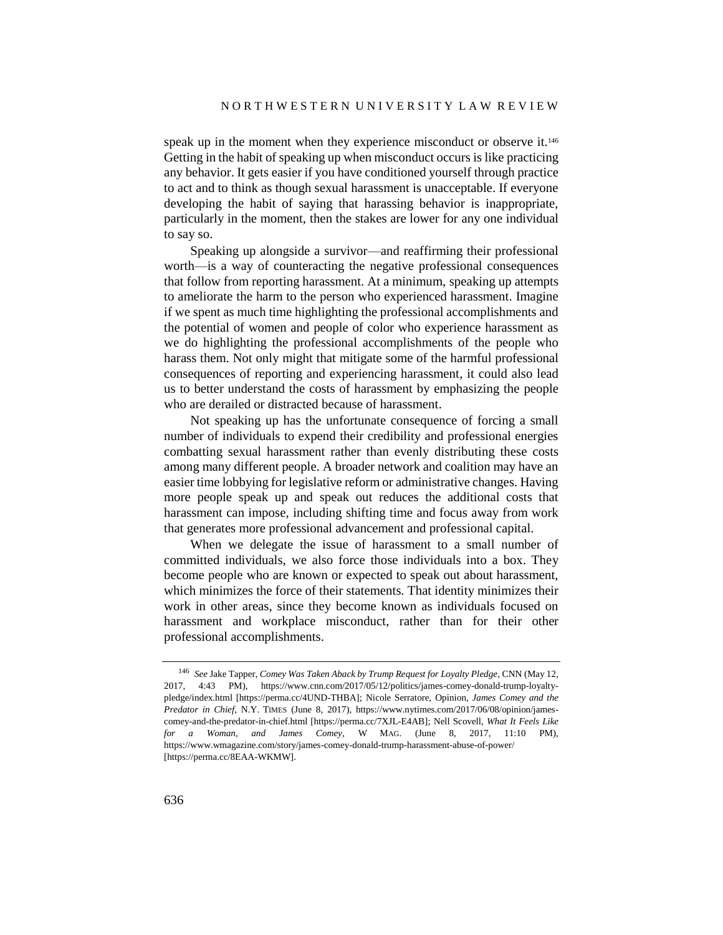speak up in the moment when they experience misconduct or observe it.<sup>146</sup> Getting in the habit of speaking up when misconduct occurs is like practicing any behavior. It gets easier if you have conditioned yourself through practice to act and to think as though sexual harassment is unacceptable. If everyone developing the habit of saying that harassing behavior is inappropriate, particularly in the moment, then the stakes are lower for any one individual to say so.

Speaking up alongside a survivor—and reaffirming their professional worth—is a way of counteracting the negative professional consequences that follow from reporting harassment. At a minimum, speaking up attempts to ameliorate the harm to the person who experienced harassment. Imagine if we spent as much time highlighting the professional accomplishments and the potential of women and people of color who experience harassment as we do highlighting the professional accomplishments of the people who harass them. Not only might that mitigate some of the harmful professional consequences of reporting and experiencing harassment, it could also lead us to better understand the costs of harassment by emphasizing the people who are derailed or distracted because of harassment.

Not speaking up has the unfortunate consequence of forcing a small number of individuals to expend their credibility and professional energies combatting sexual harassment rather than evenly distributing these costs among many different people. A broader network and coalition may have an easier time lobbying for legislative reform or administrative changes. Having more people speak up and speak out reduces the additional costs that harassment can impose, including shifting time and focus away from work that generates more professional advancement and professional capital.

When we delegate the issue of harassment to a small number of committed individuals, we also force those individuals into a box. They become people who are known or expected to speak out about harassment, which minimizes the force of their statements. That identity minimizes their work in other areas, since they become known as individuals focused on harassment and workplace misconduct, rather than for their other professional accomplishments.

<sup>146</sup> *See* Jake Tapper, *Comey Was Taken Aback by Trump Request for Loyalty Pledge*, CNN (May 12, 2017, 4:43 PM), https://www.cnn.com/2017/05/12/politics/james-comey-donald-trump-loyaltypledge/index.html [https://perma.cc/4UND-THBA]; Nicole Serratore, Opinion, *James Comey and the Predator in Chief*, N.Y. TIMES (June 8, 2017), https://www.nytimes.com/2017/06/08/opinion/jamescomey-and-the-predator-in-chief.html [https://perma.cc/7XJL-E4AB]; Nell Scovell, *What It Feels Like for a Woman, and James Comey*, W MAG. (June 8, 2017, 11:10 PM), https://www.wmagazine.com/story/james-comey-donald-trump-harassment-abuse-of-power/ [https://perma.cc/8EAA-WKMW].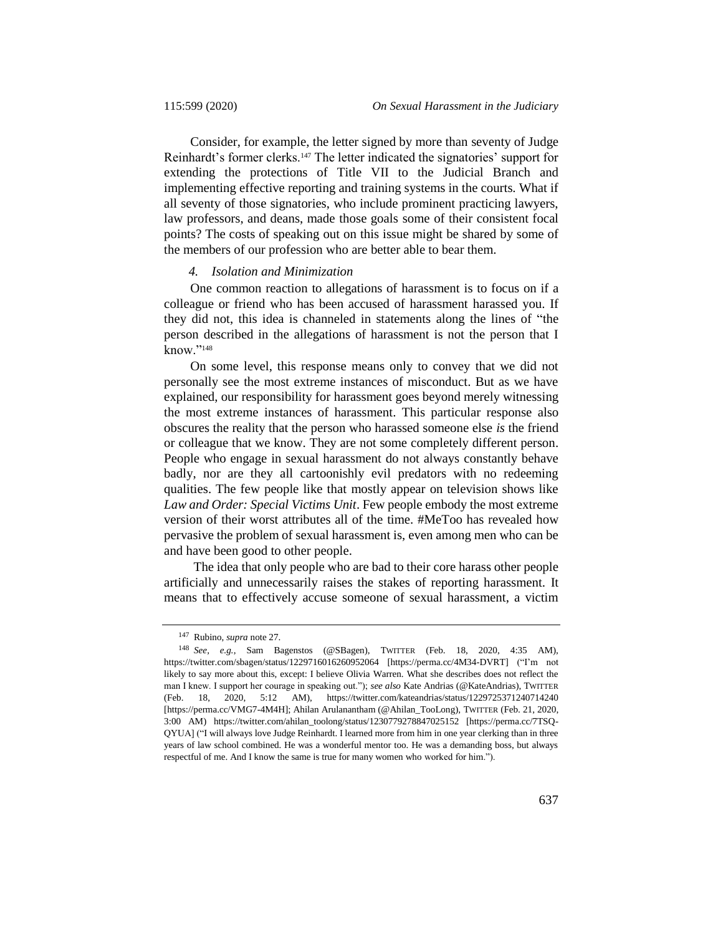Consider, for example, the letter signed by more than seventy of Judge Reinhardt's former clerks.<sup>147</sup> The letter indicated the signatories' support for extending the protections of Title VII to the Judicial Branch and implementing effective reporting and training systems in the courts. What if all seventy of those signatories, who include prominent practicing lawyers, law professors, and deans, made those goals some of their consistent focal points? The costs of speaking out on this issue might be shared by some of the members of our profession who are better able to bear them.

#### *4. Isolation and Minimization*

One common reaction to allegations of harassment is to focus on if a colleague or friend who has been accused of harassment harassed you. If they did not, this idea is channeled in statements along the lines of "the person described in the allegations of harassment is not the person that I know."<sup>148</sup>

On some level, this response means only to convey that we did not personally see the most extreme instances of misconduct. But as we have explained, our responsibility for harassment goes beyond merely witnessing the most extreme instances of harassment. This particular response also obscures the reality that the person who harassed someone else *is* the friend or colleague that we know. They are not some completely different person. People who engage in sexual harassment do not always constantly behave badly, nor are they all cartoonishly evil predators with no redeeming qualities. The few people like that mostly appear on television shows like *Law and Order: Special Victims Unit*. Few people embody the most extreme version of their worst attributes all of the time. #MeToo has revealed how pervasive the problem of sexual harassment is, even among men who can be and have been good to other people.

The idea that only people who are bad to their core harass other people artificially and unnecessarily raises the stakes of reporting harassment. It means that to effectively accuse someone of sexual harassment, a victim

<sup>147</sup> Rubino, *supra* note [27.](#page-8-2)

<sup>148</sup> *See, e.g.*, Sam Bagenstos (@SBagen), TWITTER (Feb. 18, 2020, 4:35 AM), https://twitter.com/sbagen/status/1229716016260952064 [https://perma.cc/4M34-DVRT] ("I'm not likely to say more about this, except: I believe Olivia Warren. What she describes does not reflect the man I knew. I support her courage in speaking out."); *see also* Kate Andrias (@KateAndrias), TWITTER (Feb. 18, 2020, 5:12 AM), https://twitter.com/kateandrias/status/1229725371240714240 [https://perma.cc/VMG7-4M4H]; Ahilan Arulanantham (@Ahilan\_TooLong), TWITTER (Feb. 21, 2020, 3:00 AM) https://twitter.com/ahilan\_toolong/status/1230779278847025152 [https://perma.cc/7TSQ-QYUA] ("I will always love Judge Reinhardt. I learned more from him in one year clerking than in three years of law school combined. He was a wonderful mentor too. He was a demanding boss, but always respectful of me. And I know the same is true for many women who worked for him.").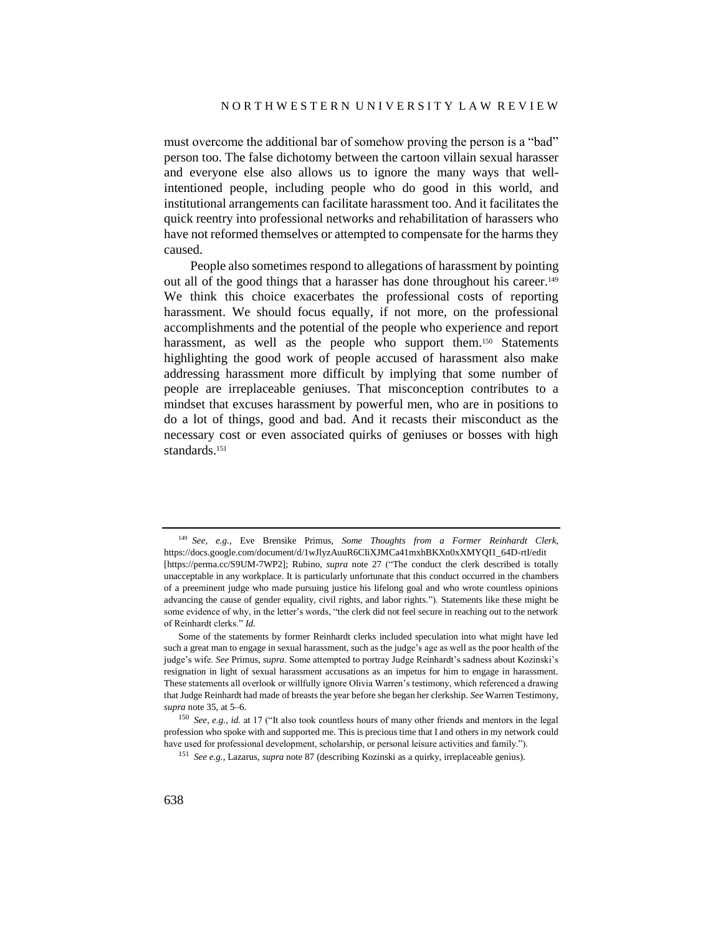must overcome the additional bar of somehow proving the person is a "bad" person too. The false dichotomy between the cartoon villain sexual harasser and everyone else also allows us to ignore the many ways that wellintentioned people, including people who do good in this world, and institutional arrangements can facilitate harassment too. And it facilitates the quick reentry into professional networks and rehabilitation of harassers who have not reformed themselves or attempted to compensate for the harms they caused.

<span id="page-39-0"></span>People also sometimes respond to allegations of harassment by pointing out all of the good things that a harasser has done throughout his career.<sup>149</sup> We think this choice exacerbates the professional costs of reporting harassment. We should focus equally, if not more, on the professional accomplishments and the potential of the people who experience and report harassment, as well as the people who support them.<sup>150</sup> Statements highlighting the good work of people accused of harassment also make addressing harassment more difficult by implying that some number of people are irreplaceable geniuses. That misconception contributes to a mindset that excuses harassment by powerful men, who are in positions to do a lot of things, good and bad. And it recasts their misconduct as the necessary cost or even associated quirks of geniuses or bosses with high standards.<sup>151</sup>

<sup>149</sup> *See, e.g.*, Eve Brensike Primus, *Some Thoughts from a Former Reinhardt Clerk*, https://docs.google.com/document/d/1wJlyzAuuR6CIiXJMCa41mxhBKXn0xXMYQI1\_64D-rtI/edit [https://perma.cc/S9UM-7WP2]; Rubino, *supra* note [27](#page-8-2) ("The conduct the clerk described is totally unacceptable in any workplace. It is particularly unfortunate that this conduct occurred in the chambers of a preeminent judge who made pursuing justice his lifelong goal and who wrote countless opinions advancing the cause of gender equality, civil rights, and labor rights."). Statements like these might be some evidence of why, in the letter's words, "the clerk did not feel secure in reaching out to the network of Reinhardt clerks." *Id.*

Some of the statements by former Reinhardt clerks included speculation into what might have led such a great man to engage in sexual harassment, such as the judge's age as well as the poor health of the judge's wife. *See* Primus, *supra*. Some attempted to portray Judge Reinhardt's sadness about Kozinski's resignation in light of sexual harassment accusations as an impetus for him to engage in harassment. These statements all overlook or willfully ignore Olivia Warren's testimony, which referenced a drawing that Judge Reinhardt had made of breasts the year before she began her clerkship. *See* Warren Testimony, *supra* not[e 35,](#page-10-0) at 5–6.

<sup>150</sup> *See, e.g.*, *id.* at 17 ("It also took countless hours of many other friends and mentors in the legal profession who spoke with and supported me. This is precious time that I and others in my network could have used for professional development, scholarship, or personal leisure activities and family.").

<sup>151</sup> *See e.g.*, Lazarus, *supra* not[e 87](#page-23-0) (describing Kozinski as a quirky, irreplaceable genius).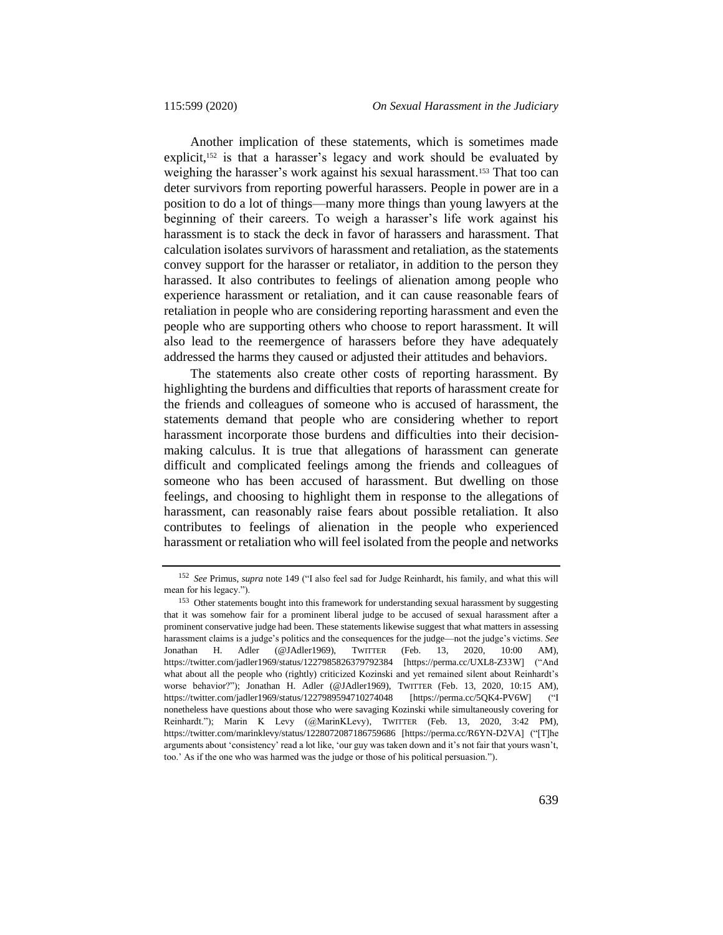Another implication of these statements, which is sometimes made explicit,<sup>152</sup> is that a harasser's legacy and work should be evaluated by weighing the harasser's work against his sexual harassment.<sup>153</sup> That too can deter survivors from reporting powerful harassers. People in power are in a position to do a lot of things—many more things than young lawyers at the beginning of their careers. To weigh a harasser's life work against his harassment is to stack the deck in favor of harassers and harassment. That calculation isolates survivors of harassment and retaliation, as the statements convey support for the harasser or retaliator, in addition to the person they harassed. It also contributes to feelings of alienation among people who experience harassment or retaliation, and it can cause reasonable fears of retaliation in people who are considering reporting harassment and even the people who are supporting others who choose to report harassment. It will also lead to the reemergence of harassers before they have adequately addressed the harms they caused or adjusted their attitudes and behaviors.

The statements also create other costs of reporting harassment. By highlighting the burdens and difficulties that reports of harassment create for the friends and colleagues of someone who is accused of harassment, the statements demand that people who are considering whether to report harassment incorporate those burdens and difficulties into their decisionmaking calculus. It is true that allegations of harassment can generate difficult and complicated feelings among the friends and colleagues of someone who has been accused of harassment. But dwelling on those feelings, and choosing to highlight them in response to the allegations of harassment, can reasonably raise fears about possible retaliation. It also contributes to feelings of alienation in the people who experienced harassment or retaliation who will feel isolated from the people and networks

<sup>152</sup> *See* Primus, *supra* not[e 149](#page-39-0) ("I also feel sad for Judge Reinhardt, his family, and what this will mean for his legacy.").

<sup>153</sup> Other statements bought into this framework for understanding sexual harassment by suggesting that it was somehow fair for a prominent liberal judge to be accused of sexual harassment after a prominent conservative judge had been. These statements likewise suggest that what matters in assessing harassment claims is a judge's politics and the consequences for the judge—not the judge's victims. *See* Jonathan H. Adler (@JAdler1969), TWITTER (Feb. 13, 2020, 10:00 AM), https://twitter.com/jadler1969/status/1227985826379792384 [https://perma.cc/UXL8-Z33W] ("And what about all the people who (rightly) criticized Kozinski and yet remained silent about Reinhardt's worse behavior?"); Jonathan H. Adler (@JAdler1969), TWITTER (Feb. 13, 2020, 10:15 AM), https://twitter.com/jadler1969/status/1227989594710274048 [https://perma.cc/5QK4-PV6W] ("I nonetheless have questions about those who were savaging Kozinski while simultaneously covering for Reinhardt."); Marin K Levy (@MarinKLevy), TWITTER (Feb. 13, 2020, 3:42 PM), https://twitter.com/marinklevy/status/1228072087186759686 [https://perma.cc/R6YN-D2VA] ("[T]he arguments about 'consistency' read a lot like, 'our guy was taken down and it's not fair that yours wasn't, too.' As if the one who was harmed was the judge or those of his political persuasion.").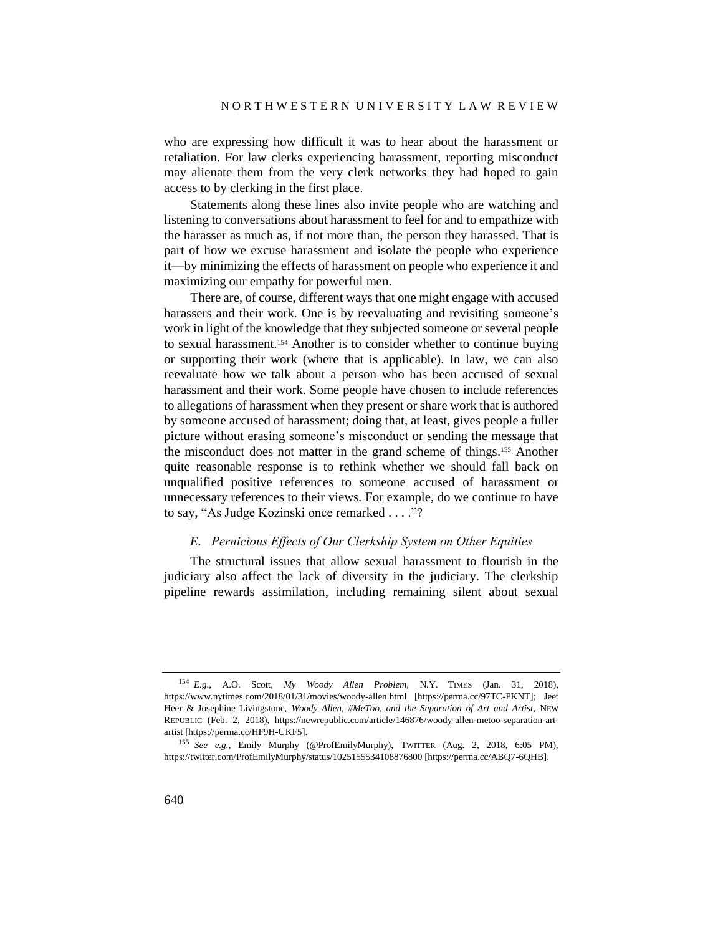who are expressing how difficult it was to hear about the harassment or retaliation. For law clerks experiencing harassment, reporting misconduct may alienate them from the very clerk networks they had hoped to gain access to by clerking in the first place.

Statements along these lines also invite people who are watching and listening to conversations about harassment to feel for and to empathize with the harasser as much as, if not more than, the person they harassed. That is part of how we excuse harassment and isolate the people who experience it—by minimizing the effects of harassment on people who experience it and maximizing our empathy for powerful men.

There are, of course, different ways that one might engage with accused harassers and their work. One is by reevaluating and revisiting someone's work in light of the knowledge that they subjected someone or several people to sexual harassment.<sup>154</sup> Another is to consider whether to continue buying or supporting their work (where that is applicable). In law, we can also reevaluate how we talk about a person who has been accused of sexual harassment and their work. Some people have chosen to include references to allegations of harassment when they present or share work that is authored by someone accused of harassment; doing that, at least, gives people a fuller picture without erasing someone's misconduct or sending the message that the misconduct does not matter in the grand scheme of things. <sup>155</sup> Another quite reasonable response is to rethink whether we should fall back on unqualified positive references to someone accused of harassment or unnecessary references to their views. For example, do we continue to have to say, "As Judge Kozinski once remarked . . . ."?

#### *E. Pernicious Effects of Our Clerkship System on Other Equities*

The structural issues that allow sexual harassment to flourish in the judiciary also affect the lack of diversity in the judiciary. The clerkship pipeline rewards assimilation, including remaining silent about sexual

<sup>154</sup> *E.g.*, A.O. Scott, *My Woody Allen Problem*, N.Y. TIMES (Jan. 31, 2018), https://www.nytimes.com/2018/01/31/movies/woody-allen.html [https://perma.cc/97TC-PKNT]; Jeet Heer & Josephine Livingstone, *Woody Allen, #MeToo, and the Separation of Art and Artist*, NEW REPUBLIC (Feb. 2, 2018), https://newrepublic.com/article/146876/woody-allen-metoo-separation-artartist [https://perma.cc/HF9H-UKF5].

<sup>155</sup> *See e.g.*, Emily Murphy (@ProfEmilyMurphy), TWITTER (Aug. 2, 2018, 6:05 PM), https://twitter.com/ProfEmilyMurphy/status/1025155534108876800 [https://perma.cc/ABQ7-6QHB].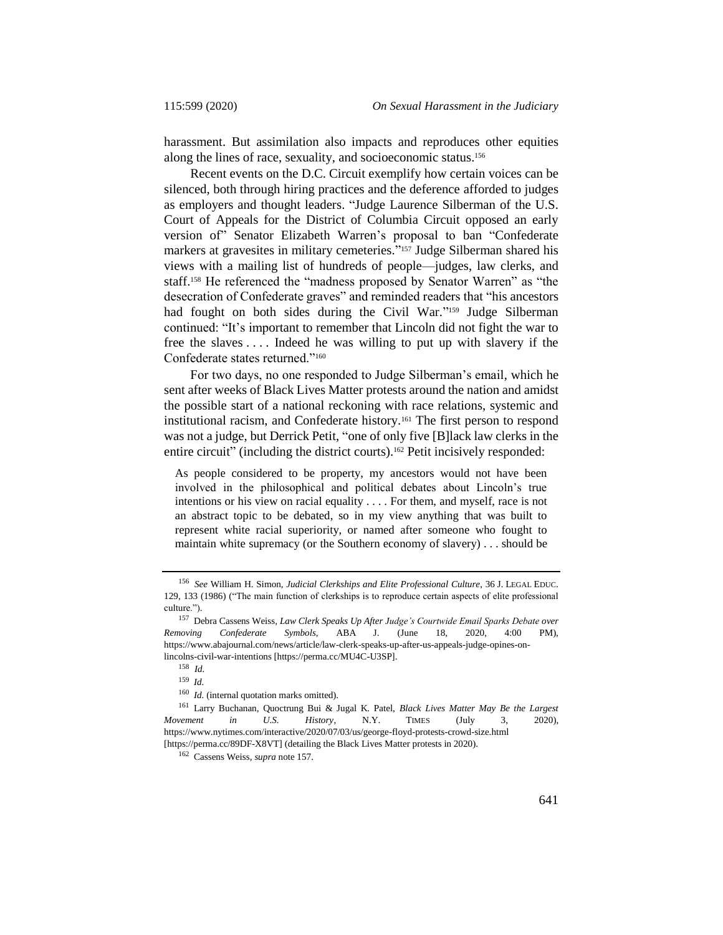harassment. But assimilation also impacts and reproduces other equities along the lines of race, sexuality, and socioeconomic status.<sup>156</sup>

<span id="page-42-0"></span>Recent events on the D.C. Circuit exemplify how certain voices can be silenced, both through hiring practices and the deference afforded to judges as employers and thought leaders. "Judge Laurence Silberman of the U.S. Court of Appeals for the District of Columbia Circuit opposed an early version of" Senator Elizabeth Warren's proposal to ban "Confederate markers at gravesites in military cemeteries."<sup>157</sup> Judge Silberman shared his views with a mailing list of hundreds of people—judges, law clerks, and staff.<sup>158</sup> He referenced the "madness proposed by Senator Warren" as "the desecration of Confederate graves" and reminded readers that "his ancestors had fought on both sides during the Civil War."<sup>159</sup> Judge Silberman continued: "It's important to remember that Lincoln did not fight the war to free the slaves . . . . Indeed he was willing to put up with slavery if the Confederate states returned."<sup>160</sup>

For two days, no one responded to Judge Silberman's email, which he sent after weeks of Black Lives Matter protests around the nation and amidst the possible start of a national reckoning with race relations, systemic and institutional racism, and Confederate history.<sup>161</sup> The first person to respond was not a judge, but Derrick Petit, "one of only five [B]lack law clerks in the entire circuit" (including the district courts).<sup>162</sup> Petit incisively responded:

As people considered to be property, my ancestors would not have been involved in the philosophical and political debates about Lincoln's true intentions or his view on racial equality . . . . For them, and myself, race is not an abstract topic to be debated, so in my view anything that was built to represent white racial superiority, or named after someone who fought to maintain white supremacy (or the Southern economy of slavery) . . . should be

<sup>156</sup> *See* William H. Simon, *Judicial Clerkships and Elite Professional Culture*, 36 J. LEGAL EDUC. 129, 133 (1986) ("The main function of clerkships is to reproduce certain aspects of elite professional culture.").

<sup>157</sup> Debra Cassens Weiss, *Law Clerk Speaks Up After Judge's Courtwide Email Sparks Debate over Removing Confederate Symbols*, ABA J. (June 18, 2020, 4:00 PM), https://www.abajournal.com/news/article/law-clerk-speaks-up-after-us-appeals-judge-opines-onlincolns-civil-war-intentions [https://perma.cc/MU4C-U3SP].

<sup>158</sup> *Id.*

<sup>159</sup> *Id.*

<sup>160</sup> *Id.* (internal quotation marks omitted).

<sup>161</sup> Larry Buchanan, Quoctrung Bui & Jugal K. Patel, *Black Lives Matter May Be the Largest Movement in U.S. History*, N.Y. TIMES (July 3, 2020), https://www.nytimes.com/interactive/2020/07/03/us/george-floyd-protests-crowd-size.html [https://perma.cc/89DF-X8VT] (detailing the Black Lives Matter protests in 2020).

<sup>162</sup> Cassens Weiss, *supra* not[e 157.](#page-42-0)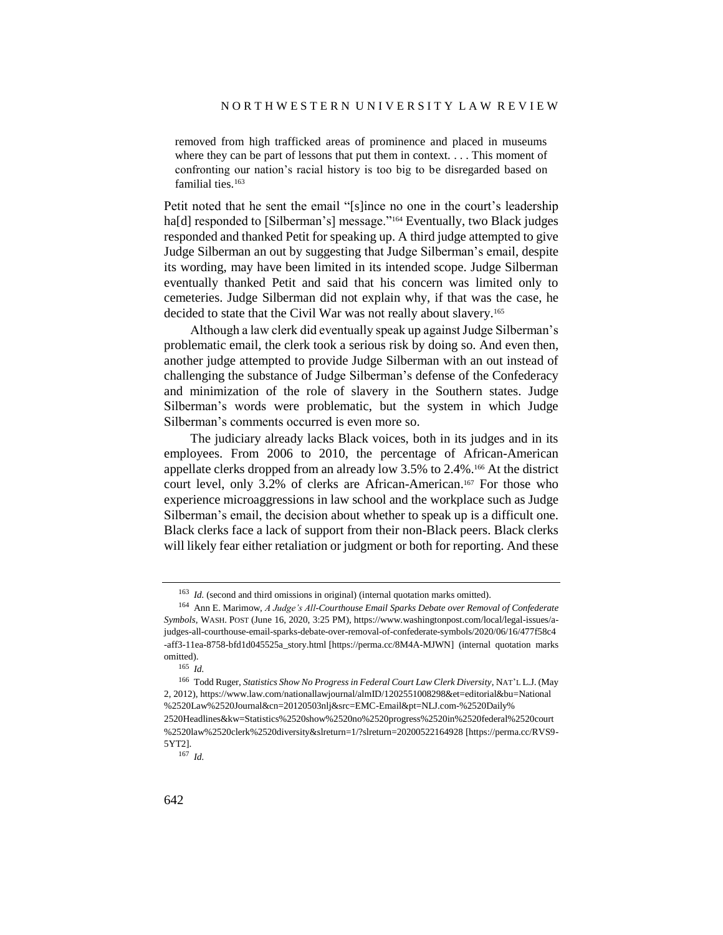removed from high trafficked areas of prominence and placed in museums where they can be part of lessons that put them in context. . . . This moment of confronting our nation's racial history is too big to be disregarded based on familial ties.<sup>163</sup>

Petit noted that he sent the email "[s]ince no one in the court's leadership ha[d] responded to [Silberman's] message."<sup>164</sup> Eventually, two Black judges responded and thanked Petit for speaking up. A third judge attempted to give Judge Silberman an out by suggesting that Judge Silberman's email, despite its wording, may have been limited in its intended scope. Judge Silberman eventually thanked Petit and said that his concern was limited only to cemeteries. Judge Silberman did not explain why, if that was the case, he decided to state that the Civil War was not really about slavery.<sup>165</sup>

Although a law clerk did eventually speak up against Judge Silberman's problematic email, the clerk took a serious risk by doing so. And even then, another judge attempted to provide Judge Silberman with an out instead of challenging the substance of Judge Silberman's defense of the Confederacy and minimization of the role of slavery in the Southern states. Judge Silberman's words were problematic, but the system in which Judge Silberman's comments occurred is even more so.

The judiciary already lacks Black voices, both in its judges and in its employees. From 2006 to 2010, the percentage of African-American appellate clerks dropped from an already low 3.5% to 2.4%. <sup>166</sup> At the district court level, only 3.2% of clerks are African-American. <sup>167</sup> For those who experience microaggressions in law school and the workplace such as Judge Silberman's email, the decision about whether to speak up is a difficult one. Black clerks face a lack of support from their non-Black peers. Black clerks will likely fear either retaliation or judgment or both for reporting. And these

<sup>&</sup>lt;sup>163</sup> *Id.* (second and third omissions in original) (internal quotation marks omitted).

<sup>164</sup> Ann E. Marimow, *A Judge's All-Courthouse Email Sparks Debate over Removal of Confederate Symbols*, WASH. POST (June 16, 2020, 3:25 PM), https://www.washingtonpost.com/local/legal-issues/ajudges-all-courthouse-email-sparks-debate-over-removal-of-confederate-symbols/2020/06/16/477f58c4 -aff3-11ea-8758-bfd1d045525a\_story.html [https://perma.cc/8M4A-MJWN] (internal quotation marks omitted).

<sup>165</sup> *Id.*

<sup>166</sup> Todd Ruger, *Statistics Show No Progress in Federal Court Law Clerk Diversity*, NAT'L L.J. (May 2, 2012), https://www.law.com/nationallawjournal/almID/1202551008298&et=editorial&bu=National %2520Law%2520Journal&cn=20120503nlj&src=EMC-Email&pt=NLJ.com-%2520Daily% 2520Headlines&kw=Statistics%2520show%2520no%2520progress%2520in%2520federal%2520court %2520law%2520clerk%2520diversity&slreturn=1/?slreturn=20200522164928 [https://perma.cc/RVS9- 5YT2].

<sup>167</sup> *Id.*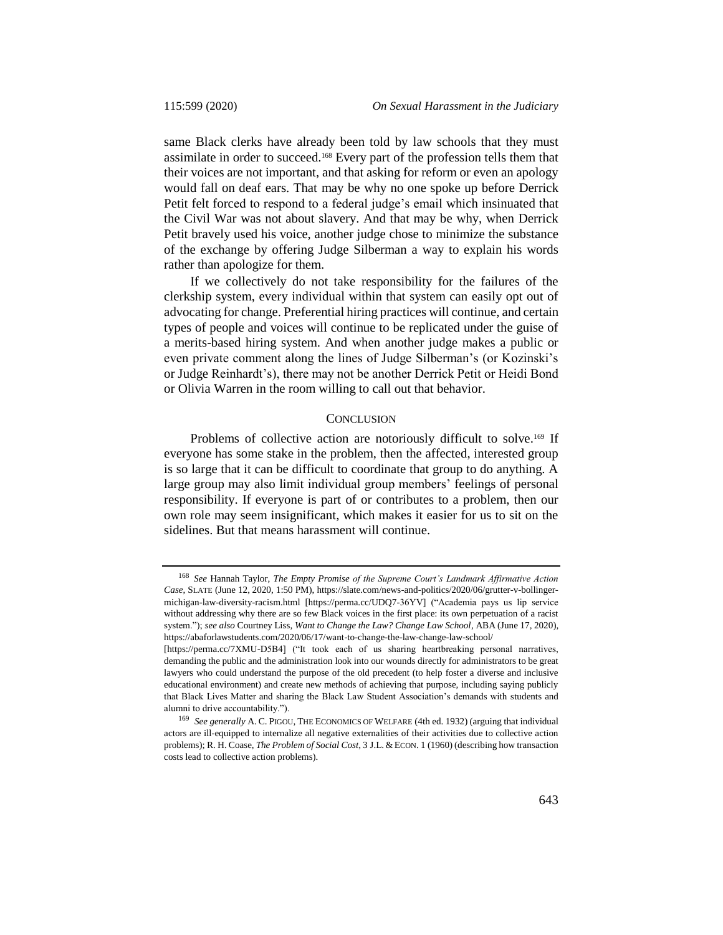same Black clerks have already been told by law schools that they must assimilate in order to succeed.<sup>168</sup> Every part of the profession tells them that their voices are not important, and that asking for reform or even an apology would fall on deaf ears. That may be why no one spoke up before Derrick Petit felt forced to respond to a federal judge's email which insinuated that the Civil War was not about slavery. And that may be why, when Derrick Petit bravely used his voice, another judge chose to minimize the substance of the exchange by offering Judge Silberman a way to explain his words rather than apologize for them.

If we collectively do not take responsibility for the failures of the clerkship system, every individual within that system can easily opt out of advocating for change. Preferential hiring practices will continue, and certain types of people and voices will continue to be replicated under the guise of a merits-based hiring system. And when another judge makes a public or even private comment along the lines of Judge Silberman's (or Kozinski's or Judge Reinhardt's), there may not be another Derrick Petit or Heidi Bond or Olivia Warren in the room willing to call out that behavior.

#### **CONCLUSION**

Problems of collective action are notoriously difficult to solve.<sup>169</sup> If everyone has some stake in the problem, then the affected, interested group is so large that it can be difficult to coordinate that group to do anything. A large group may also limit individual group members' feelings of personal responsibility. If everyone is part of or contributes to a problem, then our own role may seem insignificant, which makes it easier for us to sit on the sidelines. But that means harassment will continue.

<sup>168</sup> *See* Hannah Taylor, *The Empty Promise of the Supreme Court's Landmark Affirmative Action Case*, SLATE (June 12, 2020, 1:50 PM), https://slate.com/news-and-politics/2020/06/grutter-v-bollingermichigan-law-diversity-racism.html [https://perma.cc/UDQ7-36YV] ("Academia pays us lip service without addressing why there are so few Black voices in the first place: its own perpetuation of a racist system."); *see also* Courtney Liss, *Want to Change the Law? Change Law School*, ABA (June 17, 2020), https://abaforlawstudents.com/2020/06/17/want-to-change-the-law-change-law-school/

<sup>[</sup>https://perma.cc/7XMU-D5B4] ("It took each of us sharing heartbreaking personal narratives, demanding the public and the administration look into our wounds directly for administrators to be great lawyers who could understand the purpose of the old precedent (to help foster a diverse and inclusive educational environment) and create new methods of achieving that purpose, including saying publicly that Black Lives Matter and sharing the Black Law Student Association's demands with students and alumni to drive accountability.").

<sup>169</sup> *See generally* A. C. PIGOU, THE ECONOMICS OF WELFARE (4th ed. 1932) (arguing that individual actors are ill-equipped to internalize all negative externalities of their activities due to collective action problems); R. H. Coase, *The Problem of Social Cost*, 3 J.L. &ECON. 1 (1960) (describing how transaction costs lead to collective action problems).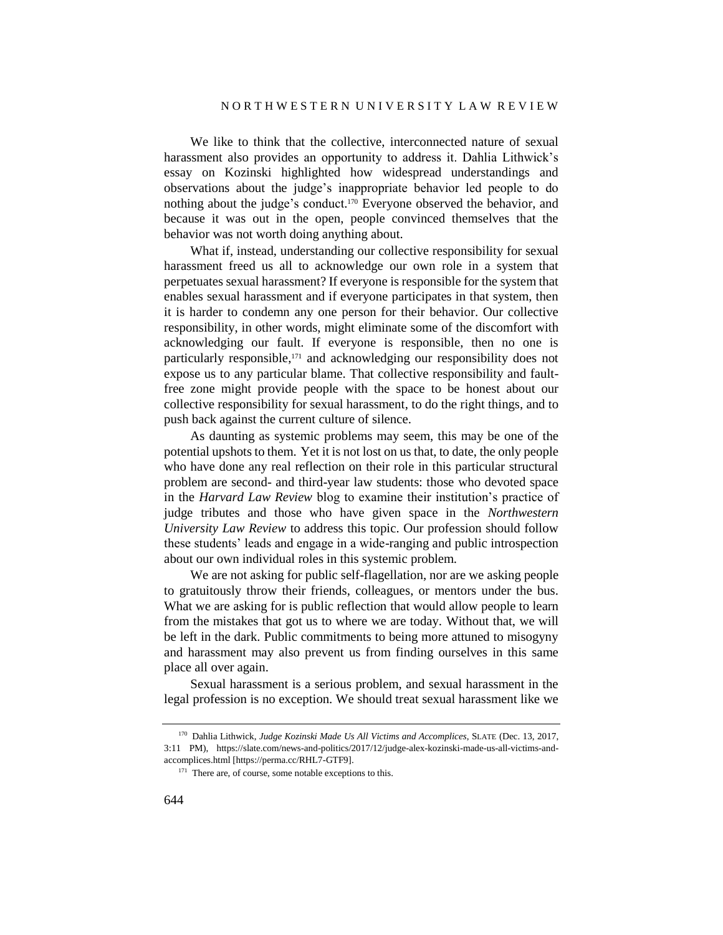We like to think that the collective, interconnected nature of sexual harassment also provides an opportunity to address it. Dahlia Lithwick's essay on Kozinski highlighted how widespread understandings and observations about the judge's inappropriate behavior led people to do nothing about the judge's conduct. <sup>170</sup> Everyone observed the behavior, and because it was out in the open, people convinced themselves that the behavior was not worth doing anything about.

What if, instead, understanding our collective responsibility for sexual harassment freed us all to acknowledge our own role in a system that perpetuates sexual harassment? If everyone is responsible for the system that enables sexual harassment and if everyone participates in that system, then it is harder to condemn any one person for their behavior. Our collective responsibility, in other words, might eliminate some of the discomfort with acknowledging our fault. If everyone is responsible, then no one is particularly responsible, <sup>171</sup> and acknowledging our responsibility does not expose us to any particular blame. That collective responsibility and faultfree zone might provide people with the space to be honest about our collective responsibility for sexual harassment, to do the right things, and to push back against the current culture of silence.

As daunting as systemic problems may seem, this may be one of the potential upshots to them. Yet it is not lost on us that, to date, the only people who have done any real reflection on their role in this particular structural problem are second- and third-year law students: those who devoted space in the *Harvard Law Review* blog to examine their institution's practice of judge tributes and those who have given space in the *Northwestern University Law Review* to address this topic. Our profession should follow these students' leads and engage in a wide-ranging and public introspection about our own individual roles in this systemic problem.

We are not asking for public self-flagellation, nor are we asking people to gratuitously throw their friends, colleagues, or mentors under the bus. What we are asking for is public reflection that would allow people to learn from the mistakes that got us to where we are today. Without that, we will be left in the dark. Public commitments to being more attuned to misogyny and harassment may also prevent us from finding ourselves in this same place all over again.

Sexual harassment is a serious problem, and sexual harassment in the legal profession is no exception. We should treat sexual harassment like we

<sup>170</sup> Dahlia Lithwick, *Judge Kozinski Made Us All Victims and Accomplices*, SLATE (Dec. 13, 2017, 3:11 PM), https://slate.com/news-and-politics/2017/12/judge-alex-kozinski-made-us-all-victims-andaccomplices.html [https://perma.cc/RHL7-GTF9].

<sup>&</sup>lt;sup>171</sup> There are, of course, some notable exceptions to this.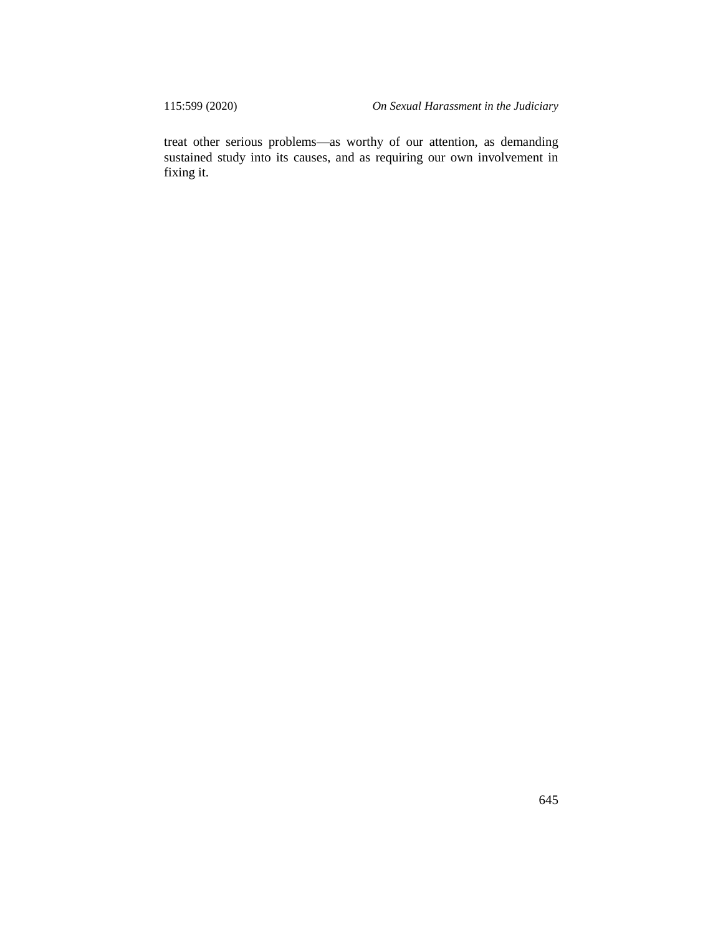treat other serious problems—as worthy of our attention, as demanding sustained study into its causes, and as requiring our own involvement in fixing it.